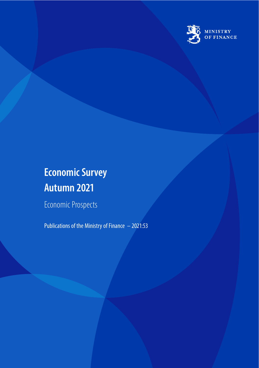

# **Economic Survey Autumn 2021**

Economic Prospects

Publications of the Ministry of Finance – 2021:53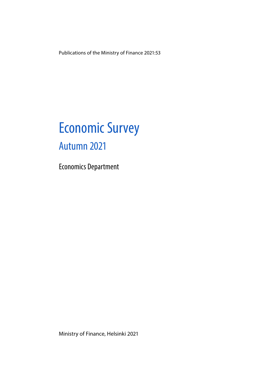Publications of the Ministry of Finance 2021:53

# Economic Survey Autumn 2021

Economics Department

Ministry of Finance, Helsinki 2021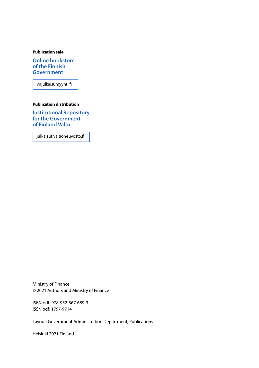#### **Publication sale**

**Online bookstore of the Finnish Government**

vnjulkaisumyynti.fi

#### **Publication distribution**

**Institutional Repository for the Government of Finland Valto**

julkaisut.valtioneuvosto.fi

Ministry of Finance © 2021 Authors and Ministry of Finance

ISBN pdf: 978-952-367-689-3 ISSN pdf: 1797-9714

Layout: Government Administration Department, Publications

Helsinki 2021 Finland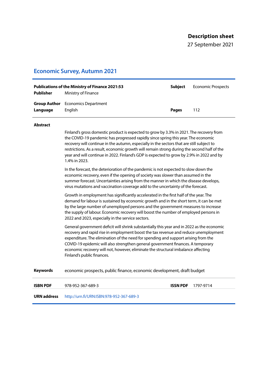27 September 2021

#### **Economic Survey, Autumn 2021**

| Publisher | <b>Publications of the Ministry of Finance 2021:53</b><br>Ministry of Finance | Subiect      | <b>Economic Prospects</b> |
|-----------|-------------------------------------------------------------------------------|--------------|---------------------------|
| Language  | <b>Group Author</b> Economics Department<br>Enalish                           | <b>Pages</b> | 112                       |

#### **Abstract**

Finland's gross domestic product is expected to grow by 3.3% in 2021. The recovery from the COVID-19 pandemic has progressed rapidly since spring this year. The economic recovery will continue in the autumn, especially in the sectors that are still subject to restrictions. As a result, economic growth will remain strong during the second half of the year and will continue in 2022. Finland's GDP is expected to grow by 2.9% in 2022 and by 1.4% in 2023.

In the forecast, the deterioration of the pandemic is not expected to slow down the economic recovery, even if the opening of society was slower than assumed in the summer forecast. Uncertainties arising from the manner in which the disease develops, virus mutations and vaccination coverage add to the uncertainty of the forecast.

Growth in employment has significantly accelerated in the first half of the year. The demand for labour is sustained by economic growth and in the short term, it can be met by the large number of unemployed persons and the government measures to increase the supply of labour. Economic recovery will boost the number of employed persons in 2022 and 2023, especially in the service sectors.

General government deficit will shrink substantially this year and in 2022 as the economic recovery and rapid rise in employment boost the tax revenue and reduce unemployment expenditure. The elimination of the need for spending and support arising from the COVID-19 epidemic will also strengthen general government finances. A temporary economic recovery will not, however, eliminate the structural imbalance affecting Finland's public finances.

**Keywords** economic prospects, public finance, economic development, draft budget

**ISBN PDF** 978-952-367-689-3 **ISSN PDF** 1797-9714

**URN address** http://urn.fi/URN:ISBN:978-952-367-689-3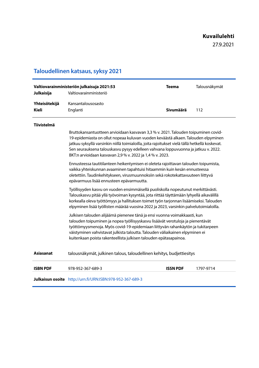27.9.2021

## **Taloudellinen katsaus, syksy 2021**

| Julkaisija                    | Valtiovarainministeriön julkaisuja 2021:53<br>Valtiovarainministeriö                                                                                                                                                                                                                                                                                                                                                         | <b>Teema</b>    | Talousnäkymät |  |  |  |  |
|-------------------------------|------------------------------------------------------------------------------------------------------------------------------------------------------------------------------------------------------------------------------------------------------------------------------------------------------------------------------------------------------------------------------------------------------------------------------|-----------------|---------------|--|--|--|--|
| Yhteisötekijä<br><b>Kieli</b> | Kansantalousosasto<br>Englanti                                                                                                                                                                                                                                                                                                                                                                                               | Sivumäärä       | 112           |  |  |  |  |
| <b>Tiivistelmä</b>            |                                                                                                                                                                                                                                                                                                                                                                                                                              |                 |               |  |  |  |  |
|                               | Bruttokansantuotteen arvioidaan kasvavan 3,3 % v. 2021. Talouden toipuminen covid-<br>19-epidemiasta on ollut nopeaa kuluvan vuoden keväästä alkaen. Talouden elpyminen<br>jatkuu syksyllä varsinkin niillä toimialoilla, joita rajoitukset vielä tällä hetkellä koskevat.<br>Sen seurauksena talouskasvu pysyy edelleen vahvana loppuvuonna ja jatkuu v. 2022.<br>BKT:n arvioidaan kasvavan 2,9 % v. 2022 ja 1,4 % v. 2023. |                 |               |  |  |  |  |
|                               | Ennusteessa tautitilanteen heikentymisen ei oleteta rajoittavan talouden toipumista,<br>vaikka yhteiskunnan avaaminen tapahtuisi hitaammin kuin kesän ennusteessa<br>oletettiin. Taudinkehitykseen, virusmuunnoksiin sekä rokotekattavuuteen liittyvä<br>epävarmuus lisää ennusteen epävarmuutta.                                                                                                                            |                 |               |  |  |  |  |
|                               | Työllisyyden kasvu on vuoden ensimmäisellä puoliskolla nopeutunut merkittävästi.<br>Talouskasvu pitää yllä työvoiman kysyntää, jota riittää täyttämään lyhyellä aikavälillä<br>korkealla oleva työttömyys ja hallituksen toimet työn tarjonnan lisäämiseksi. Talouden<br>elpyminen lisää työllisten määrää vuosina 2022 ja 2023, varsinkin palvelutoimialoilla.                                                              |                 |               |  |  |  |  |
|                               | Julkisen talouden alijäämä pienenee tänä ja ensi vuonna voimakkaasti, kun<br>talouden toipuminen ja nopea työllisyyskasvu lisäävät verotuloja ja pienentävät<br>työttömyysmenoja. Myös covid-19-epidemiaan liittyvän rahankäytön ja tukitarpeen<br>väistyminen vahvistavat julkista taloutta. Talouden väliaikainen elpyminen ei<br>kuitenkaan poista rakenteellista julkisen talouden epätasapainoa.                        |                 |               |  |  |  |  |
| <b>Asiasanat</b>              | talousnäkymät, julkinen talous, taloudellinen kehitys, budjettiesitys                                                                                                                                                                                                                                                                                                                                                        |                 |               |  |  |  |  |
| <b>ISBN PDF</b>               | 978-952-367-689-3                                                                                                                                                                                                                                                                                                                                                                                                            | <b>ISSN PDF</b> | 1797-9714     |  |  |  |  |
|                               | Julkaisun osoite http://urn.fi/URN:ISBN:978-952-367-689-3                                                                                                                                                                                                                                                                                                                                                                    |                 |               |  |  |  |  |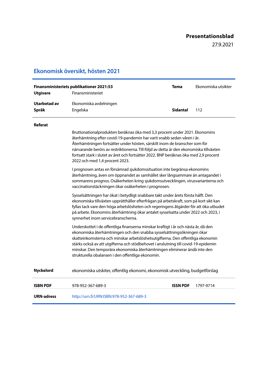#### **Presentationsblad**

27.9.2021

#### **Ekonomisk översikt, hösten 2021**

| Finansministeriets publikationer 2021:53<br>Finansministeriet<br><b>Utgivare</b> |                                    | Tema     | Ekonomiska utsikter |
|----------------------------------------------------------------------------------|------------------------------------|----------|---------------------|
| Utarbetad av<br>Språk                                                            | Ekonomiska avdelningen<br>Engelska | Sidantal | 112                 |

#### **Referat**

Bruttonationalprodukten beräknas öka med 3,3 procent under 2021. Ekonomins återhämtning efter covid-19-pandemin har varit snabb sedan våren i år. Återhämtningen fortsätter under hösten, särskilt inom de branscher som för närvarande berörs av restriktionerna. Till följd av detta är den ekonomiska tillväxten fortsatt stark i slutet av året och fortsätter 2022. BNP beräknas öka med 2,9 procent 2022 och med 1,4 procent 2023.

I prognosen antas en försämrad sjukdomssituation inte begränsa ekonomins återhämtning, även om öppnandet av samhället sker långsammare än antagandet i sommarens prognos. Osäkerheten kring sjukdomsutvecklingen, virusvarianterna och vaccinationstäckningen ökar osäkerheten i prognosen.

Sysselsättningen har ökat i betydligt snabbare takt under årets första hälft. Den ekonomiska tillväxten upprätthåller efterfrågan på arbetskraft, som på kort sikt kan fyllas tack vare den höga arbetslösheten och regeringens åtgärder för att öka utbudet på arbete. Ekonomins återhämtning ökar antalet sysselsatta under 2022 och 2023, i synnerhet inom servicebranscherna.

Underskottet i de offentliga finanserna minskar kraftigt i år och nästa år, då den ekonomiska återhämtningen och den snabba sysselsättningsökningen ökar skatteinkomsterna och minskar arbetslöshetsutgifterna. Den offentliga ekonomin stärks också av att utgifterna och stödbehovet i anslutning till covid-19-epidemin minskar. Den temporära ekonomiska återhämtningen eliminerar ändå inte den strukturella obalansen i den offentliga ekonomin.

**Nyckelord** ekonomiska utskiter, offentlig ekonomi, ekonomisk utveckling, budgetförslag

| <b>ISBN PDF</b>   | 978-952-367-689-3                        | ISSN PDF | 1797-9714 |
|-------------------|------------------------------------------|----------|-----------|
| <b>URN-adress</b> | http://urn.fi/URN:ISBN:978-952-367-689-3 |          |           |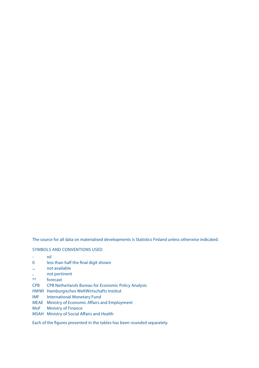The source for all data on materialised developments is Statistics Finland unless otherwise indicated.

#### SYMBOLS AND CONVENTIONS USED

- nil
- 0 less than half the final digit shown
- .. not available
- . not pertinent<br>\*\* forecast
- forecast
- CPB CPB Netherlands Bureau for Economic Policy Analysis
- HWWI Hamburgisches WeltWirtschafts Institut
- IMF International Monetary Fund
- MEAE Ministry of Economic Affairs and Employment
- MoF Ministry of Finance
- MSAH Ministry of Social Affairs and Health

Each of the figures presented in the tables has been rounded separately.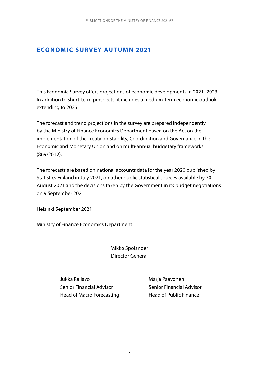#### **ECONOMIC SURVEY AUTUMN 2021**

This Economic Survey offers projections of economic developments in 2021–2023. In addition to short-term prospects, it includes a medium-term economic outlook extending to 2025.

The forecast and trend projections in the survey are prepared independently by the Ministry of Finance Economics Department based on the Act on the implementation of the Treaty on Stability, Coordination and Governance in the Economic and Monetary Union and on multi-annual budgetary frameworks (869/2012).

The forecasts are based on national accounts data for the year 2020 published by Statistics Finland in July 2021, on other public statistical sources available by 30 August 2021 and the decisions taken by the Government in its budget negotiations on 9 September 2021.

Helsinki September 2021

Ministry of Finance Economics Department

Mikko Spolander Director General

Jukka Railavo Marja Paavonen Senior Financial Advisor Senior Financial Advisor Head of Macro Forecasting Head of Public Finance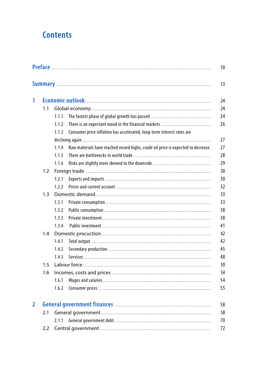## **Contents**

|                |     |       |                                                                                   | 10 |
|----------------|-----|-------|-----------------------------------------------------------------------------------|----|
|                |     |       |                                                                                   | 13 |
| 1              |     |       |                                                                                   | 24 |
|                | 1.1 |       |                                                                                   | 24 |
|                |     | 1.1.1 |                                                                                   | 24 |
|                |     | 1.1.2 | There is an expectant mood in the financial markets                               | 26 |
|                |     | 1.1.3 | Consumer price inflation has accelerated, long-term interest rates are            |    |
|                |     |       |                                                                                   | 27 |
|                |     | 1.1.4 | Raw materials have reached record highs, crude oil price is expected to decrease. | 27 |
|                |     | 1.1.5 |                                                                                   | 28 |
|                |     | 1.1.6 |                                                                                   | 29 |
|                | 1.2 |       |                                                                                   | 30 |
|                |     | 1.2.1 |                                                                                   | 30 |
|                |     | 1.2.2 |                                                                                   | 32 |
|                | 1.3 |       |                                                                                   | 33 |
|                |     | 1.3.1 |                                                                                   | 33 |
|                |     | 1.3.2 |                                                                                   | 38 |
|                |     | 1.3.3 |                                                                                   | 38 |
|                |     | 1.3.4 |                                                                                   | 41 |
|                | 1.4 |       |                                                                                   | 42 |
|                |     | 1.4.1 |                                                                                   | 42 |
|                |     | 1.4.2 |                                                                                   | 45 |
|                |     | 1.4.3 |                                                                                   | 48 |
|                | 1.5 |       |                                                                                   | 50 |
|                | 1.6 |       |                                                                                   | 54 |
|                |     | 1.6.1 |                                                                                   | 54 |
|                |     | 1.6.2 |                                                                                   | 55 |
| $\overline{2}$ |     |       |                                                                                   | 58 |
|                | 2.1 |       |                                                                                   | 58 |
|                |     | 2.1.1 |                                                                                   | 70 |
|                | 2.2 |       |                                                                                   | 72 |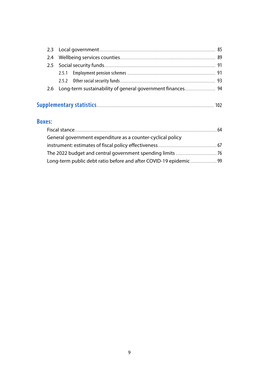| 2.6 Long-term sustainability of general government finances 94 |  |
|----------------------------------------------------------------|--|
|                                                                |  |

#### **Boxes:**

| General government expenditure as a counter-cyclical policy      |  |
|------------------------------------------------------------------|--|
|                                                                  |  |
|                                                                  |  |
| Long-term public debt ratio before and after COVID-19 epidemic99 |  |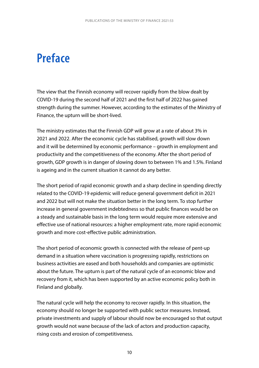# <span id="page-10-0"></span>**Preface**

The view that the Finnish economy will recover rapidly from the blow dealt by COVID-19 during the second half of 2021 and the first half of 2022 has gained strength during the summer. However, according to the estimates of the Ministry of Finance, the upturn will be short-lived.

The ministry estimates that the Finnish GDP will grow at a rate of about 3% in 2021 and 2022. After the economic cycle has stabilised, growth will slow down and it will be determined by economic performance – growth in employment and productivity and the competitiveness of the economy. After the short period of growth, GDP growth is in danger of slowing down to between 1% and 1.5%. Finland is ageing and in the current situation it cannot do any better.

The short period of rapid economic growth and a sharp decline in spending directly related to the COVID-19 epidemic will reduce general government deficit in 2021 and 2022 but will not make the situation better in the long term. To stop further increase in general government indebtedness so that public finances would be on a steady and sustainable basis in the long term would require more extensive and effective use of national resources: a higher employment rate, more rapid economic growth and more cost-effective public administration.

The short period of economic growth is connected with the release of pent-up demand in a situation where vaccination is progressing rapidly, restrictions on business activities are eased and both households and companies are optimistic about the future. The upturn is part of the natural cycle of an economic blow and recovery from it, which has been supported by an active economic policy both in Finland and globally.

The natural cycle will help the economy to recover rapidly. In this situation, the economy should no longer be supported with public sector measures. Instead, private investments and supply of labour should now be encouraged so that output growth would not wane because of the lack of actors and production capacity, rising costs and erosion of competitiveness.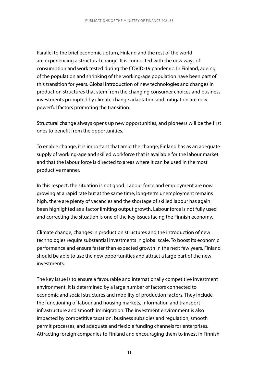Parallel to the brief economic upturn, Finland and the rest of the world are experiencing a structural change. It is connected with the new ways of consumption and work tested during the COVID-19 pandemic. In Finland, ageing of the population and shrinking of the working-age population have been part of this transition for years. Global introduction of new technologies and changes in production structures that stem from the changing consumer choices and business investments prompted by climate change adaptation and mitigation are new powerful factors promoting the transition.

Structural change always opens up new opportunities, and pioneers will be the first ones to benefit from the opportunities.

To enable change, it is important that amid the change, Finland has as an adequate supply of working-age and skilled workforce that is available for the labour market and that the labour force is directed to areas where it can be used in the most productive manner.

In this respect, the situation is not good. Labour force and employment are now growing at a rapid rate but at the same time, long-term unemployment remains high, there are plenty of vacancies and the shortage of skilled labour has again been highlighted as a factor limiting output growth. Labour force is not fully used and correcting the situation is one of the key issues facing the Finnish economy.

Climate change, changes in production structures and the introduction of new technologies require substantial investments in global scale. To boost its economic performance and ensure faster than expected growth in the next few years, Finland should be able to use the new opportunities and attract a large part of the new investments.

The key issue is to ensure a favourable and internationally competitive investment environment. It is determined by a large number of factors connected to economic and social structures and mobility of production factors. They include the functioning of labour and housing markets, information and transport infrastructure and smooth immigration. The investment environment is also impacted by competitive taxation, business subsidies and regulation, smooth permit processes, and adequate and flexible funding channels for enterprises. Attracting foreign companies to Finland and encouraging them to invest in Finnish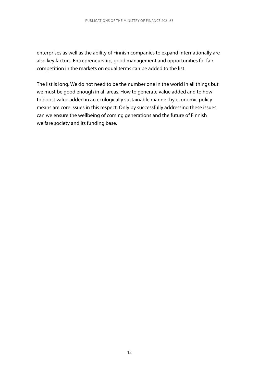enterprises as well as the ability of Finnish companies to expand internationally are also key factors. Entrepreneurship, good management and opportunities for fair competition in the markets on equal terms can be added to the list.

The list is long. We do not need to be the number one in the world in all things but we must be good enough in all areas. How to generate value added and to how to boost value added in an ecologically sustainable manner by economic policy means are core issues in this respect. Only by successfully addressing these issues can we ensure the wellbeing of coming generations and the future of Finnish welfare society and its funding base.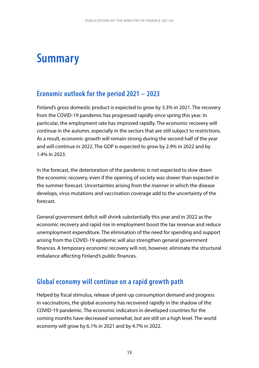## <span id="page-13-0"></span>**Summary**

## **Economic outlook for the period 2021 – 2023**

Finland's gross domestic product is expected to grow by 3.3% in 2021. The recovery from the COVID-19 pandemic has progressed rapidly since spring this year. In particular, the employment rate has improved rapidly. The economic recovery will continue in the autumn, especially in the sectors that are still subject to restrictions. As a result, economic growth will remain strong during the second half of the year and will continue in 2022. The GDP is expected to grow by 2.9% in 2022 and by 1.4% in 2023.

In the forecast, the deterioration of the pandemic is not expected to slow down the economic recovery, even if the opening of society was slower than expected in the summer forecast. Uncertainties arising from the manner in which the disease develops, virus mutations and vaccination coverage add to the uncertainty of the forecast.

General government deficit will shrink substantially this year and in 2022 as the economic recovery and rapid rise in employment boost the tax revenue and reduce unemployment expenditure. The elimination of the need for spending and support arising from the COVID-19 epidemic will also strengthen general government finances. A temporary economic recovery will not, however, eliminate the structural imbalance affecting Finland's public finances.

### **Global economy will continue on a rapid growth path**

Helped by fiscal stimulus, release of pent-up consumption demand and progress in vaccinations, the global economy has recovered rapidly in the shadow of the COVID-19 pandemic. The economic indicators in developed countries for the coming months have decreased somewhat, but are still on a high level. The world economy will grow by 6.1% in 2021 and by 4.7% in 2022.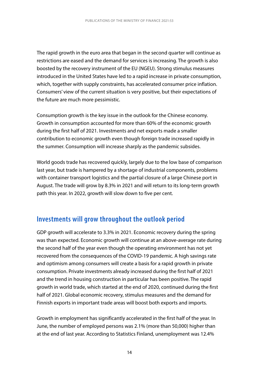The rapid growth in the euro area that began in the second quarter will continue as restrictions are eased and the demand for services is increasing. The growth is also boosted by the recovery instrument of the EU (NGEU). Strong stimulus measures introduced in the United States have led to a rapid increase in private consumption, which, together with supply constraints, has accelerated consumer price inflation. Consumers' view of the current situation is very positive, but their expectations of the future are much more pessimistic.

Consumption growth is the key issue in the outlook for the Chinese economy. Growth in consumption accounted for more than 60% of the economic growth during the first half of 2021. Investments and net exports made a smaller contribution to economic growth even though foreign trade increased rapidly in the summer. Consumption will increase sharply as the pandemic subsides.

World goods trade has recovered quickly, largely due to the low base of comparison last year, but trade is hampered by a shortage of industrial components, problems with container transport logistics and the partial closure of a large Chinese port in August. The trade will grow by 8.3% in 2021 and will return to its long-term growth path this year. In 2022, growth will slow down to five per cent.

## **Investments will grow throughout the outlook period**

GDP growth will accelerate to 3.3% in 2021. Economic recovery during the spring was than expected. Economic growth will continue at an above-average rate during the second half of the year even though the operating environment has not yet recovered from the consequences of the COVID-19 pandemic. A high savings rate and optimism among consumers will create a basis for a rapid growth in private consumption. Private investments already increased during the first half of 2021 and the trend in housing construction in particular has been positive. The rapid growth in world trade, which started at the end of 2020, continued during the first half of 2021. Global economic recovery, stimulus measures and the demand for Finnish exports in important trade areas will boost both exports and imports.

Growth in employment has significantly accelerated in the first half of the year. In June, the number of employed persons was 2.1% (more than 50,000) higher than at the end of last year. According to Statistics Finland, unemployment was 12.4%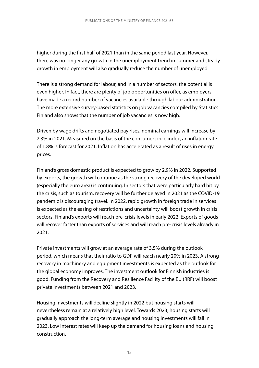higher during the first half of 2021 than in the same period last year. However, there was no longer any growth in the unemployment trend in summer and steady growth in employment will also gradually reduce the number of unemployed.

There is a strong demand for labour, and in a number of sectors, the potential is even higher. In fact, there are plenty of job opportunities on offer, as employers have made a record number of vacancies available through labour administration. The more extensive survey-based statistics on job vacancies compiled by Statistics Finland also shows that the number of job vacancies is now high.

Driven by wage drifts and negotiated pay rises, nominal earnings will increase by 2.3% in 2021. Measured on the basis of the consumer price index, an inflation rate of 1.8% is forecast for 2021. Inflation has accelerated as a result of rises in energy prices.

Finland's gross domestic product is expected to grow by 2.9% in 2022. Supported by exports, the growth will continue as the strong recovery of the developed world (especially the euro area) is continuing. In sectors that were particularly hard hit by the crisis, such as tourism, recovery will be further delayed in 2021 as the COVID-19 pandemic is discouraging travel. In 2022, rapid growth in foreign trade in services is expected as the easing of restrictions and uncertainty will boost growth in crisis sectors. Finland's exports will reach pre-crisis levels in early 2022. Exports of goods will recover faster than exports of services and will reach pre-crisis levels already in 2021.

Private investments will grow at an average rate of 3.5% during the outlook period, which means that their ratio to GDP will reach nearly 20% in 2023. A strong recovery in machinery and equipment investments is expected as the outlook for the global economy improves. The investment outlook for Finnish industries is good. Funding from the Recovery and Resilience Facility of the EU (RRF) will boost private investments between 2021 and 2023.

Housing investments will decline slightly in 2022 but housing starts will nevertheless remain at a relatively high level. Towards 2023, housing starts will gradually approach the long-term average and housing investments will fall in 2023. Low interest rates will keep up the demand for housing loans and housing construction.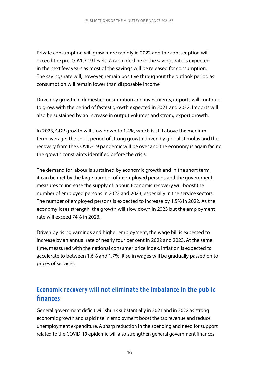Private consumption will grow more rapidly in 2022 and the consumption will exceed the pre-COVID-19 levels. A rapid decline in the savings rate is expected in the next few years as most of the savings will be released for consumption. The savings rate will, however, remain positive throughout the outlook period as consumption will remain lower than disposable income.

Driven by growth in domestic consumption and investments, imports will continue to grow, with the period of fastest growth expected in 2021 and 2022. Imports will also be sustained by an increase in output volumes and strong export growth.

In 2023, GDP growth will slow down to 1.4%, which is still above the mediumterm average. The short period of strong growth driven by global stimulus and the recovery from the COVID-19 pandemic will be over and the economy is again facing the growth constraints identified before the crisis.

The demand for labour is sustained by economic growth and in the short term, it can be met by the large number of unemployed persons and the government measures to increase the supply of labour. Economic recovery will boost the number of employed persons in 2022 and 2023, especially in the service sectors. The number of employed persons is expected to increase by 1.5% in 2022. As the economy loses strength, the growth will slow down in 2023 but the employment rate will exceed 74% in 2023.

Driven by rising earnings and higher employment, the wage bill is expected to increase by an annual rate of nearly four per cent in 2022 and 2023. At the same time, measured with the national consumer price index, inflation is expected to accelerate to between 1.6% and 1.7%. Rise in wages will be gradually passed on to prices of services.

## **Economic recovery will not eliminate the imbalance in the public finances**

General government deficit will shrink substantially in 2021 and in 2022 as strong economic growth and rapid rise in employment boost the tax revenue and reduce unemployment expenditure. A sharp reduction in the spending and need for support related to the COVID-19 epidemic will also strengthen general government finances.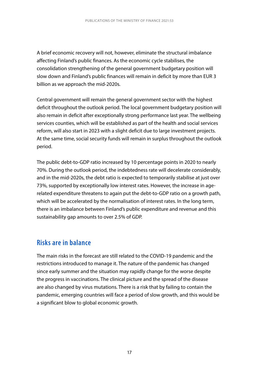A brief economic recovery will not, however, eliminate the structural imbalance affecting Finland's public finances. As the economic cycle stabilises, the consolidation strengthening of the general government budgetary position will slow down and Finland's public finances will remain in deficit by more than EUR 3 billion as we approach the mid-2020s.

Central government will remain the general government sector with the highest deficit throughout the outlook period. The local government budgetary position will also remain in deficit after exceptionally strong performance last year. The wellbeing services counties, which will be established as part of the health and social services reform, will also start in 2023 with a slight deficit due to large investment projects. At the same time, social security funds will remain in surplus throughout the outlook period.

The public debt-to-GDP ratio increased by 10 percentage points in 2020 to nearly 70%. During the outlook period, the indebtedness rate will decelerate considerably, and in the mid-2020s, the debt ratio is expected to temporarily stabilise at just over 73%, supported by exceptionally low interest rates. However, the increase in agerelated expenditure threatens to again put the debt-to-GDP ratio on a growth path, which will be accelerated by the normalisation of interest rates. In the long term, there is an imbalance between Finland's public expenditure and revenue and this sustainability gap amounts to over 2.5% of GDP.

### **Risks are in balance**

The main risks in the forecast are still related to the COVID-19 pandemic and the restrictions introduced to manage it. The nature of the pandemic has changed since early summer and the situation may rapidly change for the worse despite the progress in vaccinations. The clinical picture and the spread of the disease are also changed by virus mutations. There is a risk that by failing to contain the pandemic, emerging countries will face a period of slow growth, and this would be a significant blow to global economic growth.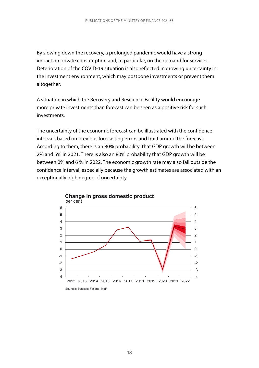By slowing down the recovery, a prolonged pandemic would have a strong impact on private consumption and, in particular, on the demand for services. Deterioration of the COVID-19 situation is also reflected in growing uncertainty in the investment environment, which may postpone investments or prevent them altogether.

A situation in which the Recovery and Resilience Facility would encourage more private investments than forecast can be seen as a positive risk for such investments.

The uncertainty of the economic forecast can be illustrated with the confidence intervals based on previous forecasting errors and built around the forecast. According to them, there is an 80% probability that GDP growth will be between 2% and 5% in 2021. There is also an 80% probability that GDP growth will be between 0% and 6 % in 2022. The economic growth rate may also fall outside the confidence interval, especially because the growth estimates are associated with an exceptionally high degree of uncertainty.



**Change in gross domestic product**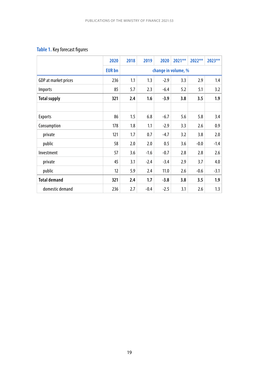#### **Table 1.** Key forecast figures

|                      | 2020          | 2018 | 2019   | 2020                | 2021** | $2022**$ | 2023** |
|----------------------|---------------|------|--------|---------------------|--------|----------|--------|
|                      | <b>EUR bn</b> |      |        | change in volume, % |        |          |        |
| GDP at market prices | 236           | 1.1  | 1.3    | $-2.9$              | 3.3    | 2.9      | 1.4    |
| <i>Imports</i>       | 85            | 5.7  | 2.3    | $-6.4$              | 5.2    | 5.1      | 3.2    |
| <b>Total supply</b>  | 321           | 2.4  | 1.6    | $-3.9$              | 3.8    | 3.5      | 1.9    |
|                      |               |      |        |                     |        |          |        |
| <b>Exports</b>       | 86            | 1.5  | 6.8    | $-6.7$              | 5.6    | 5.8      | 3.4    |
| Consumption          | 178           | 1.8  | 1.1    | $-2.9$              | 3.3    | 2.6      | 0.9    |
| private              | 121           | 1.7  | 0.7    | $-4.7$              | 3.2    | 3.8      | 2.0    |
| public               | 58            | 2.0  | 2.0    | 0.5                 | 3.6    | $-0.0$   | $-1.4$ |
| Investment           | 57            | 3.6  | $-1.6$ | $-0.7$              | 2.8    | 2.8      | 2.6    |
| private              | 45            | 3.1  | $-2.4$ | $-3.4$              | 2.9    | 3.7      | 4.0    |
| public               | 12            | 5.9  | 2.4    | 11.0                | 2.6    | $-0.6$   | $-3.1$ |
| <b>Total demand</b>  | 321           | 2.4  | 1.7    | $-3.8$              | 3.8    | 3.5      | 1.9    |
| domestic demand      | 236           | 2.7  | $-0.4$ | $-2.5$              | 3.1    | 2.6      | 1.3    |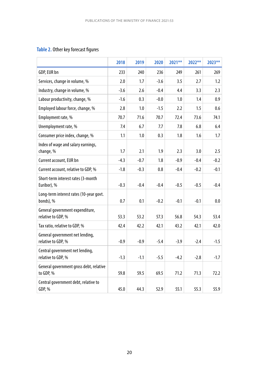#### **Table 2.** Other key forecast figures

|                                                       | 2018   | 2019   | 2020   | 2021** | 2022** | 2023** |
|-------------------------------------------------------|--------|--------|--------|--------|--------|--------|
| GDP, EUR bn                                           | 233    | 240    | 236    | 249    | 261    | 269    |
| Services, change in volume, %                         | 2.0    | 1.7    | $-3.6$ | 3.5    | 2.7    | 1.2    |
| Industry, change in volume, %                         | $-3.6$ | 2.6    | $-0.4$ | 4.4    | 3.3    | 2.3    |
| Labour productivity, change, %                        | $-1.6$ | 0.3    | $-0.0$ | 1.0    | 1.4    | 0.9    |
| Employed labour force, change, %                      | 2.8    | 1.0    | $-1.5$ | 2.2    | 1.5    | 0.6    |
| Employment rate, %                                    | 70.7   | 71.6   | 70.7   | 72.4   | 73.6   | 74.1   |
| Unemployment rate, %                                  | 7.4    | 6.7    | 7.7    | 7.8    | 6.8    | 6.4    |
| Consumer price index, change, %                       | 1.1    | 1.0    | 0.3    | 1.8    | 1.6    | 1.7    |
| Index of wage and salary earnings,<br>change, %       | 1.7    | 2.1    | 1.9    | 2.3    | 3.0    | 2.5    |
| Current account, EUR bn                               | $-4.3$ | $-0.7$ | 1.8    | $-0.9$ | $-0.4$ | $-0.2$ |
| Current account, relative to GDP, %                   | $-1.8$ | $-0.3$ | 0.8    | $-0.4$ | $-0.2$ | $-0.1$ |
| Short-term interest rates (3-month<br>Euribor), %     | $-0.3$ | $-0.4$ | $-0.4$ | $-0.5$ | $-0.5$ | $-0.4$ |
| Long-term interest rates (10-year govt.<br>bonds), %  | 0.7    | 0.1    | $-0.2$ | $-0.1$ | $-0.1$ | 0.0    |
| General government expenditure,<br>relative to GDP, % | 53.3   | 53.2   | 57.3   | 56.8   | 54.3   | 53.4   |
| Tax ratio, relative to GDP, %                         | 42.4   | 42.2   | 42.1   | 43.2   | 42.1   | 42.0   |
| General government net lending,<br>relative to GDP, % | $-0.9$ | $-0.9$ | $-5.4$ | $-3.9$ | $-2.4$ | $-1.5$ |
| Central government net lending,<br>relative to GDP, % | $-1.3$ | $-1.1$ | $-5.5$ | $-4.2$ | $-2.8$ | $-1.7$ |
| General government gross debt, relative<br>to GDP, %  | 59.8   | 59.5   | 69.5   | 71.2   | 71.3   | 72.2   |
| Central government debt, relative to<br>GDP, %        | 45.0   | 44.3   | 52.9   | 55.1   | 55.3   | 55.9   |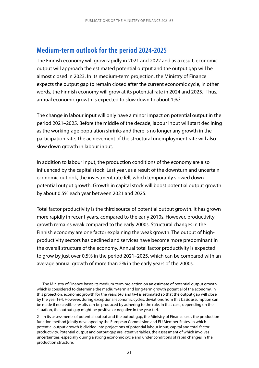## **Medium-term outlook for the period 2024-2025**

The Finnish economy will grow rapidly in 2021 and 2022 and as a result, economic output will approach the estimated potential output and the output gap will be almost closed in 2023. In its medium-term projection, the Ministry of Finance expects the output gap to remain closed after the current economic cycle, in other words, the Finnish economy will grow at its potential rate in 2024 and 2025.<sup>1</sup> Thus, annual economic growth is expected to slow down to about 1%.<sup>2</sup>

The change in labour input will only have a minor impact on potential output in the period 2021–2025. Before the middle of the decade, labour input will start declining as the working-age population shrinks and there is no longer any growth in the participation rate. The achievement of the structural unemployment rate will also slow down growth in labour input.

In addition to labour input, the production conditions of the economy are also influenced by the capital stock. Last year, as a result of the downturn and uncertain economic outlook, the investment rate fell, which temporarily slowed down potential output growth. Growth in capital stock will boost potential output growth by about 0.5% each year between 2021 and 2025.

Total factor productivity is the third source of potential output growth. It has grown more rapidly in recent years, compared to the early 2010s. However, productivity growth remains weak compared to the early 2000s. Structural changes in the Finnish economy are one factor explaining the weak growth. The output of highproductivity sectors has declined and services have become more predominant in the overall structure of the economy. Annual total factor productivity is expected to grow by just over 0.5% in the period 2021–2025, which can be compared with an average annual growth of more than 2% in the early years of the 2000s.

<sup>1</sup> The Ministry of Finance bases its medium-term projection on an estimate of potential output growth, which is considered to determine the medium-term and long-term growth potential of the economy. In this projection, economic growth for the years t+3 and t+4 is estimated so that the output gap will close by the year t+4. However, during exceptional economic cycles, deviations from this basic assumption can be made if no credible results can be produced by adhering to the rule. In that case, depending on the situation, the output gap might be positive or negative in the year t+4.

<sup>2</sup> In its assessments of potential output and the output gap, the Ministry of Finance uses the production function method jointly developed by the European Commission and EU Member States, in which potential output growth is divided into projections of potential labour input, capital and total factor productivity. Potential output and output gap are latent variables, the assessment of which involves uncertainties, especially during a strong economic cycle and under conditions of rapid changes in the production structure.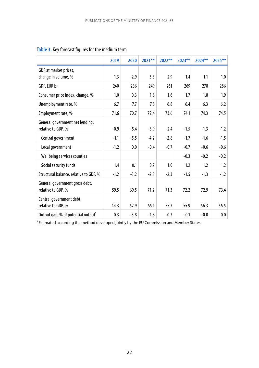|                                                       | 2019   | 2020   | 2021** | 2022** | 2023** | 2024** | 2025** |
|-------------------------------------------------------|--------|--------|--------|--------|--------|--------|--------|
| GDP at market prices,<br>change in volume, %          | 1.3    | $-2.9$ | 3.3    | 2.9    | 1.4    | 1.1    | 1.0    |
| GDP, EUR bn                                           | 240    | 236    | 249    | 261    | 269    | 278    | 286    |
| Consumer price index, change, %                       | 1.0    | 0.3    | 1.8    | 1.6    | 1.7    | 1.8    | 1.9    |
| Unemployment rate, %                                  | 6.7    | 7.7    | 7.8    | 6.8    | 6.4    | 6.3    | 6.2    |
| Employment rate, %                                    | 71.6   | 70.7   | 72.4   | 73.6   | 74.1   | 74.3   | 74.5   |
| General government net lending,<br>relative to GDP, % | $-0.9$ | $-5.4$ | $-3.9$ | $-2.4$ | $-1.5$ | $-1.3$ | $-1.2$ |
| Central government                                    | $-1.1$ | $-5.5$ | $-4.2$ | $-2.8$ | $-1.7$ | $-1.6$ | $-1.5$ |
| Local government                                      | $-1.2$ | 0.0    | $-0.4$ | $-0.7$ | $-0.7$ | $-0.6$ | $-0.6$ |
| Wellbeing services counties                           |        |        |        |        | $-0.3$ | $-0.2$ | $-0.2$ |
| Social security funds                                 | 1.4    | 0.1    | 0.7    | 1.0    | 1.2    | 1.2    | 1.2    |
| Structural balance, relative to GDP, %                | $-1.2$ | $-3.2$ | $-2.8$ | $-2.3$ | $-1.5$ | $-1.3$ | $-1.2$ |
| General government gross debt,<br>relative to GDP, %  | 59.5   | 69.5   | 71.2   | 71.3   | 72.2   | 72.9   | 73.4   |
| Central government debt,<br>relative to GDP, %        | 44.3   | 52.9   | 55.1   | 55.3   | 55.9   | 56.3   | 56.5   |
| Output gap, % of potential output <sup>1</sup>        | 0.3    | $-3.8$ | $-1.8$ | $-0.3$ | $-0.1$ | $-0.0$ | 0.0    |

#### **Table 3.** Key forecast figures for the medium term

 $1$  Estimated according the method developed jointly by the EU Commission and Member States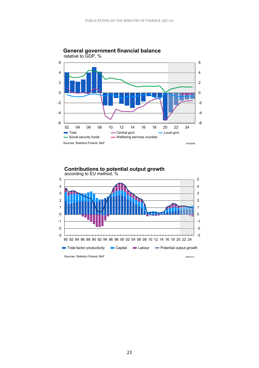

**General government financial balance** relative to GDP, %



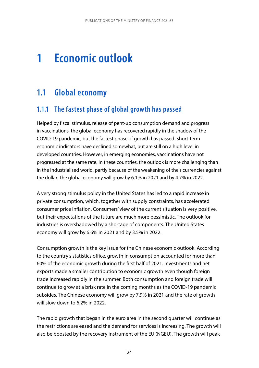# <span id="page-24-0"></span>**1 Economic outlook**

## **1.1 Global economy**

## **1.1.1 The fastest phase of global growth has passed**

Helped by fiscal stimulus, release of pent-up consumption demand and progress in vaccinations, the global economy has recovered rapidly in the shadow of the COVID-19 pandemic, but the fastest phase of growth has passed. Short-term economic indicators have declined somewhat, but are still on a high level in developed countries. However, in emerging economies, vaccinations have not progressed at the same rate. In these countries, the outlook is more challenging than in the industrialised world, partly because of the weakening of their currencies against the dollar. The global economy will grow by 6.1% in 2021 and by 4.7% in 2022.

A very strong stimulus policy in the United States has led to a rapid increase in private consumption, which, together with supply constraints, has accelerated consumer price inflation. Consumers' view of the current situation is very positive, but their expectations of the future are much more pessimistic. The outlook for industries is overshadowed by a shortage of components. The United States economy will grow by 6.6% in 2021 and by 3.5% in 2022.

Consumption growth is the key issue for the Chinese economic outlook. According to the country's statistics office, growth in consumption accounted for more than 60% of the economic growth during the first half of 2021. Investments and net exports made a smaller contribution to economic growth even though foreign trade increased rapidly in the summer. Both consumption and foreign trade will continue to grow at a brisk rate in the coming months as the COVID-19 pandemic subsides. The Chinese economy will grow by 7.9% in 2021 and the rate of growth will slow down to 6.2% in 2022.

The rapid growth that began in the euro area in the second quarter will continue as the restrictions are eased and the demand for services is increasing. The growth will also be boosted by the recovery instrument of the EU (NGEU). The growth will peak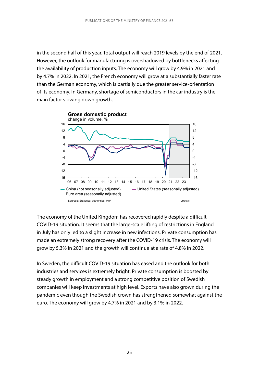in the second half of this year. Total output will reach 2019 levels by the end of 2021. However, the outlook for manufacturing is overshadowed by bottlenecks affecting the availability of production inputs. The economy will grow by 4.9% in 2021 and by 4.7% in 2022. In 2021, the French economy will grow at a substantially faster rate than the German economy, which is partially due the greater service-orientation of its economy. In Germany, shortage of semiconductors in the car industry is the main factor slowing down growth.



The economy of the United Kingdom has recovered rapidly despite a difficult COVID-19 situation. It seems that the large-scale lifting of restrictions in England in July has only led to a slight increase in new infections. Private consumption has made an extremely strong recovery after the COVID-19 crisis. The economy will grow by 5.3% in 2021 and the growth will continue at a rate of 4.8% in 2022.

In Sweden, the difficult COVID-19 situation has eased and the outlook for both industries and services is extremely bright. Private consumption is boosted by steady growth in employment and a strong competitive position of Swedish companies will keep investments at high level. Exports have also grown during the pandemic even though the Swedish crown has strengthened somewhat against the euro. The economy will grow by 4.7% in 2021 and by 3.1% in 2022.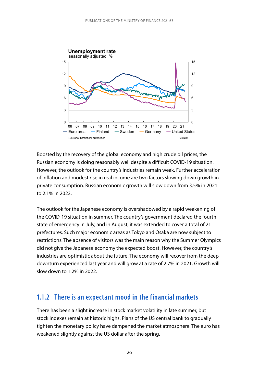<span id="page-26-0"></span>

Boosted by the recovery of the global economy and high crude oil prices, the Russian economy is doing reasonably well despite a difficult COVID-19 situation. However, the outlook for the country's industries remain weak. Further acceleration of inflation and modest rise in real income are two factors slowing down growth in private consumption. Russian economic growth will slow down from 3.5% in 2021 to 2.1% in 2022.

The outlook for the Japanese economy is overshadowed by a rapid weakening of the COVID-19 situation in summer. The country's government declared the fourth state of emergency in July, and in August, it was extended to cover a total of 21 prefectures. Such major economic areas as Tokyo and Osaka are now subject to restrictions. The absence of visitors was the main reason why the Summer Olympics did not give the Japanese economy the expected boost. However, the country's industries are optimistic about the future. The economy will recover from the deep downturn experienced last year and will grow at a rate of 2.7% in 2021. Growth will slow down to 1.2% in 2022.

#### **1.1.2 There is an expectant mood in the financial markets**

There has been a slight increase in stock market volatility in late summer, but stock indexes remain at historic highs. Plans of the US central bank to gradually tighten the monetary policy have dampened the market atmosphere. The euro has weakened slightly against the US dollar after the spring.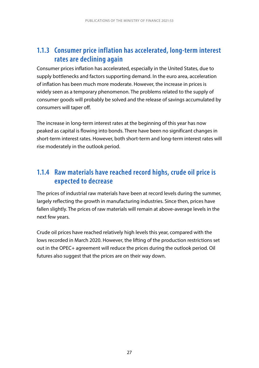## <span id="page-27-0"></span>**1.1.3 Consumer price inflation has accelerated, long-term interest rates are declining again**

Consumer prices inflation has accelerated, especially in the United States, due to supply bottlenecks and factors supporting demand. In the euro area, acceleration of inflation has been much more moderate. However, the increase in prices is widely seen as a temporary phenomenon. The problems related to the supply of consumer goods will probably be solved and the release of savings accumulated by consumers will taper off.

The increase in long-term interest rates at the beginning of this year has now peaked as capital is flowing into bonds. There have been no significant changes in short-term interest rates. However, both short-term and long-term interest rates will rise moderately in the outlook period.

## **1.1.4 Raw materials have reached record highs, crude oil price is expected to decrease**

The prices of industrial raw materials have been at record levels during the summer, largely reflecting the growth in manufacturing industries. Since then, prices have fallen slightly. The prices of raw materials will remain at above-average levels in the next few years.

Crude oil prices have reached relatively high levels this year, compared with the lows recorded in March 2020. However, the lifting of the production restrictions set out in the OPEC+ agreement will reduce the prices during the outlook period. Oil futures also suggest that the prices are on their way down.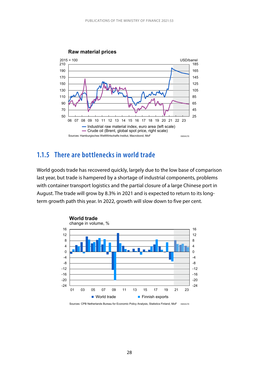<span id="page-28-0"></span>

#### **1.1.5 There are bottlenecks in world trade**

World goods trade has recovered quickly, largely due to the low base of comparison last year, but trade is hampered by a shortage of industrial components, problems with container transport logistics and the partial closure of a large Chinese port in August. The trade will grow by 8.3% in 2021 and is expected to return to its longterm growth path this year. In 2022, growth will slow down to five per cent.



Sources: CPB Netherlands Bureau for Economic Policy Analysis, Statistics Finland, MoF VM34170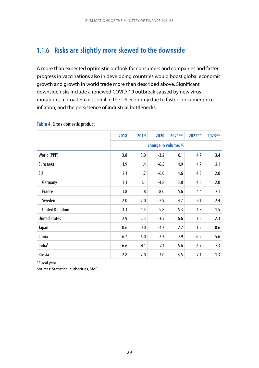## <span id="page-29-0"></span>**1.1.6 Risks are slightly more skewed to the downside**

A more than expected optimistic outlook for consumers and companies and faster progress in vaccinations also in developing countries would boost global economic growth and growth in world trade more than described above. Significant downside risks include a renewed COVID-19 outbreak caused by new virus mutations, a broader cost spiral in the US economy due to faster consumer price inflation, and the persistence of industrial bottlenecks.

|                       | 2018                                      | 2019 | 2020   | 2021** | 2022** | 2023** |  |  |
|-----------------------|-------------------------------------------|------|--------|--------|--------|--------|--|--|
|                       | change in volume, %                       |      |        |        |        |        |  |  |
| World (PPP)           | 3.8<br>$-3.2$<br>6.1<br>4.7<br>3.4<br>3.0 |      |        |        |        |        |  |  |
| Euro area             | 1.9                                       | 1.4  | $-6.5$ | 4.9    | 4.7    | 2.1    |  |  |
| EU                    | 2.1                                       | 1.7  | $-6.0$ | 4.6    | 4.3    | 2.0    |  |  |
| Germany               | 1.1                                       | 1.1  | $-4.8$ | 3.8    | 4.6    | 2.0    |  |  |
| France                | 1.8                                       | 1.8  | $-8.0$ | 5.6    | 4.4    | 2.1    |  |  |
| Sweden                | 2.0                                       | 2.0  | $-2.9$ | 4.7    | 3.1    | 2.4    |  |  |
| <b>United Kingdom</b> | 1.3                                       | 1.4  | $-9.8$ | 5.3    | 4.8    | 1.5    |  |  |
| <b>United States</b>  | 2.9                                       | 2.3  | $-3.5$ | 6.6    | 3.5    | 2.3    |  |  |
| Japan                 | 0.6                                       | 0.0  | $-4.7$ | 2.7    | 1.2    | 0.6    |  |  |
| China                 | 6.7                                       | 6.0  | 2.3    | 7.9    | 6.2    | 5.6    |  |  |
| India <sup>1</sup>    | 6.6                                       | 4.1  | $-7.4$ | 5.6    | 6.7    | 7.3    |  |  |
| Russia                | 2.8                                       | 2.0  | $-3.0$ | 3.5    | 2.1    | 1.3    |  |  |

#### **Table 4.** Gross domestic product

<sup>1</sup> Fiscal year

Sources: Statistical authorities, MoF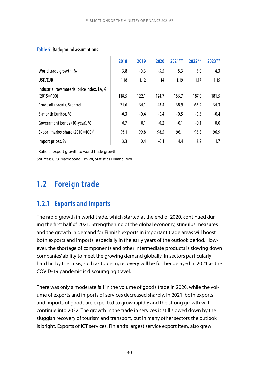|                                                                     | 2018   | 2019   | 2020   | $2021**$ | $2022**$ | $2023**$ |
|---------------------------------------------------------------------|--------|--------|--------|----------|----------|----------|
| World trade growth, %                                               | 3.8    | $-0.3$ | $-5.5$ | 8.3      | 5.0      | 4.3      |
| USD/EUR                                                             | 1.18   | 1.12   | 1.14   | 1.19     | 1.17     | 1.15     |
| Industrial raw material price index, EA, $\epsilon$<br>$(2015=100)$ | 118.5  | 122.1  | 124.7  | 186.7    | 187.0    | 181.5    |
| Crude oil (Brent), \$/barrel                                        | 71.6   | 64.1   | 43.4   | 68.9     | 68.2     | 64.3     |
| 3-month Euribor, %                                                  | $-0.3$ | $-0.4$ | $-0.4$ | $-0.5$   | $-0.5$   | $-0.4$   |
| Government bonds (10-year), %                                       | 0.7    | 0.1    | $-0.2$ | $-0.1$   | $-0.1$   | 0.0      |
| Export market share (2010=100) <sup>1</sup>                         | 93.1   | 99.8   | 98.5   | 96.1     | 96.8     | 96.9     |
| Import prices, %                                                    | 3.3    | 0.4    | $-5.1$ | 4.4      | 2.2      | 1.7      |

#### <span id="page-30-0"></span>**Table 5.** Background assumptions

<sup>1</sup> Ratio of export growth to world trade growth

Sources: CPB, Macrobond, HWWI, Statistics Finland, MoF

## **1.2 Foreign trade**

### **1.2.1 Exports and imports**

The rapid growth in world trade, which started at the end of 2020, continued during the first half of 2021. Strengthening of the global economy, stimulus measures and the growth in demand for Finnish exports in important trade areas will boost both exports and imports, especially in the early years of the outlook period. However, the shortage of components and other intermediate products is slowing down companies' ability to meet the growing demand globally. In sectors particularly hard hit by the crisis, such as tourism, recovery will be further delayed in 2021 as the COVID-19 pandemic is discouraging travel.

There was only a moderate fall in the volume of goods trade in 2020, while the volume of exports and imports of services decreased sharply. In 2021, both exports and imports of goods are expected to grow rapidly and the strong growth will continue into 2022. The growth in the trade in services is still slowed down by the sluggish recovery of tourism and transport, but in many other sectors the outlook is bright. Exports of ICT services, Finland's largest service export item, also grew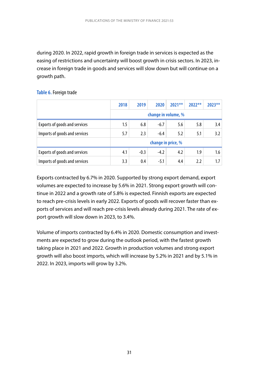during 2020. In 2022, rapid growth in foreign trade in services is expected as the easing of restrictions and uncertainty will boost growth in crisis sectors. In 2023, increase in foreign trade in goods and services will slow down but will continue on a growth path.

#### **Table 6.** Foreign trade

|                               | 2018                | 2019   | 2020   | $2021**$ | $2022**$ | $2023**$ |  |  |  |
|-------------------------------|---------------------|--------|--------|----------|----------|----------|--|--|--|
|                               | change in volume, % |        |        |          |          |          |  |  |  |
| Exports of goods and services | 1.5                 | 6.8    | $-6.7$ | 5.6      | 5.8      | 3.4      |  |  |  |
| Imports of goods and services | 5.7                 | 2.3    | $-6.4$ | 5.2      | 5.1      | 3.2      |  |  |  |
|                               | change in price, %  |        |        |          |          |          |  |  |  |
| Exports of goods and services | 4.1                 | $-0.3$ | $-4.2$ | 4.2      | 1.9      | 1.6      |  |  |  |
| Imports of goods and services | 3.3                 | 0.4    | $-5.1$ | 4.4      | 2.2      | 1.7      |  |  |  |

Exports contracted by 6.7% in 2020. Supported by strong export demand, export volumes are expected to increase by 5.6% in 2021. Strong export growth will continue in 2022 and a growth rate of 5.8% is expected. Finnish exports are expected to reach pre-crisis levels in early 2022. Exports of goods will recover faster than exports of services and will reach pre-crisis levels already during 2021. The rate of export growth will slow down in 2023, to 3.4%.

Volume of imports contracted by 6.4% in 2020. Domestic consumption and investments are expected to grow during the outlook period, with the fastest growth taking place in 2021 and 2022. Growth in production volumes and strong export growth will also boost imports, which will increase by 5.2% in 2021 and by 5.1% in 2022. In 2023, imports will grow by 3.2%.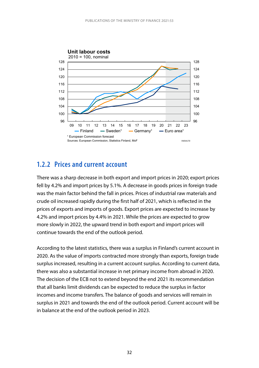<span id="page-32-0"></span>

#### **1.2.2 Prices and current account**

There was a sharp decrease in both export and import prices in 2020; export prices fell by 4.2% and import prices by 5.1%. A decrease in goods prices in foreign trade was the main factor behind the fall in prices. Prices of industrial raw materials and crude oil increased rapidly during the first half of 2021, which is reflected in the prices of exports and imports of goods. Export prices are expected to increase by 4.2% and import prices by 4.4% in 2021. While the prices are expected to grow more slowly in 2022, the upward trend in both export and import prices will continue towards the end of the outlook period.

According to the latest statistics, there was a surplus in Finland's current account in 2020. As the value of imports contracted more strongly than exports, foreign trade surplus increased, resulting in a current account surplus. According to current data, there was also a substantial increase in net primary income from abroad in 2020. The decision of the ECB not to extend beyond the end 2021 its recommendation that all banks limit dividends can be expected to reduce the surplus in factor incomes and income transfers. The balance of goods and services will remain in surplus in 2021 and towards the end of the outlook period. Current account will be in balance at the end of the outlook period in 2023.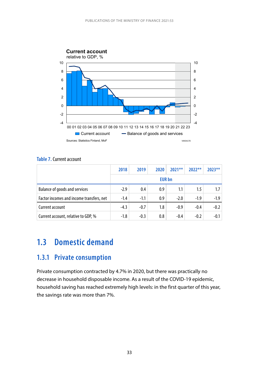<span id="page-33-0"></span>

#### **Table 7.** Current account

|                                          | 2018          | 2019   | 2020 | $2021**$ | $2022**$ | $2023**$ |  |  |
|------------------------------------------|---------------|--------|------|----------|----------|----------|--|--|
|                                          | <b>EUR</b> bn |        |      |          |          |          |  |  |
| <b>Balance of goods and services</b>     | $-2.9$        | 0.4    | 0.9  | 1.1      | 1.5      | 1.7      |  |  |
| Factor incomes and income transfers, net | $-1.4$        | $-1.1$ | 0.9  | $-2.0$   | $-1.9$   | $-1.9$   |  |  |
| Current account                          | $-4.3$        | $-0.7$ | 1.8  | $-0.9$   | $-0.4$   | $-0.2$   |  |  |
| Current account, relative to GDP, %      | $-1.8$        | $-0.3$ | 0.8  | $-0.4$   | $-0.2$   | $-0.1$   |  |  |

## **1.3 Domestic demand**

#### **1.3.1 Private consumption**

Private consumption contracted by 4.7% in 2020, but there was practically no decrease in household disposable income. As a result of the COVID-19 epidemic, household saving has reached extremely high levels: in the first quarter of this year, the savings rate was more than 7%.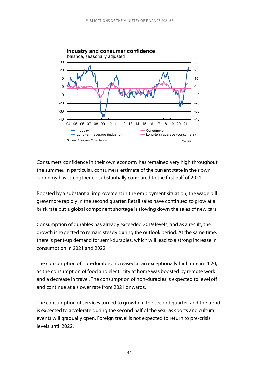

Consumers' confidence in their own economy has remained very high throughout the summer. In particular, consumers' estimate of the current state in their own economy has strengthened substantially compared to the first half of 2021.

Boosted by a substantial improvement in the employment situation, the wage bill grew more rapidly in the second quarter. Retail sales have continued to grow at a brisk rate but a global component shortage is slowing down the sales of new cars.

Consumption of durables has already exceeded 2019 levels, and as a result, the growth is expected to remain steady during the outlook period. At the same time, there is pent-up demand for semi-durables, which will lead to a strong increase in consumption in 2021 and 2022.

The consumption of non-durables increased at an exceptionally high rate in 2020, as the consumption of food and electricity at home was boosted by remote work and a decrease in travel. The consumption of non-durables is expected to level off and continue at a slower rate from 2021 onwards.

The consumption of services turned to growth in the second quarter, and the trend is expected to accelerate during the second half of the year as sports and cultural events will gradually open. Foreign travel is not expected to return to pre-crisis levels until 2022.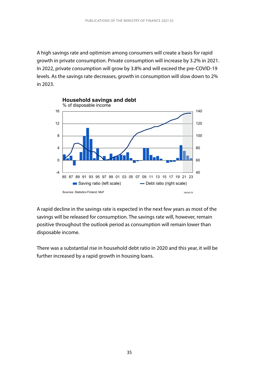A high savings rate and optimism among consumers will create a basis for rapid growth in private consumption. Private consumption will increase by 3.2% in 2021. In 2022, private consumption will grow by 3.8% and will exceed the pre-COVID-19 levels. As the savings rate decreases, growth in consumption will slow down to 2% in 2023.



A rapid decline in the savings rate is expected in the next few years as most of the savings will be released for consumption. The savings rate will, however, remain positive throughout the outlook period as consumption will remain lower than disposable income.

There was a substantial rise in household debt ratio in 2020 and this year, it will be further increased by a rapid growth in housing loans.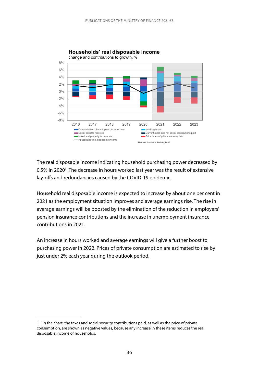

#### Households' real disposable income

The real disposable income indicating household purchasing power decreased by 0.5% in 2020<sup>1</sup>. The decrease in hours worked last year was the result of extensive lay-offs and redundancies caused by the COVID-19 epidemic.

Household real disposable income is expected to increase by about one per cent in 2021 as the employment situation improves and average earnings rise. The rise in average earnings will be boosted by the elimination of the reduction in employers' pension insurance contributions and the increase in unemployment insurance contributions in 2021.

An increase in hours worked and average earnings will give a further boost to purchasing power in 2022. Prices of private consumption are estimated to rise by just under 2% each year during the outlook period.

<sup>1</sup> In the chart, the taxes and social security contributions paid, as well as the price of private consumption, are shown as negative values, because any increase in these items reduces the real disposable income of households.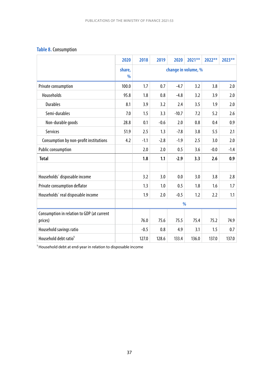## **Table 8.** Consumption

|                                                       | 2020                    | 2018   | 2019                | 2020    | 2021** | 2022** | 2023** |
|-------------------------------------------------------|-------------------------|--------|---------------------|---------|--------|--------|--------|
|                                                       | share,<br>$\frac{0}{0}$ |        | change in volume, % |         |        |        |        |
| Private consumption                                   | 100.0                   | 1.7    | 0.7                 | $-4.7$  | 3.2    | 3.8    | 2.0    |
| Households                                            | 95.8                    | 1.8    | 0.8                 | $-4.8$  | 3.2    | 3.9    | 2.0    |
| <b>Durables</b>                                       | 8.1                     | 3.9    | 3.2                 | 2.4     | 3.5    | 1.9    | 2.0    |
| Semi-durables                                         | 7.0                     | 1.5    | 3.3                 | $-10.7$ | 7.2    | 5.2    | 2.6    |
| Non-durable goods                                     | 28.8                    | 0.1    | $-0.6$              | 2.0     | 0.8    | 0.4    | 0.9    |
| Services                                              | 51.9                    | 2.5    | 1.3                 | $-7.8$  | 3.8    | 5.5    | 2.1    |
| Consumption by non-profit institutions                | 4.2                     | $-1.1$ | $-2.8$              | $-1.9$  | 2.5    | 3.0    | 2.0    |
| Public consumption                                    |                         | 2.0    | 2.0                 | 0.5     | 3.6    | $-0.0$ | $-1.4$ |
| <b>Total</b>                                          |                         | 1.8    | 1.1                 | $-2.9$  | 3.3    | 2.6    | 0.9    |
|                                                       |                         |        |                     |         |        |        |        |
| Households' disposable income                         |                         | 3.2    | 3.0                 | 0.0     | 3.0    | 3.8    | 2.8    |
| Private consumption deflator                          |                         | 1.3    | 1.0                 | 0.5     | 1.8    | 1.6    | 1.7    |
| Households' real disposable income                    |                         | 1.9    | 2.0                 | $-0.5$  | 1.2    | 2.2    | 1.1    |
|                                                       |                         | %      |                     |         |        |        |        |
| Consumption in relation to GDP (at current<br>prices) |                         | 76.0   | 75.6                | 75.5    | 75.4   | 75.2   | 74.9   |
| Household savings ratio                               |                         | $-0.5$ | 0.8                 | 4.9     | 3.1    | 1.5    | 0.7    |
| Household debt ratio <sup>1</sup>                     |                         | 127.0  | 128.6               | 133.4   | 136.0  | 137.0  | 137.0  |

 $1$  Household debt at end-year in relation to disposable income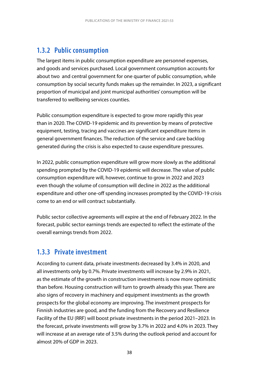# **1.3.2 Public consumption**

The largest items in public consumption expenditure are personnel expenses, and goods and services purchased. Local government consumption accounts for about two and central government for one quarter of public consumption, while consumption by social security funds makes up the remainder. In 2023, a significant proportion of municipal and joint municipal authorities' consumption will be transferred to wellbeing services counties.

Public consumption expenditure is expected to grow more rapidly this year than in 2020. The COVID-19 epidemic and its prevention by means of protective equipment, testing, tracing and vaccines are significant expenditure items in general government finances. The reduction of the service and care backlog generated during the crisis is also expected to cause expenditure pressures.

In 2022, public consumption expenditure will grow more slowly as the additional spending prompted by the COVID-19 epidemic will decrease. The value of public consumption expenditure will, however, continue to grow in 2022 and 2023 even though the volume of consumption will decline in 2022 as the additional expenditure and other one-off spending increases prompted by the COVID-19 crisis come to an end or will contract substantially.

Public sector collective agreements will expire at the end of February 2022. In the forecast, public sector earnings trends are expected to reflect the estimate of the overall earnings trends from 2022.

# **1.3.3 Private investment**

According to current data, private investments decreased by 3.4% in 2020, and all investments only by 0.7%. Private investments will increase by 2.9% in 2021, as the estimate of the growth in construction investments is now more optimistic than before. Housing construction will turn to growth already this year. There are also signs of recovery in machinery and equipment investments as the growth prospects for the global economy are improving. The investment prospects for Finnish industries are good, and the funding from the Recovery and Resilience Facility of the EU (RRF) will boost private investments in the period 2021–2023. In the forecast, private investments will grow by 3.7% in 2022 and 4.0% in 2023. They will increase at an average rate of 3.5% during the outlook period and account for almost 20% of GDP in 2023.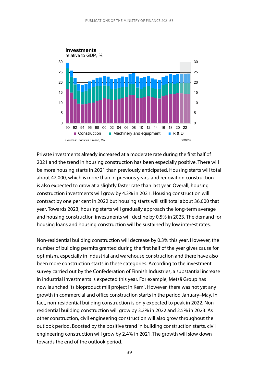

Private investments already increased at a moderate rate during the first half of 2021 and the trend in housing construction has been especially positive. There will be more housing starts in 2021 than previously anticipated. Housing starts will total about 42,000, which is more than in previous years, and renovation construction is also expected to grow at a slightly faster rate than last year. Overall, housing construction investments will grow by 4.3% in 2021. Housing construction will contract by one per cent in 2022 but housing starts will still total about 36,000 that year. Towards 2023, housing starts will gradually approach the long-term average and housing construction investments will decline by 0.5% in 2023. The demand for housing loans and housing construction will be sustained by low interest rates.

Non-residential building construction will decrease by 0.3% this year. However, the number of building permits granted during the first half of the year gives cause for optimism, especially in industrial and warehouse construction and there have also been more construction starts in these categories. According to the investment survey carried out by the Confederation of Finnish Industries, a substantial increase in industrial investments is expected this year. For example, Metsä Group has now launched its bioproduct mill project in Kemi. However, there was not yet any growth in commercial and office construction starts in the period January–May. In fact, non-residential building construction is only expected to peak in 2022. Nonresidential building construction will grow by 3.2% in 2022 and 2.5% in 2023. As other construction, civil engineering construction will also grow throughout the outlook period. Boosted by the positive trend in building construction starts, civil engineering construction will grow by 2.4% in 2021. The growth will slow down towards the end of the outlook period.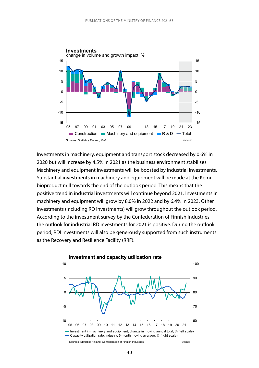

Investments in machinery, equipment and transport stock decreased by 0.6% in 2020 but will increase by 4.5% in 2021 as the business environment stabilises. Machinery and equipment investments will be boosted by industrial investments. Substantial investments in machinery and equipment will be made at the Kemi bioproduct mill towards the end of the outlook period. This means that the positive trend in industrial investments will continue beyond 2021. Investments in machinery and equipment will grow by 8.0% in 2022 and by 6.4% in 2023. Other investments (including RD investments) will grow throughout the outlook period. According to the investment survey by the Confederation of Finnish Industries, the outlook for industrial RD investments for 2021 is positive. During the outlook period, RDI investments will also be generously supported from such instruments as the Recovery and Resilience Facility (RRF).

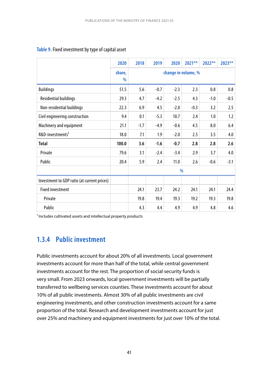|                                             | 2020                    | 2018          | 2019                | 2020   | $2021**$ | $2022**$ | 2023** |
|---------------------------------------------|-------------------------|---------------|---------------------|--------|----------|----------|--------|
|                                             | share,<br>$\frac{0}{0}$ |               | change in volume, % |        |          |          |        |
| <b>Buildings</b>                            | 51.5                    | 5.6           | $-0.7$              | $-2.3$ | 2.3      | 0.8      | 0.8    |
| <b>Residential buildings</b>                | 29.3                    | 4.7           | $-4.2$              | $-2.5$ | 4.3      | $-1.0$   | $-0.5$ |
| Non-residential buildings                   | 22.3                    | 6.9           | 4.5                 | $-2.0$ | $-0.3$   | 3.2      | 2.5    |
| Civil engineering construction              | 9.4                     | 0.1           | $-5.3$              | 10.7   | 2.4      | 1.0      | 1.2    |
| Machinery and equipment                     | 21.1                    | $-1.7$        | $-4.9$              | $-0.6$ | 4.5      | 8.0      | 6.4    |
| R&D-investments <sup>1</sup>                | 18.0                    | 7.1           | 1.9                 | $-2.0$ | 2.5      | 3.5      | 4.0    |
| Total                                       | 100.0                   | 3.6           | $-1.6$              | $-0.7$ | 2.8      | 2.8      | 2.6    |
| Private                                     | 79.6                    | 3.1           | $-2.4$              | $-3.4$ | 2.9      | 3.7      | 4.0    |
| Public                                      | 20.4                    | 5.9           | 2.4                 | 11.0   | 2.6      | $-0.6$   | $-3.1$ |
|                                             |                         | $\frac{0}{0}$ |                     |        |          |          |        |
| Investment to GDP ratio (at current prices) |                         |               |                     |        |          |          |        |
| <b>Fixed investment</b>                     |                         | 24.1          | 23.7                | 24.2   | 24.1     | 24.1     | 24.4   |
| Private                                     |                         | 19.8          | 19.4                | 19.3   | 19.2     | 19.3     | 19.8   |
| Public                                      |                         | 4.3           | 4.4                 | 4.9    | 4.9      | 4.8      | 4.6    |

#### **Table 9.** Fixed investment by type of capital asset

<sup>1</sup> Includes cultivated assets and intellectual property products

# **1.3.4 Public investment**

Public investments account for about 20% of all investments. Local government investments account for more than half of the total, while central government investments account for the rest. The proportion of social security funds is very small. From 2023 onwards, local government investments will be partially transferred to wellbeing services counties. These investments account for about 10% of all public investments. Almost 30% of all public investments are civil engineering investments, and other construction investments account for a same proportion of the total. Research and development investments account for just over 25% and machinery and equipment investments for just over 10% of the total.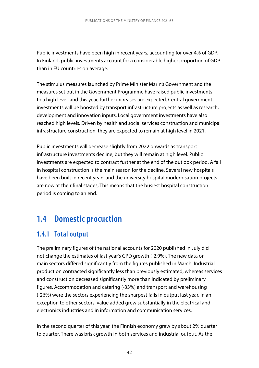Public investments have been high in recent years, accounting for over 4% of GDP. In Finland, public investments account for a considerable higher proportion of GDP than in EU countries on average.

The stimulus measures launched by Prime Minister Marin's Government and the measures set out in the Government Programme have raised public investments to a high level, and this year, further increases are expected. Central government investments will be boosted by transport infrastructure projects as well as research, development and innovation inputs. Local government investments have also reached high levels. Driven by health and social services construction and municipal infrastructure construction, they are expected to remain at high level in 2021.

Public investments will decrease slightly from 2022 onwards as transport infrastructure investments decline, but they will remain at high level. Public investments are expected to contract further at the end of the outlook period. A fall in hospital construction is the main reason for the decline. Several new hospitals have been built in recent years and the university hospital modernisation projects are now at their final stages, This means that the busiest hospital construction period is coming to an end.

# **1.4 Domestic procuction**

# **1.4.1 Total output**

The preliminary figures of the national accounts for 2020 published in July did not change the estimates of last year's GPD growth (-2.9%). The new data on main sectors differed significantly from the figures published in March. Industrial production contracted significantly less than previously estimated, whereas services and construction decreased significantly more than indicated by preliminary figures. Accommodation and catering (-33%) and transport and warehousing (-26%) were the sectors experiencing the sharpest falls in output last year. In an exception to other sectors, value added grew substantially in the electrical and electronics industries and in information and communication services.

In the second quarter of this year, the Finnish economy grew by about 2% quarter to quarter. There was brisk growth in both services and industrial output. As the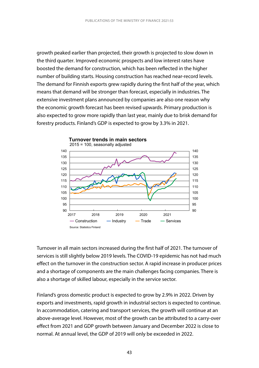growth peaked earlier than projected, their growth is projected to slow down in the third quarter. Improved economic prospects and low interest rates have boosted the demand for construction, which has been reflected in the higher number of building starts. Housing construction has reached near-record levels. The demand for Finnish exports grew rapidly during the first half of the year, which means that demand will be stronger than forecast, especially in industries. The extensive investment plans announced by companies are also one reason why the economic growth forecast has been revised upwards. Primary production is also expected to grow more rapidly than last year, mainly due to brisk demand for forestry products. Finland's GDP is expected to grow by 3.3% in 2021.



Turnover in all main sectors increased during the first half of 2021. The turnover of services is still slightly below 2019 levels. The COVID-19 epidemic has not had much effect on the turnover in the construction sector. A rapid increase in producer prices and a shortage of components are the main challenges facing companies. There is also a shortage of skilled labour, especially in the service sector.

Finland's gross domestic product is expected to grow by 2.9% in 2022. Driven by exports and investments, rapid growth in industrial sectors is expected to continue. In accommodation, catering and transport services, the growth will continue at an above-average level. However, most of the growth can be attributed to a carry-over effect from 2021 and GDP growth between January and December 2022 is close to normal. At annual level, the GDP of 2019 will only be exceeded in 2022.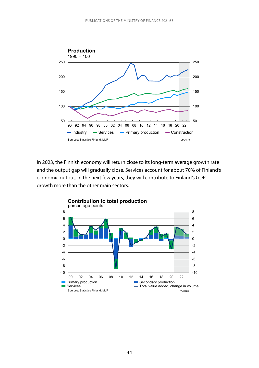

In 2023, the Finnish economy will return close to its long-term average growth rate and the output gap will gradually close. Services account for about 70% of Finland's economic output. In the next few years, they will contribute to Finland's GDP growth more than the other main sectors.

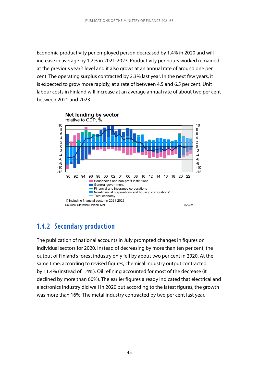Economic productivity per employed person decreased by 1.4% in 2020 and will increase in average by 1.2% in 2021-2023. Productivity per hours worked remained at the previous year's level and it also grows at an annual rate of around one per cent. The operating surplus contracted by 2.3% last year. In the next few years, it is expected to grow more rapidly, at a rate of between 4.5 and 6.5 per cent. Unit labour costs in Finland will increase at an average annual rate of about two per cent between 2021 and 2023.



# **1.4.2 Secondary production**

The publication of national accounts in July prompted changes in figures on individual sectors for 2020. Instead of decreasing by more than ten per cent, the output of Finland's forest industry only fell by about two per cent in 2020. At the same time, according to revised figures, chemical industry output contracted by 11.4% (instead of 1.4%). Oil refining accounted for most of the decrease (it declined by more than 60%). The earlier figures already indicated that electrical and electronics industry did well in 2020 but according to the latest figures, the growth was more than 16%. The metal industry contracted by two per cent last year.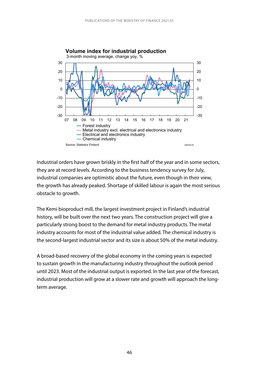

**Volume index for industrial production**

Industrial orders have grown briskly in the first half of the year and in some sectors, they are at record levels. According to the business tendency survey for July, industrial companies are optimistic about the future, even though in their view, the growth has already peaked. Shortage of skilled labour is again the most serious obstacle to growth.

The Kemi bioproduct mill, the largest investment project in Finland's industrial history, will be built over the next two years. The construction project will give a particularly strong boost to the demand for metal industry products. The metal industry accounts for most of the industrial value added. The chemical industry is the second-largest industrial sector and its size is about 50% of the metal industry.

A broad-based recovery of the global economy in the coming years is expected to sustain growth in the manufacturing industry throughout the outlook period until 2023. Most of the industrial output is exported. In the last year of the forecast, industrial production will grow at a slower rate and growth will approach the longterm average.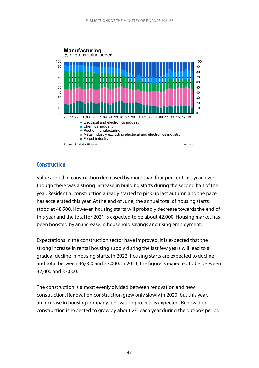

#### **Construction**

Value added in construction decreased by more than four per cent last year, even though there was a strong increase in building starts during the second half of the year. Residential construction already started to pick up last autumn and the pace has accelerated this year. At the end of June, the annual total of housing starts stood at 48,500. However, housing starts will probably decrease towards the end of this year and the total for 2021 is expected to be about 42,000. Housing market has been boosted by an increase in household savings and rising employment.

Expectations in the construction sector have improved. It is expected that the strong increase in rental housing supply during the last few years will lead to a gradual decline in housing starts. In 2022, housing starts are expected to decline and total between 36,000 and 37,000. In 2023, the figure is expected to be between 32,000 and 33,000.

The construction is almost evenly divided between renovation and new construction. Renovation construction grew only slowly in 2020, but this year, an increase in housing company renovation projects is expected. Renovation construction is expected to grow by about 2% each year during the outlook period.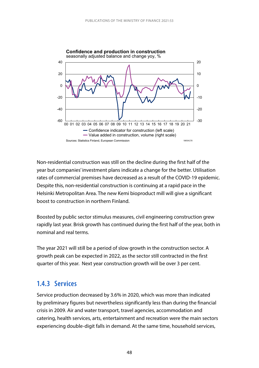

Non-residential construction was still on the decline during the first half of the year but companies' investment plans indicate a change for the better. Utilisation rates of commercial premises have decreased as a result of the COVID-19 epidemic. Despite this, non-residential construction is continuing at a rapid pace in the Helsinki Metropolitan Area. The new Kemi bioproduct mill will give a significant boost to construction in northern Finland.

Boosted by public sector stimulus measures, civil engineering construction grew rapidly last year. Brisk growth has continued during the first half of the year, both in nominal and real terms.

The year 2021 will still be a period of slow growth in the construction sector. A growth peak can be expected in 2022, as the sector still contracted in the first quarter of this year. Next year construction growth will be over 3 per cent.

# **1.4.3 Services**

Service production decreased by 3.6% in 2020, which was more than indicated by preliminary figures but nevertheless significantly less than during the financial crisis in 2009. Air and water transport, travel agencies, accommodation and catering, health services, arts, entertainment and recreation were the main sectors experiencing double-digit falls in demand. At the same time, household services,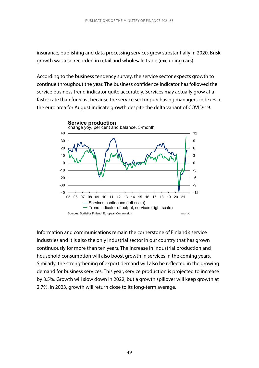insurance, publishing and data processing services grew substantially in 2020. Brisk growth was also recorded in retail and wholesale trade (excluding cars).

According to the business tendency survey, the service sector expects growth to continue throughout the year. The business confidence indicator has followed the service business trend indicator quite accurately. Services may actually grow at a faster rate than forecast because the service sector purchasing managers' indexes in the euro area for August indicate growth despite the delta variant of COVID-19.



Information and communications remain the cornerstone of Finland's service industries and it is also the only industrial sector in our country that has grown continuously for more than ten years. The increase in industrial production and household consumption will also boost growth in services in the coming years. Similarly, the strengthening of export demand will also be reflected in the growing demand for business services. This year, service production is projected to increase by 3.5%. Growth will slow down in 2022, but a growth spillover will keep growth at 2.7%. In 2023, growth will return close to its long-term average.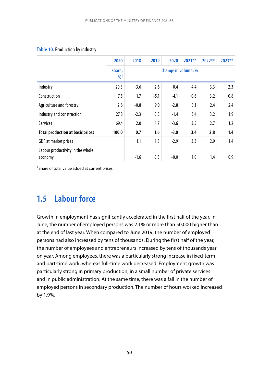#### **Table 10.** Production by industry

|                                             | 2020               | 2018                | 2019   | 2020   | $2021***$ | $2022**$ | $2023**$ |
|---------------------------------------------|--------------------|---------------------|--------|--------|-----------|----------|----------|
|                                             | share,<br>$\%^{1}$ | change in volume, % |        |        |           |          |          |
| Industry                                    | 20.3               | $-3.6$              | 2.6    | $-0.4$ | 4.4       | 3.3      | 2.3      |
| Construction                                | 7.5                | 1.7                 | $-5.1$ | $-4.1$ | 0.6       | 3.2      | 0.8      |
| Agriculture and forestry                    | 2.8                | $-0.8$              | 9.0    | $-2.8$ | 3.1       | 2.4      | 2.4      |
| Industry and construction                   | 27.8               | $-2.3$              | 0.5    | $-1.4$ | 3.4       | 3.2      | 1.9      |
| <b>Services</b>                             | 69.4               | 2.0                 | 1.7    | $-3.6$ | 3.5       | 2.7      | 1.2      |
| <b>Total production at basic prices</b>     | 100.0              | 0.7                 | 1.6    | $-3.0$ | 3.4       | 2.8      | 1.4      |
| GDP at market prices                        |                    | 1.1                 | 1.3    | $-2.9$ | 3.3       | 2.9      | 1.4      |
| Labour productivity in the whole<br>economy |                    | $-1.6$              | 0.3    | $-0.0$ | 1.0       | 1.4      | 0.9      |

<sup>1</sup> Share of total value added at current prices

# **1.5 Labour force**

Growth in employment has significantly accelerated in the first half of the year. In June, the number of employed persons was 2.1% or more than 50,000 higher than at the end of last year. When compared to June 2019, the number of employed persons had also increased by tens of thousands. During the first half of the year, the number of employees and entrepreneurs increased by tens of thousands year on year. Among employees, there was a particularly strong increase in fixed-term and part-time work, whereas full-time work decreased. Employment growth was particularly strong in primary production, in a small number of private services and in public administration. At the same time, there was a fall in the number of employed persons in secondary production. The number of hours worked increased by 1.9%.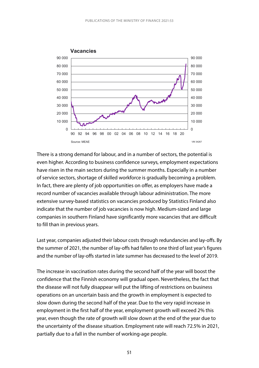

There is a strong demand for labour, and in a number of sectors, the potential is even higher. According to business confidence surveys, employment expectations have risen in the main sectors during the summer months. Especially in a number of service sectors, shortage of skilled workforce is gradually becoming a problem. In fact, there are plenty of job opportunities on offer, as employers have made a record number of vacancies available through labour administration. The more extensive survey-based statistics on vacancies produced by Statistics Finland also indicate that the number of job vacancies is now high. Medium-sized and large companies in southern Finland have significantly more vacancies that are difficult to fill than in previous years.

Last year, companies adjusted their labour costs through redundancies and lay-offs. By the summer of 2021, the number of lay-offs had fallen to one third of last year's figures and the number of lay-offs started in late summer has decreased to the level of 2019.

The increase in vaccination rates during the second half of the year will boost the confidence that the Finnish economy will gradual open. Nevertheless, the fact that the disease will not fully disappear will put the lifting of restrictions on business operations on an uncertain basis and the growth in employment is expected to slow down during the second half of the year. Due to the very rapid increase in employment in the first half of the year, employment growth will exceed 2% this year, even though the rate of growth will slow down at the end of the year due to the uncertainty of the disease situation. Employment rate will reach 72.5% in 2021, partially due to a fall in the number of working-age people.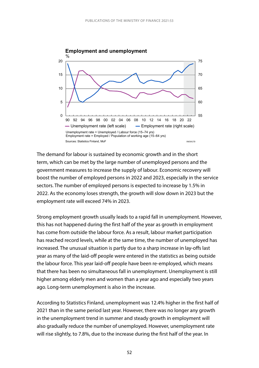

The demand for labour is sustained by economic growth and in the short term, which can be met by the large number of unemployed persons and the government measures to increase the supply of labour. Economic recovery will boost the number of employed persons in 2022 and 2023, especially in the service sectors. The number of employed persons is expected to increase by 1.5% in 2022. As the economy loses strength, the growth will slow down in 2023 but the employment rate will exceed 74% in 2023.

Strong employment growth usually leads to a rapid fall in unemployment. However, this has not happened during the first half of the year as growth in employment has come from outside the labour force. As a result, labour market participation has reached record levels, while at the same time, the number of unemployed has increased. The unusual situation is partly due to a sharp increase in lay-offs last year as many of the laid-off people were entered in the statistics as being outside the labour force. This year laid-off people have been re-employed, which means that there has been no simultaneous fall in unemployment. Unemployment is still higher among elderly men and women than a year ago and especially two years ago. Long-term unemployment is also in the increase.

According to Statistics Finland, unemployment was 12.4% higher in the first half of 2021 than in the same period last year. However, there was no longer any growth in the unemployment trend in summer and steady growth in employment will also gradually reduce the number of unemployed. However, unemployment rate will rise slightly, to 7.8%, due to the increase during the first half of the year. In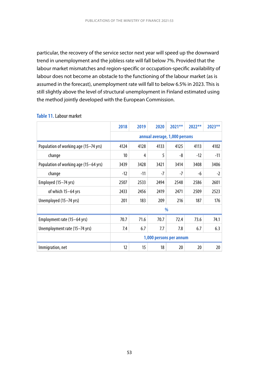particular, the recovery of the service sector next year will speed up the downward trend in unemployment and the jobless rate will fall below 7%. Provided that the labour market mismatches and region-specific or occupation-specific availability of labour does not become an obstacle to the functioning of the labour market (as is assumed in the forecast), unemployment rate will fall to below 6.5% in 2023. This is still slightly above the level of structural unemployment in Finland estimated using the method jointly developed with the European Commission.

|                                       | 2018                    | 2019                          | 2020 | $2021**$ | $2022**$ | 2023** |  |  |
|---------------------------------------|-------------------------|-------------------------------|------|----------|----------|--------|--|--|
|                                       |                         | annual average, 1,000 persons |      |          |          |        |  |  |
| Population of working age (15-74 yrs) | 4124                    | 4128                          | 4133 | 4125     | 4113     | 4102   |  |  |
| change                                | 10 <sup>10</sup>        | 4                             | 5    | -8       | $-12$    | $-11$  |  |  |
| Population of working age (15–64 yrs) | 3439                    | 3428                          | 3421 | 3414     | 3408     | 3406   |  |  |
| change                                | $-12$                   | $-11$                         | $-7$ | $-7$     | -6       | $-2$   |  |  |
| Employed (15–74 yrs)                  | 2507                    | 2533                          | 2494 | 2548     | 2586     | 2601   |  |  |
| of which 15-64 yrs                    | 2433                    | 2456                          | 2419 | 2471     | 2509     | 2523   |  |  |
| Unemployed (15–74 yrs)                | 201                     | 183                           | 209  | 216      | 187      | 176    |  |  |
|                                       |                         |                               |      | $\%$     |          |        |  |  |
| Employment rate (15–64 yrs)           | 70.7                    | 71.6                          | 70.7 | 72.4     | 73.6     | 74.1   |  |  |
| Unemployment rate (15–74 yrs)         | 7.4                     | 6.7                           | 7.7  | 7.8      | 6.7      | 6.3    |  |  |
|                                       | 1,000 persons per annum |                               |      |          |          |        |  |  |
| Immigration, net                      | 12                      | 15                            | 18   | 20       | 20       | 20     |  |  |

#### **Table 11.** Labour market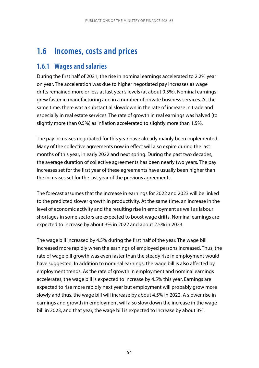# **1.6 Incomes, costs and prices**

## **1.6.1 Wages and salaries**

During the first half of 2021, the rise in nominal earnings accelerated to 2.2% year on year. The acceleration was due to higher negotiated pay increases as wage drifts remained more or less at last year's levels (at about 0.5%). Nominal earnings grew faster in manufacturing and in a number of private business services. At the same time, there was a substantial slowdown in the rate of increase in trade and especially in real estate services. The rate of growth in real earnings was halved (to slightly more than 0.5%) as inflation accelerated to slightly more than 1.5%.

The pay increases negotiated for this year have already mainly been implemented. Many of the collective agreements now in effect will also expire during the last months of this year, in early 2022 and next spring. During the past two decades, the average duration of collective agreements has been nearly two years. The pay increases set for the first year of these agreements have usually been higher than the increases set for the last year of the previous agreements.

The forecast assumes that the increase in earnings for 2022 and 2023 will be linked to the predicted slower growth in productivity. At the same time, an increase in the level of economic activity and the resulting rise in employment as well as labour shortages in some sectors are expected to boost wage drifts. Nominal earnings are expected to increase by about 3% in 2022 and about 2.5% in 2023.

The wage bill increased by 4.5% during the first half of the year. The wage bill increased more rapidly when the earnings of employed persons increased. Thus, the rate of wage bill growth was even faster than the steady rise in employment would have suggested. In addition to nominal earnings, the wage bill is also affected by employment trends. As the rate of growth in employment and nominal earnings accelerates, the wage bill is expected to increase by 4.5% this year. Earnings are expected to rise more rapidly next year but employment will probably grow more slowly and thus, the wage bill will increase by about 4.5% in 2022. A slower rise in earnings and growth in employment will also slow down the increase in the wage bill in 2023, and that year, the wage bill is expected to increase by about 3%.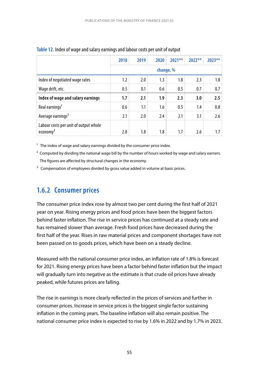|                                                             | 2018      | 2019 | 2020 | $2021**$ | $2022**$ | $2023**$ |  |
|-------------------------------------------------------------|-----------|------|------|----------|----------|----------|--|
|                                                             | change, % |      |      |          |          |          |  |
| Index of negotiated wage rates                              | 1.2       | 2.0  | 1.3  | 1.8      | 2.3      | 1.8      |  |
| Wage drift, etc.                                            | 0.5       | 0.1  | 0.6  | 0.5      | 0.7      | 0.7      |  |
| Index of wage and salary earnings                           | 1.7       | 2.1  | 1.9  | 2.3      | 3.0      | 2.5      |  |
| Real earnings <sup>1</sup>                                  | 0.6       | 1.1  | 1.6  | 0.5      | 1.4      | 0.8      |  |
| Average earnings <sup>2</sup>                               | 2.1       | 2.0  | 2.4  | 2.1      | 3.1      | 2.6      |  |
| Labour costs per unit of output whole<br>$e_{\rm conomy}^3$ | 2.8       | 1.8  | 1.8  | 1.7      | 2.6      | 1.7      |  |

#### **Table 12.** Index of wage and salary earnings and labour costs per unit of output

 $1$  The index of wage and salary earnings divided by the consumer price index.

 $<sup>2</sup>$  Computed by dividing the national wage bill by the number of hours worked by wage and salary earners.</sup> The figures are affected by structural changes in the economy.

<sup>3</sup> Compensation of employees divided by gross value added in volume at basic prices.

# **1.6.2 Consumer prices**

The consumer price index rose by almost two per cent during the first half of 2021 year on year. Rising energy prices and food prices have been the biggest factors behind faster inflation. The rise in service prices has continued at a steady rate and has remained slower than average. Fresh food prices have decreased during the first half of the year. Rises in raw material prices and component shortages have not been passed on to goods prices, which have been on a steady decline.

Measured with the national consumer price index, an inflation rate of 1.8% is forecast for 2021. Rising energy prices have been a factor behind faster inflation but the impact will gradually turn into negative as the estimate is that crude oil prices have already peaked, while futures prices are falling.

The rise in earnings is more clearly reflected in the prices of services and further in consumer prices. Increase in service prices is the biggest single factor sustaining inflation in the coming years. The baseline inflation will also remain positive. The national consumer price index is expected to rise by 1.6% in 2022 and by 1.7% in 2023.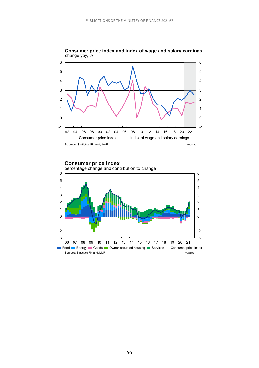

**Consumer price index and index of wage and salary earnings** change yoy, %

**Consumer price index**



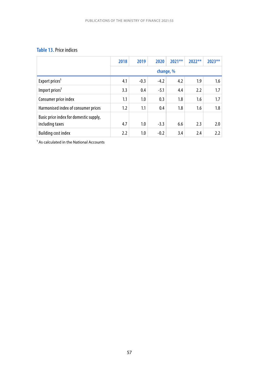#### **Table 13.** Price indices

|                                                           | 2018      | 2019   | 2020   | $2021**$ | $2022**$ | $2023**$ |
|-----------------------------------------------------------|-----------|--------|--------|----------|----------|----------|
|                                                           | change, % |        |        |          |          |          |
| Export prices <sup>1</sup>                                | 4.1       | $-0.3$ | $-4.2$ | 4.2      | 1.9      | 1.6      |
| Import prices <sup>1</sup>                                | 3.3       | 0.4    | $-5.1$ | 4.4      | 2.2      | 1.7      |
| Consumer price index                                      | 1.1       | 1.0    | 0.3    | 1.8      | 1.6      | 1.7      |
| Harmonised index of consumer prices                       | 1.2       | 1.1    | 0.4    | 1.8      | 1.6      | 1.8      |
| Basic price index for domestic supply,<br>including taxes | 4.7       | 1.0    | $-3.3$ | 6.6      | 2.3      | 2.0      |
| <b>Building cost index</b>                                | 2.2       | 1.0    | $-0.2$ | 3.4      | 2.4      | 2.2      |

 $<sup>1</sup>$  As calculated in the National Accounts</sup>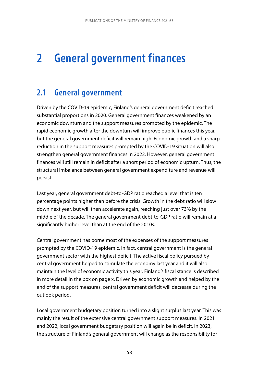# **2 General government finances**

# **2.1 General government**

Driven by the COVID-19 epidemic, Finland's general government deficit reached substantial proportions in 2020. General government finances weakened by an economic downturn and the support measures prompted by the epidemic. The rapid economic growth after the downturn will improve public finances this year, but the general government deficit will remain high. Economic growth and a sharp reduction in the support measures prompted by the COVID-19 situation will also strengthen general government finances in 2022. However, general government finances will still remain in deficit after a short period of economic upturn. Thus, the structural imbalance between general government expenditure and revenue will persist.

Last year, general government debt-to-GDP ratio reached a level that is ten percentage points higher than before the crisis. Growth in the debt ratio will slow down next year, but will then accelerate again, reaching just over 73% by the middle of the decade. The general government debt-to-GDP ratio will remain at a significantly higher level than at the end of the 2010s.

Central government has borne most of the expenses of the support measures prompted by the COVID-19 epidemic. In fact, central government is the general government sector with the highest deficit. The active fiscal policy pursued by central government helped to stimulate the economy last year and it will also maintain the level of economic activity this year. Finland's fiscal stance is described in more detail in the box on page x. Driven by economic growth and helped by the end of the support measures, central government deficit will decrease during the outlook period.

Local government budgetary position turned into a slight surplus last year. This was mainly the result of the extensive central government support measures. In 2021 and 2022, local government budgetary position will again be in deficit. In 2023, the structure of Finland's general government will change as the responsibility for

58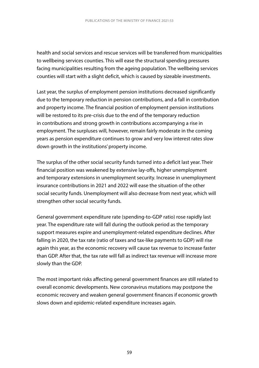health and social services and rescue services will be transferred from municipalities to wellbeing services counties. This will ease the structural spending pressures facing municipalities resulting from the ageing population. The wellbeing services counties will start with a slight deficit, which is caused by sizeable investments.

Last year, the surplus of employment pension institutions decreased significantly due to the temporary reduction in pension contributions, and a fall in contribution and property income. The financial position of employment pension institutions will be restored to its pre-crisis due to the end of the temporary reduction in contributions and strong growth in contributions accompanying a rise in employment. The surpluses will, however, remain fairly moderate in the coming years as pension expenditure continues to grow and very low interest rates slow down growth in the institutions' property income.

The surplus of the other social security funds turned into a deficit last year. Their financial position was weakened by extensive lay-offs, higher unemployment and temporary extensions in unemployment security. Increase in unemployment insurance contributions in 2021 and 2022 will ease the situation of the other social security funds. Unemployment will also decrease from next year, which will strengthen other social security funds.

General government expenditure rate (spending-to-GDP ratio) rose rapidly last year. The expenditure rate will fall during the outlook period as the temporary support measures expire and unemployment-related expenditure declines. After falling in 2020, the tax rate (ratio of taxes and tax-like payments to GDP) will rise again this year, as the economic recovery will cause tax revenue to increase faster than GDP. After that, the tax rate will fall as indirect tax revenue will increase more slowly than the GDP.

The most important risks affecting general government finances are still related to overall economic developments. New coronavirus mutations may postpone the economic recovery and weaken general government finances if economic growth slows down and epidemic-related expenditure increases again.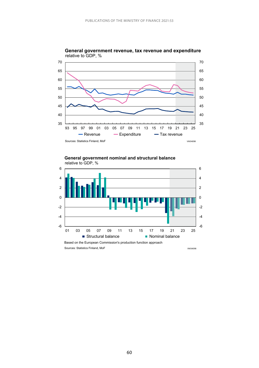



**General government nominal and structural balance** relative to GDP, %

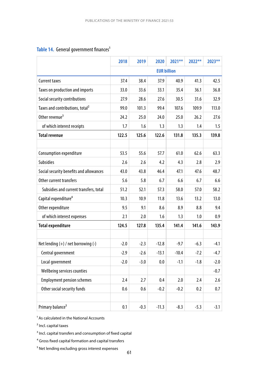## Table 14. General government finances<sup>1</sup>

|                                             | 2018   | 2019   | 2020               | 2021**  | 2022** | 2023** |
|---------------------------------------------|--------|--------|--------------------|---------|--------|--------|
|                                             |        |        | <b>EUR billion</b> |         |        |        |
| <b>Current taxes</b>                        | 37.4   | 38.4   | 37.9               | 40.9    | 41.3   | 42.5   |
| Taxes on production and imports             | 33.0   | 33.6   | 33.1               | 35.4    | 36.1   | 36.8   |
| Social security contributions               | 27.9   | 28.6   | 27.6               | 30.5    | 31.6   | 32.9   |
| Taxes and contributions, total <sup>2</sup> | 99.0   | 101.3  | 99.4               | 107.6   | 109.9  | 113.0  |
| Other revenue <sup>3</sup>                  | 24.2   | 25.0   | 24.0               | 25.0    | 26.2   | 27.6   |
| of which interest receipts                  | 1.7    | 1.6    | 1.3                | 1.3     | 1.4    | 1.5    |
| <b>Total revenue</b>                        | 122.5  | 125.6  | 122.6              | 131.8   | 135.3  | 139.8  |
|                                             |        |        |                    |         |        |        |
| Consumption expenditure                     | 53.5   | 55.6   | 57.7               | 61.0    | 62.6   | 63.3   |
| <b>Subsidies</b>                            | 2.6    | 2.6    | 4.2                | 4.3     | 2.8    | 2.9    |
| Social security benefits and allowances     | 43.0   | 43.8   | 46.4               | 47.1    | 47.6   | 48.7   |
| Other current transfers                     | 5.6    | 5.8    | 6.7                | 6.6     | 6.7    | 6.6    |
| Subsidies and current transfers, total      | 51.2   | 52.1   | 57.3               | 58.0    | 57.0   | 58.2   |
| Capital expenditure <sup>4</sup>            | 10.3   | 10.9   | 11.8               | 13.6    | 13.2   | 13.0   |
| Other expenditure                           | 9.5    | 9.1    | 8.6                | 8.9     | 8.8    | 9.4    |
| of which interest expenses                  | 2.1    | 2.0    | 1.6                | 1.3     | 1.0    | 0.9    |
| <b>Total expenditure</b>                    | 124.5  | 127.8  | 135.4              | 141.4   | 141.6  | 143.9  |
|                                             |        |        |                    |         |        |        |
| Net lending $(+)$ / net borrowing $(-)$     | $-2.0$ | $-2.3$ | $-12.8$            | $-9.7$  | $-6.3$ | $-4.1$ |
| Central government                          | $-2.9$ | $-2.6$ | $-13.1$            | $-10.4$ | $-7.2$ | $-4.7$ |
| Local government                            | $-2.0$ | $-3.0$ | 0.0                | $-1.1$  | $-1.8$ | $-2.0$ |
| Wellbeing services counties                 |        |        |                    |         |        | $-0.7$ |
| <b>Employment pension schemes</b>           | 2.4    | 2.7    | 0.4                | 2.0     | 2.4    | 2.6    |
| Other social security funds                 | 0.6    | 0.6    | $-0.2$             | $-0.2$  | 0.2    | 0.7    |
|                                             |        |        |                    |         |        |        |
| Primary balance <sup>5</sup>                | 0.1    | $-0.3$ | $-11.3$            | $-8.3$  | $-5.3$ | $-3.1$ |

 $<sup>1</sup>$  As calculated in the National Accounts</sup>

² Incl. capital taxes

<sup>3</sup> Incl. capital transfers and consumption of fixed capital

⁴ Gross fixed capital formation and capital transfers

<sup>5</sup> Net lending excluding gross interest expenses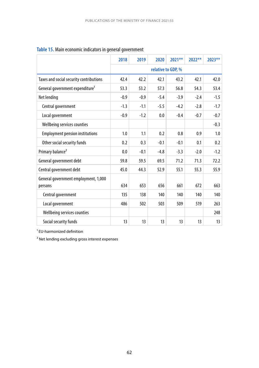|                                             | 2018   | 2019               | 2020   | $2021**$ | $2022**$ | 2023** |  |
|---------------------------------------------|--------|--------------------|--------|----------|----------|--------|--|
|                                             |        | relative to GDP, % |        |          |          |        |  |
| Taxes and social security contributions     | 42.4   | 42.2               | 42.1   | 43.2     | 42.1     | 42.0   |  |
| General government expenditure <sup>1</sup> | 53.3   | 53.2               | 57.3   | 56.8     | 54.3     | 53.4   |  |
| Net lending                                 | $-0.9$ | $-0.9$             | $-5.4$ | $-3.9$   | $-2.4$   | $-1.5$ |  |
| Central government                          | $-1.3$ | $-1.1$             | $-5.5$ | $-4.2$   | $-2.8$   | $-1.7$ |  |
| Local government                            | $-0.9$ | $-1.2$             | 0.0    | $-0.4$   | $-0.7$   | $-0.7$ |  |
| Wellbeing services counties                 |        |                    |        |          |          | $-0.3$ |  |
| <b>Employment pension institutions</b>      | 1.0    | 1.1                | 0.2    | 0.8      | 0.9      | 1.0    |  |
| Other social security funds                 | 0.2    | 0.3                | $-0.1$ | $-0.1$   | 0.1      | 0.2    |  |
| Primary balance <sup>2</sup>                | 0.0    | $-0.1$             | $-4.8$ | $-3.3$   | $-2.0$   | $-1.2$ |  |
| General government debt                     | 59.8   | 59.5               | 69.5   | 71.2     | 71.3     | 72.2   |  |
| Central government debt                     | 45.0   | 44.3               | 52.9   | 55.1     | 55.3     | 55.9   |  |
| General government employment, 1,000        |        |                    |        |          |          |        |  |
| persons                                     | 634    | 653                | 656    | 661      | 672      | 663    |  |
| Central government                          | 135    | 138                | 140    | 140      | 140      | 140    |  |
| Local government                            | 486    | 502                | 503    | 509      | 519      | 263    |  |
| Wellbeing services counties                 |        |                    |        |          |          | 248    |  |
| Social security funds                       | 13     | 13                 | 13     | 13       | 13       | 13     |  |

## **Table 15.** Main economic indicators in general government

<sup>1</sup> EU-harmonized definition

² Net lending excluding gross interest expenses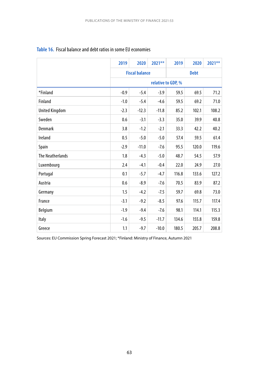|                         | 2019                  | 2020    | 2021**  | 2019               | 2020  | 2021** |
|-------------------------|-----------------------|---------|---------|--------------------|-------|--------|
|                         | <b>Fiscal balance</b> |         |         | <b>Debt</b>        |       |        |
|                         |                       |         |         | relative to GDP, % |       |        |
| *Finland                | $-0.9$                | $-5.4$  | $-3.9$  | 59.5               | 69.5  | 71.2   |
| Finland                 | $-1.0$                | $-5.4$  | $-4.6$  | 59.5               | 69.2  | 71.0   |
| <b>United Kingdom</b>   | $-2.3$                | $-12.3$ | $-11.8$ | 85.2               | 102.1 | 108.2  |
| Sweden                  | 0.6                   | $-3.1$  | $-3.3$  | 35.0               | 39.9  | 40.8   |
| <b>Denmark</b>          | 3.8                   | $-1.2$  | $-2.1$  | 33.3               | 42.2  | 40.2   |
| Ireland                 | 0.5                   | $-5.0$  | $-5.0$  | 57.4               | 59.5  | 61.4   |
| Spain                   | $-2.9$                | $-11.0$ | $-7.6$  | 95.5               | 120.0 | 119.6  |
| <b>The Neatherlands</b> | 1.8                   | $-4.3$  | $-5.0$  | 48.7               | 54.5  | 57.9   |
| Luxembourg              | 2.4                   | $-4.1$  | $-0.4$  | 22.0               | 24.9  | 27.0   |
| Portugal                | 0.1                   | $-5.7$  | $-4.7$  | 116.8              | 133.6 | 127.2  |
| Austria                 | 0.6                   | $-8.9$  | $-7.6$  | 70.5               | 83.9  | 87.2   |
| Germany                 | 1.5                   | $-4.2$  | $-7.5$  | 59.7               | 69.8  | 73.0   |
| France                  | $-3.1$                | $-9.2$  | $-8.5$  | 97.6               | 115.7 | 117.4  |
| Belgium                 | $-1.9$                | $-9.4$  | $-7.6$  | 98.1               | 114.1 | 115.3  |
| Italy                   | $-1.6$                | $-9.5$  | $-11.7$ | 134.6              | 155.8 | 159.8  |
| Greece                  | 1.1                   | $-9.7$  | $-10.0$ | 180.5              | 205.7 | 208.8  |

#### **Table 16.** Fiscal balance and debt ratios in some EU economies

Sources: EU Commission Spring Forecast 2021; \*Finland: Ministry of Finance, Autumn 2021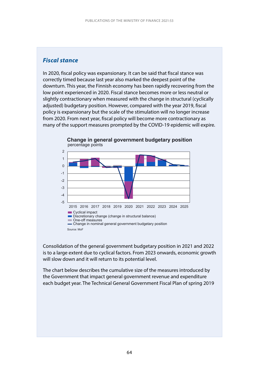### *Fiscal stance*

In 2020, fiscal policy was expansionary. It can be said that fiscal stance was correctly timed because last year also marked the deepest point of the downturn. This year, the Finnish economy has been rapidly recovering from the low point experienced in 2020. Fiscal stance becomes more or less neutral or slightly contractionary when measured with the change in structural (cyclically adjusted) budgetary position. However, compared with the year 2019, fiscal policy is expansionary but the scale of the stimulation will no longer increase from 2020. From next year, fiscal policy will become more contractionary as many of the support measures prompted by the COVID-19 epidemic will expire.



**Change in general government budgetary position** percentage points

Consolidation of the general government budgetary position in 2021 and 2022 is to a large extent due to cyclical factors. From 2023 onwards, economic growth will slow down and it will return to its potential level.

The chart below describes the cumulative size of the measures introduced by the Government that impact general government revenue and expenditure each budget year. The Technical General Government Fiscal Plan of spring 2019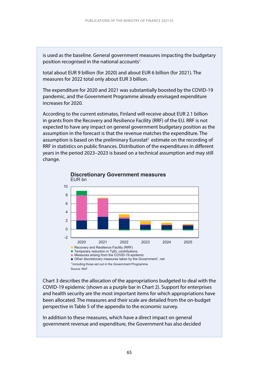is used as the baseline. General government measures impacting the budgetary position recognised in the national accounts<sup>1</sup>

total about EUR 9 billion (for 2020) and about EUR 6 billion (for 2021). The measures for 2022 total only about EUR 3 billion.

The expenditure for 2020 and 2021 was substantially boosted by the COVID-19 pandemic, and the Government Programme already envisaged expenditure increases for 2020.

According to the current estimates, Finland will receive about EUR 2.1 billion in grants from the Recovery and Resilience Facility (RRF) of the EU. RRF is not expected to have any impact on general government budgetary position as the assumption in the forecast is that the revenue matches the expenditure. The assumption is based on the preliminary Eurostat<sup>2</sup> estimate on the recording of RRF in statistics on public finances. Distribution of the expenditures in different years in the period 2023–2023 is based on a technical assumption and may still change.



**Discretionary Government measures** 

Chart 3 describes the allocation of the appropriations budgeted to deal with the COVID-19 epidemic (shown as a purple bar in Chart 2). Support for enterprises and health security are the most important items for which appropriations have been allocated. The measures and their scale are detailed from the on-budget perspective in Table 5 of the appendix to the economic survey.

In addition to these measures, which have a direct impact on general government revenue and expenditure, the Government has also decided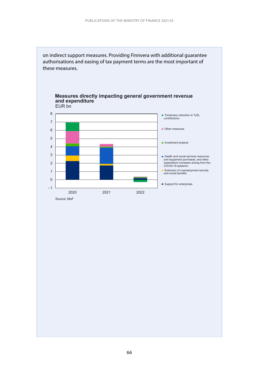



2020 2021 2022

# **Measures directly impacting general government revenue**



**Investment projects** 

■ Health and social services resources and equipment purchases, and other expenditure increases arising from the COVID-19 epidemic Extension of unemployment security and social benefits

Source: MoF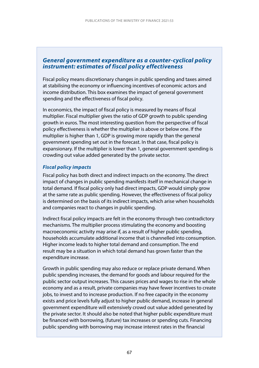#### *General government expenditure as a counter-cyclical policy instrument: estimates of fiscal policy effectiveness*

Fiscal policy means discretionary changes in public spending and taxes aimed at stabilising the economy or influencing incentives of economic actors and income distribution. This box examines the impact of general government spending and the effectiveness of fiscal policy.

In economics, the impact of fiscal policy is measured by means of fiscal multiplier. Fiscal multiplier gives the ratio of GDP growth to public spending growth in euros. The most interesting question from the perspective of fiscal policy effectiveness is whether the multiplier is above or below one. If the multiplier is higher than 1, GDP is growing more rapidly than the general government spending set out in the forecast. In that case, fiscal policy is expansionary. If the multiplier is lower than 1, general government spending is crowding out value added generated by the private sector.

#### *Fiscal policy impacts*

Fiscal policy has both direct and indirect impacts on the economy. The direct impact of changes in public spending manifests itself in mechanical change in total demand. If fiscal policy only had direct impacts, GDP would simply grow at the same rate as public spending. However, the effectiveness of fiscal policy is determined on the basis of its indirect impacts, which arise when households and companies react to changes in public spending.

Indirect fiscal policy impacts are felt in the economy through two contradictory mechanisms. The multiplier process stimulating the economy and boosting macroeconomic activity may arise if, as a result of higher public spending, households accumulate additional income that is channelled into consumption. Higher income leads to higher total demand and consumption. The end result may be a situation in which total demand has grown faster than the expenditure increase.

Growth in public spending may also reduce or replace private demand. When public spending increases, the demand for goods and labour required for the public sector output increases. This causes prices and wages to rise in the whole economy and as a result, private companies may have fewer incentives to create jobs, to invest and to increase production. If no free capacity in the economy exists and price levels fully adjust to higher public demand, increase in general government expenditure will extensively crowd out value added generated by the private sector. It should also be noted that higher public expenditure must be financed with borrowing, (future) tax increases or spending cuts. Financing public spending with borrowing may increase interest rates in the financial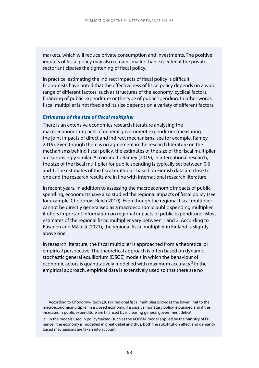markets, which will reduce private consumption and investments. The positive impacts of fiscal policy may also remain smaller than expected if the private sector anticipates the tightening of fiscal policy.

In practice, estimating the indirect impacts of fiscal policy is difficult. Economists have noted that the effectiveness of fiscal policy depends on a wide range of different factors, such as structures of the economy, cyclical factors, financing of public expenditure or the type of public spending. In other words, fiscal multiplier is not fixed and its size depends on a variety of different factors.

#### *Estimates of the size of fiscal multiplier*

There is an extensive economics research literature analysing the macroeconomic impacts of general government expenditure (measuring the joint impacts of direct and indirect mechanisms; see for example, Ramey, 2019). Even though there is no agreement in the research literature on the mechanisms behind fiscal policy, the estimates of the size of the fiscal multiplier are surprisingly similar. According to Ramey (2019), in international research, the size of the fiscal multiplier for public spending is typically set between 0.6 and 1. The estimates of the fiscal multiplier based on Finnish data are close to one and the research results are in line with international research literature.

In recent years, in addition to assessing the macroeconomic impacts of public spending, economistshave also studied the regional impacts of fiscal policy (see for example, Chodorow-Reich 2019). Even though the regional fiscal multiplier cannot be directly generalised as a macroeconomic public spending multiplier, it offers important information on regional impacts of public expenditure.<sup>1</sup> Most estimates of the regional fiscal multiplier vary between 1 and 2. According to Räsänen and Mäkelä (2021), the regional fiscal multiplier in Finland is slightly above one.

In research literature, the fiscal multiplier is approached from a theoretical or empirical perspective. The theoretical approach is often based on dynamic stochastic general equilibrium (DSGE) models in which the behaviour of economic actors is quantitatively modelled with maximum accuracy.<sup>2</sup> In the empirical approach, empirical data is extensively used so that there are no

<sup>1</sup> According to Chodorow-Reich (2019), regional fiscal multiplier provides the lower limit to the macroeconomicmultiplier in a closed economy, if a passive monetary policy is pursued and if the increases in public expenditure are financed by increasing general government deficit

<sup>2</sup> In the models used in policymaking (such as the KOOMA model applied by the Ministry of Finance), the economy is modelled in great detail and thus, both the substitution effect and demandbased mechanisms are taken into account.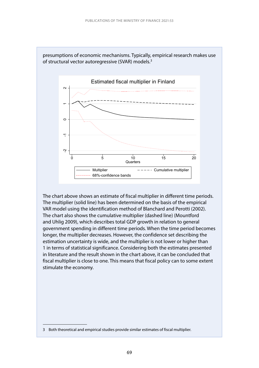

presumptions of economic mechanisms. Typically, empirical research makes use of structural vector autoregressive (SVAR) models.<sup>3</sup>

The chart above shows an estimate of fiscal multiplier in different time periods. The multiplier (solid line) has been determined on the basis of the empirical VAR model using the identification method of Blanchard and Perotti (2002). The chart also shows the cumulative multiplier (dashed line) (Mountford and Uhlig 2009), which describes total GDP growth in relation to general government spending in different time periods. When the time period becomes longer, the multiplier decreases. However, the confidence set describing the estimation uncertainty is wide, and the multiplier is not lower or higher than 1 in terms of statistical significance. Considering both the estimates presented in literature and the result shown in the chart above, it can be concluded that fiscal multiplier is close to one. This means that fiscal policy can to some extent stimulate the economy.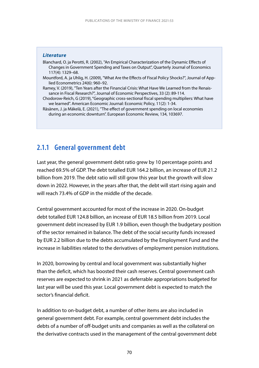#### *Literature*

Blanchard, O. ja Perotti, R. (2002), "An Empirical Characterization of the Dynamic Effects of Changes in Government Spending and Taxes on Output", Quarterly Journal of Economics 117(4): 1329–68.

- Mountford, A. ja Uhlig, H. (2009), "What Are the Effects of Fiscal Policy Shocks?", Journal of Applied Econometrics 24(6): 960–92.
- Ramey, V. (2019), "Ten Years after the Financial Crisis: What Have We Learned from the Renaissance in Fiscal Research?", Journal of Economic Perspectives, 33 (2): 89-114.
- Chodorow-Reich, G (2019), "Geographic cross-sectional fiscal spending multipliers: What have we learned". American Economic Journal: Economic Policy, 11(2): 1-34.
- Räsänen, J. ja Mäkelä, E. (2021), "The effect of government spending on local economies during an economic downturn". European Economic Review, 134, 103697.

## **2.1.1 General government debt**

Last year, the general government debt ratio grew by 10 percentage points and reached 69.5% of GDP. The debt totalled EUR 164.2 billion, an increase of EUR 21.2 billion from 2019. The debt ratio will still grow this year but the growth will slow down in 2022. However, in the years after that, the debt will start rising again and will reach 73.4% of GDP in the middle of the decade.

Central government accounted for most of the increase in 2020. On-budget debt totalled EUR 124.8 billion, an increase of EUR 18.5 billion from 2019. Local government debt increased by EUR 1.9 billion, even though the budgetary position of the sector remained in balance. The debt of the social security funds increased by EUR 2.2 billion due to the debts accumulated by the Employment Fund and the increase in liabilities related to the derivatives of employment pension institutions.

In 2020, borrowing by central and local government was substantially higher than the deficit, which has boosted their cash reserves. Central government cash reserves are expected to shrink in 2021 as deferrable appropriations budgeted for last year will be used this year. Local government debt is expected to match the sector's financial deficit.

In addition to on-budget debt, a number of other items are also included in general government debt. For example, central government debt includes the debts of a number of off-budget units and companies as well as the collateral on the derivative contracts used in the management of the central government debt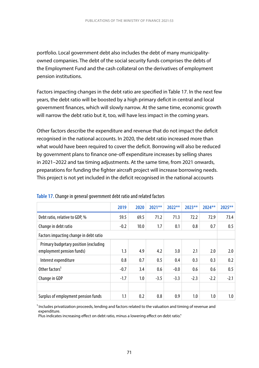portfolio. Local government debt also includes the debt of many municipalityowned companies. The debt of the social security funds comprises the debts of the Employment Fund and the cash collateral on the derivatives of employment pension institutions.

Factors impacting changes in the debt ratio are specified in Table 17. In the next few years, the debt ratio will be boosted by a high primary deficit in central and local government finances, which will slowly narrow. At the same time, economic growth will narrow the debt ratio but it, too, will have less impact in the coming years.

Other factors describe the expenditure and revenue that do not impact the deficit recognised in the national accounts. In 2020, the debt ratio increased more than what would have been required to cover the deficit. Borrowing will also be reduced by government plans to finance one-off expenditure increases by selling shares in 2021–2022 and tax timing adjustments. At the same time, from 2021 onwards, preparations for funding the fighter aircraft project will increase borrowing needs. This project is not yet included in the deficit recognised in the national accounts

|                                                                    | 2019   | 2020 | $2021**$ | 2022** | $2023**$ | 2024** | 2025**  |
|--------------------------------------------------------------------|--------|------|----------|--------|----------|--------|---------|
| Debt ratio, relative to GDP, %                                     | 59.5   | 69.5 | 71.2     | 71.3   | 72.2     | 72.9   | 73.4    |
| Change in debt ratio                                               | $-0.2$ | 10.0 | 1.7      | 0.1    | 0.8      | 0.7    | 0.5     |
| Factors impacting change in debt ratio                             |        |      |          |        |          |        |         |
| Primary budgetary position (excluding<br>employment pension funds) | 1.3    | 4.9  | 4.2      | 3.0    | 2.1      | 2.0    | 2.0     |
| Interest expenditure                                               | 0.8    | 0.7  | 0.5      | 0.4    | 0.3      | 0.3    | 0.2     |
| Other factors <sup>1</sup>                                         | $-0.7$ | 3.4  | 0.6      | $-0.0$ | 0.6      | 0.6    | 0.5     |
| Change in GDP                                                      | $-1.7$ | 1.0  | $-3.5$   | $-3.3$ | $-2.3$   | $-2.2$ | $-2.1$  |
|                                                                    |        |      |          |        |          |        |         |
| Surplus of employment pension funds                                | 1.1    | 0.2  | 0.8      | 0.9    | 1.0      | 1.0    | $1.0\,$ |

|  |  | Table 17. Change in general government debt ratio and related factors |  |
|--|--|-----------------------------------------------------------------------|--|
|--|--|-----------------------------------------------------------------------|--|

<sup>1</sup> Includes privatization proceeds, lending and factors related to the valuation and timing of revenue and expenditure.

Plus indicates increasing effect on debt ratio, minus a lowering effect on debt ratio."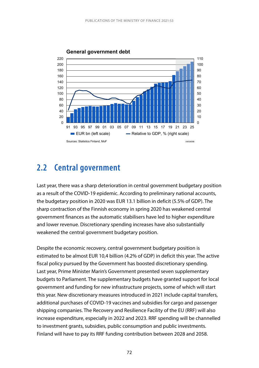

## **2.2 Central government**

Last year, there was a sharp deterioration in central government budgetary position as a result of the COVID-19 epidemic. According to preliminary national accounts, the budgetary position in 2020 was EUR 13.1 billion in deficit (5.5% of GDP). The sharp contraction of the Finnish economy in spring 2020 has weakened central government finances as the automatic stabilisers have led to higher expenditure and lower revenue. Discretionary spending increases have also substantially weakened the central government budgetary position.

Despite the economic recovery, central government budgetary position is estimated to be almost EUR 10,4 billion (4.2% of GDP) in deficit this year. The active fiscal policy pursued by the Government has boosted discretionary spending. Last year, Prime Minister Marin's Government presented seven supplementary budgets to Parliament. The supplementary budgets have granted support for local government and funding for new infrastructure projects, some of which will start this year. New discretionary measures introduced in 2021 include capital transfers, additional purchases of COVID-19 vaccines and subsidies for cargo and passenger shipping companies. The Recovery and Resilience Facility of the EU (RRF) will also increase expenditure, especially in 2022 and 2023. RRF spending will be channelled to investment grants, subsidies, public consumption and public investments. Finland will have to pay its RRF funding contribution between 2028 and 2058.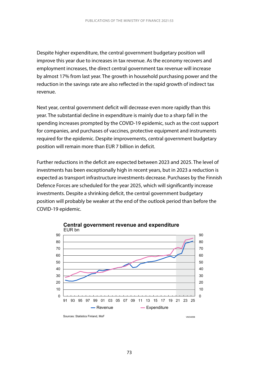Despite higher expenditure, the central government budgetary position will improve this year due to increases in tax revenue. As the economy recovers and employment increases, the direct central government tax revenue will increase by almost 17% from last year. The growth in household purchasing power and the reduction in the savings rate are also reflected in the rapid growth of indirect tax revenue.

Next year, central government deficit will decrease even more rapidly than this year. The substantial decline in expenditure is mainly due to a sharp fall in the spending increases prompted by the COVID-19 epidemic, such as the cost support for companies, and purchases of vaccines, protective equipment and instruments required for the epidemic. Despite improvements, central government budgetary position will remain more than EUR 7 billion in deficit.

Further reductions in the deficit are expected between 2023 and 2025. The level of investments has been exceptionally high in recent years, but in 2023 a reduction is expected as transport infrastructure investments decrease. Purchases by the Finnish Defence Forces are scheduled for the year 2025, which will significantly increase investments. Despite a shrinking deficit, the central government budgetary position will probably be weaker at the end of the outlook period than before the COVID-19 epidemic.



**Central government revenue and expenditure**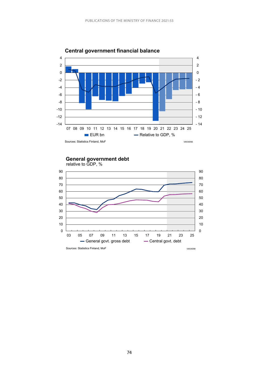

### **Central government financial balance**

**General government debt**

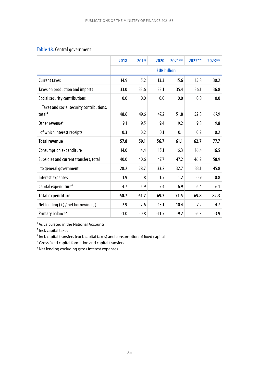### Table 18. Central government<sup>1</sup>

|                                                                | 2018   | 2019   | 2020    | $2021**$           | $2022**$ | 2023** |
|----------------------------------------------------------------|--------|--------|---------|--------------------|----------|--------|
|                                                                |        |        |         | <b>EUR billion</b> |          |        |
| <b>Current taxes</b>                                           | 14.9   | 15.2   | 13.3    | 15.6               | 15.8     | 30.2   |
| Taxes on production and imports                                | 33.0   | 33.6   | 33.1    | 35.4               | 36.1     | 36.8   |
| Social security contributions                                  | 0.0    | 0.0    | 0.0     | 0.0                | 0.0      | 0.0    |
| Taxes and social security contributions,<br>total <sup>2</sup> | 48.6   | 49.6   | 47.2    | 51.8               | 52.8     | 67.9   |
| Other revenue <sup>3</sup>                                     | 9.1    | 9.5    | 9.4     | 9.2                | 9.8      | 9.8    |
| of which interest receipts                                     | 0.3    | 0.2    | 0.1     | 0.1                | 0.2      | 0.2    |
| <b>Total revenue</b>                                           | 57.8   | 59.1   | 56.7    | 61.1               | 62.7     | 77.7   |
| Consumption expenditure                                        | 14.0   | 14.4   | 15.1    | 16.3               | 16.4     | 16.5   |
| Subsidies and current transfers, total                         | 40.0   | 40.6   | 47.7    | 47.2               | 46.2     | 58.9   |
| to general government                                          | 28.2   | 28.7   | 33.2    | 32.7               | 33.1     | 45.8   |
| Interest expenses                                              | 1.9    | 1.8    | 1.5     | 1.2                | 0.9      | 0.8    |
| Capital expenditure <sup>4</sup>                               | 4.7    | 4.9    | 5.4     | 6.9                | 6.4      | 6.1    |
| <b>Total expenditure</b>                                       | 60.7   | 61.7   | 69.7    | 71.5               | 69.8     | 82.3   |
| Net lending $(+)$ / net borrowing $(-)$                        | $-2.9$ | $-2.6$ | $-13.1$ | $-10.4$            | $-7.2$   | $-4.7$ |
| Primary balance <sup>5</sup>                                   | $-1.0$ | $-0.8$ | $-11.5$ | $-9.2$             | $-6.3$   | $-3.9$ |

<sup>1</sup> As calculated in the National Accounts

² Incl. capital taxes

<sup>3</sup> Incl. capital transfers (excl. capital taxes) and consumption of fixed capital

⁴ Gross fixed capital formation and capital transfers

⁵ Net lending excluding gross interest expenses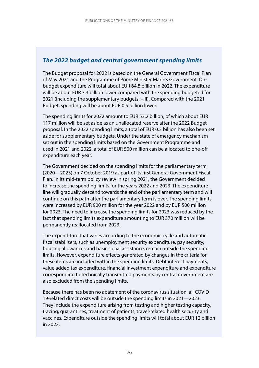### *The 2022 budget and central government spending limits*

The Budget proposal for 2022 is based on the General Government Fiscal Plan of May 2021 and the Programme of Prime Minister Marin's Government. Onbudget expenditure will total about EUR 64.8 billion in 2022. The expenditure will be about EUR 3.3 billion lower compared with the spending budgeted for 2021 (including the supplementary budgets I–III). Compared with the 2021 Budget, spending will be about EUR 0.5 billion lower.

The spending limits for 2022 amount to EUR 53.2 billion, of which about EUR 117 million will be set aside as an unallocated reserve after the 2022 Budget proposal. In the 2022 spending limits, a total of EUR 0.3 billion has also been set aside for supplementary budgets. Under the state of emergency mechanism set out in the spending limits based on the Government Programme and used in 2021 and 2022, a total of EUR 500 million can be allocated to one-off expenditure each year.

The Government decided on the spending limits for the parliamentary term (2020—2023) on 7 October 2019 as part of its first General Government Fiscal Plan. In its mid-term policy review in spring 2021, the Government decided to increase the spending limits for the years 2022 and 2023. The expenditure line will gradually descend towards the end of the parliamentary term and will continue on this path after the parliamentary term is over. The spending limits were increased by EUR 900 million for the year 2022 and by EUR 500 million for 2023. The need to increase the spending limits for 2023 was reduced by the fact that spending limits expenditure amounting to EUR 370 million will be permanently reallocated from 2023.

The expenditure that varies according to the economic cycle and automatic fiscal stabilisers, such as unemployment security expenditure, pay security, housing allowances and basic social assistance, remain outside the spending limits. However, expenditure effects generated by changes in the criteria for these items are included within the spending limits. Debt interest payments, value added tax expenditure, financial investment expenditure and expenditure corresponding to technically transmitted payments by central government are also excluded from the spending limits.

Because there has been no abatement of the coronavirus situation, all COVID 19-related direct costs will be outside the spending limits in 2021—2023. They include the expenditure arising from testing and higher testing capacity, tracing, quarantines, treatment of patients, travel-related health security and vaccines. Expenditure outside the spending limits will total about EUR 12 billion in 2022.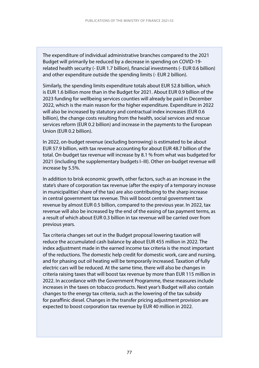The expenditure of individual administrative branches compared to the 2021 Budget will primarily be reduced by a decrease in spending on COVID-19 related health security (- EUR 1.7 billion), financial investments (- EUR 0.6 billion) and other expenditure outside the spending limits (- EUR 2 billion).

Similarly, the spending limits expenditure totals about EUR 52.8 billion, which is EUR 1.6 billion more than in the Budget for 2021. About EUR 0.9 billion of the 2023 funding for wellbeing services counties will already be paid in December 2022, which is the main reason for the higher expenditure. Expenditure in 2022 will also be increased by statutory and contractual index increases (EUR 0.6 billion), the change costs resulting from the health, social services and rescue services reform (EUR 0.2 billion) and increase in the payments to the European Union (EUR 0.2 billion).

In 2022, on-budget revenue (excluding borrowing) is estimated to be about EUR 57.9 billion, with tax revenue accounting for about EUR 48.7 billion of the total. On-budget tax revenue will increase by 8.1 % from what was budgeted for 2021 (including the supplementary budgets I–III). Other on-budget revenue will increase by 5.5%.

In addition to brisk economic growth, other factors, such as an increase in the state's share of corporation tax revenue (after the expiry of a temporary increase in municipalities' share of the tax) are also contributing to the sharp increase in central government tax revenue. This will boost central government tax revenue by almost EUR 0.5 billion, compared to the previous year. In 2022, tax revenue will also be increased by the end of the easing of tax payment terms, as a result of which about EUR 0.3 billion in tax revenue will be carried over from previous years.

Tax criteria changes set out in the Budget proposal lowering taxation will reduce the accumulated cash balance by about EUR 455 million in 2022. The index adjustment made in the earned income tax criteria is the most important of the reductions. The domestic help credit for domestic work, care and nursing, and for phasing out oil heating will be temporarily increased. Taxation of fully electric cars will be reduced. At the same time, there will also be changes in criteria raising taxes that will boost tax revenue by more than EUR 115 million in 2022. In accordance with the Government Programme, these measures include increases in the taxes on tobacco products. Next year's Budget will also contain changes to the energy tax criteria, such as the lowering of the tax subsidy for paraffinic diesel. Changes in the transfer pricing adjustment provision are expected to boost corporation tax revenue by EUR 40 million in 2022.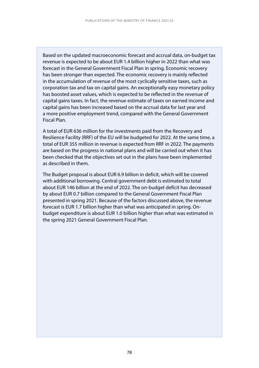Based on the updated macroeconomic forecast and accrual data, on-budget tax revenue is expected to be about EUR 1.4 billion higher in 2022 than what was forecast in the General Government Fiscal Plan in spring. Economic recovery has been stronger than expected. The economic recovery is mainly reflected in the accumulation of revenue of the most cyclically sensitive taxes, such as corporation tax and tax on capital gains. An exceptionally easy monetary policy has boosted asset values, which is expected to be reflected in the revenue of capital gains taxes. In fact, the revenue estimate of taxes on earned income and capital gains has been increased based on the accrual data for last year and a more positive employment trend, compared with the General Government Fiscal Plan.

A total of EUR 636 million for the investments paid from the Recovery and Resilience Facility (RRF) of the EU will be budgeted for 2022. At the same time, a total of EUR 355 million in revenue is expected from RRF in 2022. The payments are based on the progress in national plans and will be carried out when it has been checked that the objectives set out in the plans have been implemented as described in them.

The Budget proposal is about EUR 6.9 billion in deficit, which will be covered with additional borrowing. Central government debt is estimated to total about EUR 146 billion at the end of 2022. The on-budget deficit has decreased by about EUR 0.7 billion compared to the General Government Fiscal Plan presented in spring 2021. Because of the factors discussed above, the revenue forecast is EUR 1.7 billion higher than what was anticipated in spring. Onbudget expenditure is about EUR 1.0 billion higher than what was estimated in the spring 2021 General Government Fiscal Plan.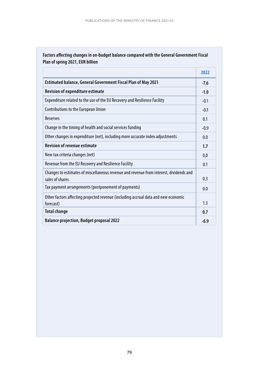### **Factors affecting changes in on-budget balance compared with the General Government Fiscal Plan of spring 2021, EUR billion**

|                                                                                                           | 2022   |
|-----------------------------------------------------------------------------------------------------------|--------|
| Estimated balance, General Government Fiscal Plan of May 2021                                             | $-7.6$ |
| <b>Revision of expenditure estimate</b>                                                                   | $-1.0$ |
| Expenditure related to the use of the EU Recovery and Resilience Facility                                 | $-0.1$ |
| Contributions to the European Union                                                                       | $-0.1$ |
| <b>Reserves</b>                                                                                           | 0.1    |
| Change in the timing of health and social services funding                                                | $-0.9$ |
| Other changes in expenditure (net), including more accurate index adjustments                             | 0.0    |
| <b>Revision of revenue estimate</b>                                                                       | 1.7    |
| New tax criteria changes (net)                                                                            | 0,0    |
| Revenue from the EU Recovery and Resilience Facility                                                      | 0.1    |
| Changes to estimates of miscellaneous revenue and revenue from interest, dividends and<br>sales of shares | 0.3    |
| Tax payment arrangements (postponement of payments)                                                       | 0.0    |
| Other factors affecting projected revenue (including accrual data and new economic<br>forecast)           | 1.3    |
| <b>Total change</b>                                                                                       | 0.7    |
| <b>Balance projection, Budget proposal 2022</b>                                                           | $-6.9$ |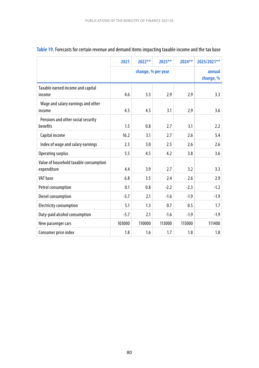|                                                       | 2021   | 2022** | $2023***$           | 2024** | 2025/2021** |
|-------------------------------------------------------|--------|--------|---------------------|--------|-------------|
|                                                       |        |        | annual<br>change, % |        |             |
| Taxable earned income and capital<br>income           | 4.6    | 3.3    | 2.9                 | 2.9    | 3.3         |
| Wage and salary earnings and other<br>income          | 4.5    | 4.5    | 3.1                 | 2.9    | 3.6         |
| Pensions and other social security<br>benefits        | 1.5    | 0.8    | 2.7                 | 3.1    | 2.2         |
| Capital income                                        | 16.2   | 3.1    | 2.7                 | 2.6    | 5.4         |
| Index of wage and salary earnings                     | 2.3    | 3.0    | 2.5                 | 2.6    | 2.6         |
| Operating surplus                                     | 5.5    | 4.5    | 4.2                 | 3.8    | 3.6         |
| Value of household taxable consumption<br>expenditure | 4.4    | 3.9    | 2.7                 | 3.2    | 3.3         |
| VAT base                                              | 6.8    | 3.5    | 2.4                 | 2.6    | 2.9         |
| Petrol consumption                                    | 0.1    | 0.8    | $-2.2$              | $-2.3$ | $-1.2$      |
| Diesel consumption                                    | $-5.7$ | 2.1    | $-1.6$              | $-1.9$ | $-1.9$      |
| <b>Electricity consumption</b>                        | 5.1    | 1.3    | 0.7                 | 0.5    | 1.7         |
| Duty-paid alcohol consumption                         | $-5.7$ | 2.1    | $-1.6$              | $-1.9$ | $-1.9$      |
| New passenger cars                                    | 103000 | 110000 | 113000              | 115000 | 111400      |
| Consumer price index                                  | 1.8    | 1.6    | 1.7                 | 1.8    | 1.8         |

## **Table 19.** Forecasts for certain revenue and demand items impacting taxable income and the tax base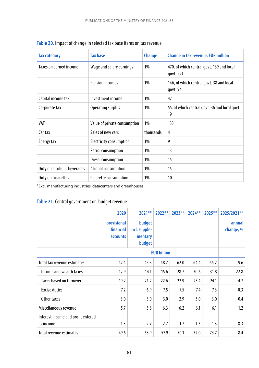| <b>Tax category</b>         | <b>Tax base</b>                      | <b>Change</b> | <b>Change in tax revenue, EUR million</b>              |
|-----------------------------|--------------------------------------|---------------|--------------------------------------------------------|
| Taxes on earned income      | Wage and salary earnings             | $1\%$         | 470, of which central govt. 139 and local<br>govt. 221 |
|                             | <b>Pension incomes</b>               | 1%            | 146, of which central govt. 38 and local<br>govt. 94   |
| Capital income tax          | Investment income                    | $1\%$         | 47                                                     |
| Corporate tax               | Operating surplus                    | 1%            | 55, of which central govt. 36 and local govt.<br>19    |
| VAT                         | Value of private consumption         | 1%            | 133                                                    |
| Car tax                     | Sales of new cars                    | thousands     | 4                                                      |
| Energy tax                  | Electricity consumption <sup>1</sup> | $1\%$         | 9                                                      |
|                             | Petrol consumption                   | $1\%$         | 13                                                     |
|                             | Diesel consumption                   | $1\%$         | 15                                                     |
| Duty on alcoholic beverages | Alcohol consumption                  | $1\%$         | 15                                                     |
| Duty on cigarettes          | Cigarette consumption                | $1\%$         | 10                                                     |

 $1$  Excl. manufacturing industries, datacenters and greenhouses

## **Table 21.** Central government on-budget revenue

|                                                 | 2020                                 | $2021**$                                     | $2022**$ | $2023**$ | $2024***$ | $2025***$ | 2025/2021** |  |  |                     |
|-------------------------------------------------|--------------------------------------|----------------------------------------------|----------|----------|-----------|-----------|-------------|--|--|---------------------|
|                                                 | provisional<br>financial<br>accounts | budget<br>incl. supple-<br>mentary<br>budget |          |          |           |           |             |  |  | annual<br>change, % |
|                                                 |                                      |                                              |          |          |           |           |             |  |  |                     |
| Total tax revenue estimates                     | 42.4                                 | 45.3                                         | 48.7     | 62.0     | 64.4      | 66.2      | 9.6         |  |  |                     |
| Income and wealth taxes                         | 12.9                                 | 14.1                                         | 15.6     | 28.7     | 30.6      | 31.8      | 22.8        |  |  |                     |
| Taxes based on turnover                         | 19.2                                 | 21.2                                         | 22.6     | 22.9     | 23.4      | 24.1      | 4.7         |  |  |                     |
| <b>Excise duties</b>                            | 7.2                                  | 6.9                                          | 7.5      | 7.5      | 7.4       | 7.3       | 0.3         |  |  |                     |
| Other taxes                                     | 3.0                                  | 3.0                                          | 3.0      | 2.9      | 3.0       | 3.0       | $-0.4$      |  |  |                     |
| Miscellaneous revenue                           | 5.7                                  | 5.8                                          | 6.3      | 6.2      | 6.1       | 6.1       | 1.2         |  |  |                     |
| Interest income and profit entered<br>as income | 1.3                                  | 2.7                                          | 2.7      | 1.7      | 1.3       | 1.3       | 8.3         |  |  |                     |
| Total revenue estimates                         | 49.6                                 | 53.9                                         | 57.9     | 70.1     | 72.0      | 73.7      | 8.4         |  |  |                     |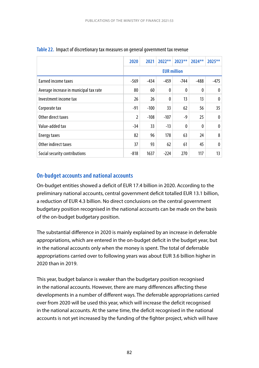|                                        | 2020                                                 | 2021   | $2022**$ | $2023***$ | $2024***$ | 2025**       |  |  |
|----------------------------------------|------------------------------------------------------|--------|----------|-----------|-----------|--------------|--|--|
|                                        | <b>EUR million</b>                                   |        |          |           |           |              |  |  |
| Earned income taxes                    | $-569$<br>$-459$<br>$-744$<br>$-475$<br>-434<br>-488 |        |          |           |           |              |  |  |
| Average increase in municipal tax rate | 80                                                   | 60     | 0        | 0         | 0         | 0            |  |  |
| Investment income tax                  | 26                                                   | 26     | 0        | 13        | 13        | $\mathbf{0}$ |  |  |
| Corporate tax                          | $-91$                                                | $-100$ | 33       | 62        | 56        | 35           |  |  |
| Other direct taxes                     | 2                                                    | $-108$ | $-107$   | -9        | 25        | 0            |  |  |
| Value-added tax                        | $-34$                                                | 33     | $-13$    | 0         | 0         | $\mathbf{0}$ |  |  |
| Energy taxes                           | 82                                                   | 96     | 178      | 63        | 24        | 8            |  |  |
| Other indirect taxes                   | 37                                                   | 93     | 62       | 61        | 45        | 0            |  |  |
| Social security contributions          | $-818$                                               | 1637   | $-224$   | 270       | 117       | 13           |  |  |

#### **Table 22.** Impact of discretionary tax measures on general government tax revenue

### **On-budget accounts and national accounts**

On-budget entities showed a deficit of EUR 17.4 billion in 2020. According to the preliminary national accounts, central government deficit totalled EUR 13.1 billion, a reduction of EUR 4.3 billion. No direct conclusions on the central government budgetary position recognised in the national accounts can be made on the basis of the on-budget budgetary position.

The substantial difference in 2020 is mainly explained by an increase in deferrable appropriations, which are entered in the on-budget deficit in the budget year, but in the national accounts only when the money is spent. The total of deferrable appropriations carried over to following years was about EUR 3.6 billion higher in 2020 than in 2019.

This year, budget balance is weaker than the budgetary position recognised in the national accounts. However, there are many differences affecting these developments in a number of different ways. The deferrable appropriations carried over from 2020 will be used this year, which will increase the deficit recognised in the national accounts. At the same time, the deficit recognised in the national accounts is not yet increased by the funding of the fighter project, which will have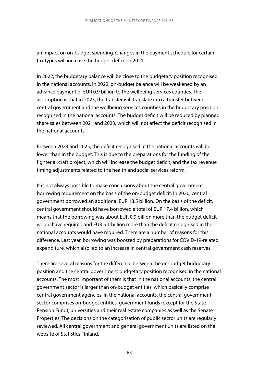an impact on on-budget spending. Changes in the payment schedule for certain tax types will increase the budget deficit in 2021.

In 2022, the budgetary balance will be close to the budgetary position recognised in the national accounts. In 2022, on-budget balance will be weakened by an advance payment of EUR 0.9 billion to the wellbeing services counties. The assumption is that in 2023, the transfer will translate into a transfer between central government and the wellbeing services counties in the budgetary position recognised in the national accounts. The budget deficit will be reduced by planned share sales between 2021 and 2023, which will not affect the deficit recognised in the national accounts.

Between 2023 and 2025, the deficit recognised in the national accounts will be lower than in the budget. This is due to the preparations for the funding of the fighter aircraft project, which will increase the budget deficit, and the tax revenue timing adjustments related to the health and social services reform.

It is not always possible to make conclusions about the central government borrowing requirement on the basis of the on-budget deficit. In 2020, central government borrowed an additional EUR 18.5 billion. On the basis of the deficit, central government should have borrowed a total of EUR 17.4 billion, which means that the borrowing was about EUR 0.9 billion more than the budget deficit would have required and EUR 5.1 billion more than the deficit recognised in the national accounts would have required. There are a number of reasons for this difference. Last year, borrowing was boosted by preparations for COVID-19-related expenditure, which also led to an increase in central government cash reserves.

There are several reasons for the difference between the on-budget budgetary position and the central government budgetary position recognised in the national accounts. The most important of them is that in the national accounts, the central government sector is larger than on-budget entities, which basically comprise central government agencies. In the national accounts, the central government sector comprises on-budget entities, government funds (except for the State Pension Fund), universities and their real estate companies as well as the Senate Properties. The decisions on the categorisation of public sector units are regularly reviewed. All central government and general government units are listed on the website of Statistics Finland.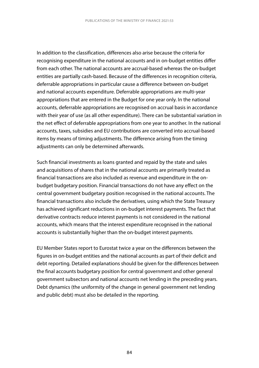In addition to the classification, differences also arise because the criteria for recognising expenditure in the national accounts and in on-budget entities differ from each other. The national accounts are accrual-based whereas the on-budget entities are partially cash-based. Because of the differences in recognition criteria, deferrable appropriations in particular cause a difference between on-budget and national accounts expenditure. Deferrable appropriations are multi-year appropriations that are entered in the Budget for one year only. In the national accounts, deferrable appropriations are recognised on accrual basis in accordance with their year of use (as all other expenditure). There can be substantial variation in the net effect of deferrable appropriations from one year to another. In the national accounts, taxes, subsidies and EU contributions are converted into accrual-based items by means of timing adjustments. The difference arising from the timing adjustments can only be determined afterwards.

Such financial investments as loans granted and repaid by the state and sales and acquisitions of shares that in the national accounts are primarily treated as financial transactions are also included as revenue and expenditure in the onbudget budgetary position. Financial transactions do not have any effect on the central government budgetary position recognised in the national accounts. The financial transactions also include the derivatives, using which the State Treasury has achieved significant reductions in on-budget interest payments. The fact that derivative contracts reduce interest payments is not considered in the national accounts, which means that the interest expenditure recognised in the national accounts is substantially higher than the on-budget interest payments.

EU Member States report to Eurostat twice a year on the differences between the figures in on-budget entities and the national accounts as part of their deficit and debt reporting. Detailed explanations should be given for the differences between the final accounts budgetary position for central government and other general government subsectors and national accounts net lending in the preceding years. Debt dynamics (the uniformity of the change in general government net lending and public debt) must also be detailed in the reporting.

84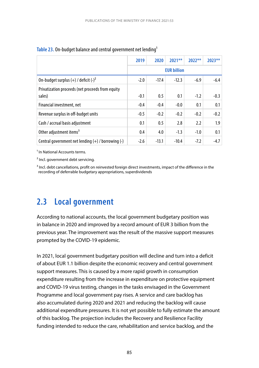|                                                    | 2019   | 2020    | $2021**$           | $2022**$ | $2023**$ |
|----------------------------------------------------|--------|---------|--------------------|----------|----------|
|                                                    |        |         | <b>EUR billion</b> |          |          |
| On-budget surplus $(+)$ / deficit $(-)^2$          | $-2.0$ | $-17.4$ | $-12.3$            | $-6.9$   | $-6.4$   |
| Privatization proceeds (net proceeds from equity   |        |         |                    |          |          |
| sales)                                             | $-0.1$ | 0.5     | 0.1                | $-1.2$   | $-0.3$   |
| Financial investment, net                          | $-0.4$ | $-0.4$  | $-0.0$             | 0.1      | 0.1      |
| Revenue surplus in off-budget units                | $-0.5$ | $-0.2$  | $-0.2$             | $-0.2$   | $-0.2$   |
| Cash / accrual basis adjustment                    | 0.1    | 0.5     | 2.8                | 2.2      | 1.9      |
| Other adjustment items <sup>3</sup>                | 0.4    | 4.0     | $-1.3$             | $-1.0$   | 0.1      |
| Central government net lending (+) / borrowing (-) | $-2.6$ | $-13.1$ | $-10.4$            | $-7.2$   | $-4.7$   |

#### Table 23. On-budget balance and central government net lending<sup>1</sup>

<sup>1</sup> In National Accounts terms.

² Incl. government debt servicing.

<sup>3</sup> Incl. debt cancellations, profit on reinvested foreign direct investments, impact of the difference in the recording of deferrable budgetary appropriations, superdividends

## **2.3 Local government**

According to national accounts, the local government budgetary position was in balance in 2020 and improved by a record amount of EUR 3 billion from the previous year. The improvement was the result of the massive support measures prompted by the COVID-19 epidemic.

In 2021, local government budgetary position will decline and turn into a deficit of about EUR 1.1 billion despite the economic recovery and central government support measures. This is caused by a more rapid growth in consumption expenditure resulting from the increase in expenditure on protective equipment and COVID-19 virus testing, changes in the tasks envisaged in the Government Programme and local government pay rises. A service and care backlog has also accumulated during 2020 and 2021 and reducing the backlog will cause additional expenditure pressures. It is not yet possible to fully estimate the amount of this backlog. The projection includes the Recovery and Resilience Facility funding intended to reduce the care, rehabilitation and service backlog, and the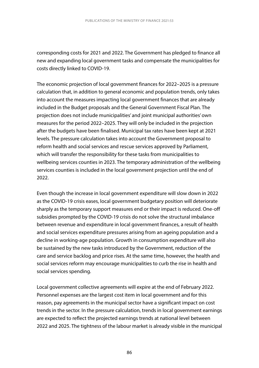corresponding costs for 2021 and 2022. The Government has pledged to finance all new and expanding local government tasks and compensate the municipalities for costs directly linked to COVID-19.

The economic projection of local government finances for 2022–2025 is a pressure calculation that, in addition to general economic and population trends, only takes into account the measures impacting local government finances that are already included in the Budget proposals and the General Government Fiscal Plan. The projection does not include municipalities' and joint municipal authorities' own measures for the period 2022–2025. They will only be included in the projection after the budgets have been finalised. Municipal tax rates have been kept at 2021 levels. The pressure calculation takes into account the Government proposal to reform health and social services and rescue services approved by Parliament, which will transfer the responsibility for these tasks from municipalities to wellbeing services counties in 2023. The temporary administration of the wellbeing services counties is included in the local government projection until the end of 2022.

Even though the increase in local government expenditure will slow down in 2022 as the COVID-19 crisis eases, local government budgetary position will deteriorate sharply as the temporary support measures end or their impact is reduced. One-off subsidies prompted by the COVID-19 crisis do not solve the structural imbalance between revenue and expenditure in local government finances, a result of health and social services expenditure pressures arising from an ageing population and a decline in working-age population. Growth in consumption expenditure will also be sustained by the new tasks introduced by the Government, reduction of the care and service backlog and price rises. At the same time, however, the health and social services reform may encourage municipalities to curb the rise in health and social services spending.

Local government collective agreements will expire at the end of February 2022. Personnel expenses are the largest cost item in local government and for this reason, pay agreements in the municipal sector have a significant impact on cost trends in the sector. In the pressure calculation, trends in local government earnings are expected to reflect the projected earnings trends at national level between 2022 and 2025. The tightness of the labour market is already visible in the municipal

86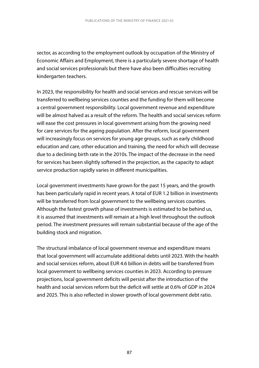sector, as according to the employment outlook by occupation of the Ministry of Economic Affairs and Employment, there is a particularly severe shortage of health and social services professionals but there have also been difficulties recruiting kindergarten teachers.

In 2023, the responsibility for health and social services and rescue services will be transferred to wellbeing services counties and the funding for them will become a central government responsibility. Local government revenue and expenditure will be almost halved as a result of the reform. The health and social services reform will ease the cost pressures in local government arising from the growing need for care services for the ageing population. After the reform, local government will increasingly focus on services for young age groups, such as early childhood education and care, other education and training, the need for which will decrease due to a declining birth rate in the 2010s. The impact of the decrease in the need for services has been slightly softened in the projection, as the capacity to adapt service production rapidly varies in different municipalities.

Local government investments have grown for the past 15 years, and the growth has been particularly rapid in recent years. A total of EUR 1.2 billion in investments will be transferred from local government to the wellbeing services counties. Although the fastest growth phase of investments is estimated to be behind us, it is assumed that investments will remain at a high level throughout the outlook period. The investment pressures will remain substantial because of the age of the building stock and migration.

The structural imbalance of local government revenue and expenditure means that local government will accumulate additional debts until 2023. With the health and social services reform, about EUR 4.6 billion in debts will be transferred from local government to wellbeing services counties in 2023. According to pressure projections, local government deficits will persist after the introduction of the health and social services reform but the deficit will settle at 0.6% of GDP in 2024 and 2025. This is also reflected in slower growth of local government debt ratio.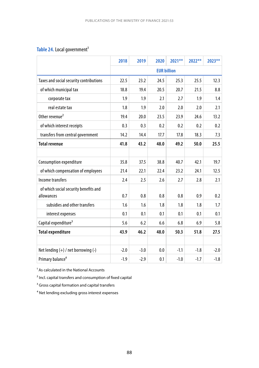## Table 24. Local government<sup>1</sup>

|                                                     | 2018               | 2019   | 2020 | 2021** | $2022**$ | 2023** |  |  |
|-----------------------------------------------------|--------------------|--------|------|--------|----------|--------|--|--|
|                                                     | <b>EUR billion</b> |        |      |        |          |        |  |  |
| Taxes and social security contributions             | 22.5               | 23.2   | 24.5 | 25.3   | 25.5     | 12.3   |  |  |
| of which municipal tax                              | 18.8               | 19.4   | 20.5 | 20.7   | 21.5     | 8.8    |  |  |
| corporate tax                                       | 1.9                | 1.9    | 2.1  | 2.7    | 1.9      | 1.4    |  |  |
| real estate tax                                     | 1.8                | 1.9    | 2.0  | 2.0    | 2.0      | 2.1    |  |  |
| Other revenue <sup>2</sup>                          | 19.4               | 20.0   | 23.5 | 23.9   | 24.6     | 13.2   |  |  |
| of which interest receipts                          | 0.3                | 0.3    | 0.2  | 0.2    | 0.2      | 0.2    |  |  |
| transfers from central government                   | 14.2               | 14.4   | 17.7 | 17.8   | 18.3     | 7.3    |  |  |
| <b>Total revenue</b>                                | 41.8               | 43.2   | 48.0 | 49.2   | 50.0     | 25.5   |  |  |
|                                                     |                    |        |      |        |          |        |  |  |
| Consumption expenditure                             | 35.8               | 37.5   | 38.8 | 40.7   | 42.1     | 19.7   |  |  |
| of which compensation of employees                  | 21.4               | 22.1   | 22.4 | 23.2   | 24.1     | 12.5   |  |  |
| Income transfers                                    | 2.4                | 2.5    | 2.6  | 2.7    | 2.8      | 2.1    |  |  |
| of which social security benefits and<br>allowances | 0.7                | 0.8    | 0.8  | 0.8    | 0.9      | 0.2    |  |  |
| subsidies and other transfers                       | 1.6                | 1.6    | 1.8  | 1.8    | 1.8      | 1.7    |  |  |
| interest expenses                                   | 0.1                | 0.1    | 0.1  | 0.1    | 0.1      | 0.1    |  |  |
| Capital expenditure <sup>3</sup>                    | 5.6                | 6.2    | 6.6  | 6.8    | 6.9      | 5.8    |  |  |
| <b>Total expenditure</b>                            | 43.9               | 46.2   | 48.0 | 50.3   | 51.8     | 27.5   |  |  |
|                                                     |                    |        |      |        |          |        |  |  |
| Net lending $(+)$ / net borrowing $(-)$             | $-2.0$             | $-3.0$ | 0.0  | $-1.1$ | $-1.8$   | $-2.0$ |  |  |
| Primary balance <sup>4</sup>                        | $-1.9$             | $-2.9$ | 0.1  | $-1.0$ | $-1.7$   | $-1.8$ |  |  |

 $<sup>1</sup>$  As calculated in the National Accounts</sup>

² Incl. capital transfers and consumption of fixed capital

<sup>3</sup> Gross capital formation and capital transfers

<sup>4</sup> Net lending excluding gross interest expenses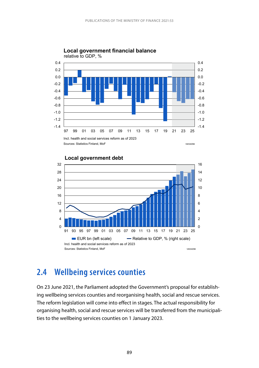

#### **Local government financial balance** relative to GDP, %



#### **Local government debt**

## **2.4 Wellbeing services counties**

On 23 June 2021, the Parliament adopted the Government's proposal for establishing wellbeing services counties and reorganising health, social and rescue services. The reform legislation will come into effect in stages. The actual responsibility for organising health, social and rescue services will be transferred from the municipalities to the wellbeing services counties on 1 January 2023.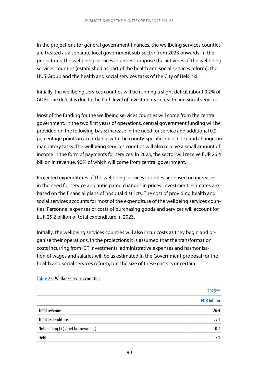In the projections for general government finances, the wellbeing services counties are treated as a separate local government sub-sector from 2023 onwards. In the projections, the wellbeing services counties comprise the activities of the wellbeing services counties (established as part of the health and social services reform), the HUS Group and the health and social services tasks of the City of Helsinki.

Initially, the wellbeing services counties will be running a slight deficit (about 0.2% of GDP). The deficit is due to the high level of investments in health and social services.

Most of the funding for the wellbeing services counties will come from the central government. In the two first years of operations, central government funding will be provided on the following basis: increase in the need for service and additional 0.2 percentage points in accordance with the county-specific price index and changes in mandatory tasks. The wellbeing services counties will also receive a small amount of income in the form of payments for services. In 2023, the sector will receive EUR 26.4 billion in revenue, 90% of which will come from central government.

Projected expenditures of the wellbeing services counties are based on increases in the need for service and anticipated changes in prices. Investment estimates are based on the financial plans of hospital districts. The cost of providing health and social services accounts for most of the expenditure of the wellbeing services counties. Personnel expenses or costs of purchasing goods and services will account for EUR 25.2 billion of total expenditure in 2023.

Initially, the wellbeing services counties will also incur costs as they begin and organise their operations. In the projections it is assumed that the transformation costs incurring from ICT investments, administrative expenses and harmonisation of wages and salaries will be as estimated in the Government proposal for the health and social services reform, but the size of these costs is uncertain.

|                                         | $2023**$           |
|-----------------------------------------|--------------------|
|                                         | <b>EUR billion</b> |
| <b>Total revenue</b>                    | 26.4               |
| Total expenditure                       | 27.1               |
| Net lending $(+)$ / net borrowing $(-)$ | $-0.7$             |
| Debt                                    | 5.1                |

#### **Table 25.** Welfare services counties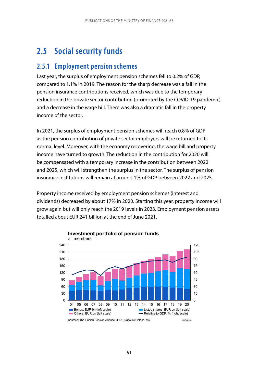## **2.5 Social security funds**

## **2.5.1 Employment pension schemes**

Last year, the surplus of employment pension schemes fell to 0.2% of GDP, compared to 1.1% in 2019. The reason for the sharp decrease was a fall in the pension insurance contributions received, which was due to the temporary reduction in the private sector contribution (prompted by the COVID-19 pandemic) and a decrease in the wage bill. There was also a dramatic fall in the property income of the sector.

In 2021, the surplus of employment pension schemes will reach 0.8% of GDP as the pension contribution of private sector employers will be returned to its normal level. Moreover, with the economy recovering, the wage bill and property income have turned to growth. The reduction in the contribution for 2020 will be compensated with a temporary increase in the contribution between 2022 and 2025, which will strengthen the surplus in the sector. The surplus of pension insurance institutions will remain at around 1% of GDP between 2022 and 2025.

Property income received by employment pension schemes (interest and dividends) decreased by about 17% in 2020. Starting this year, property income will grow again but will only reach the 2019 levels in 2023. Employment pension assets totalled about EUR 241 billion at the end of June 2021.



**Investment portfolio of pension funds** all members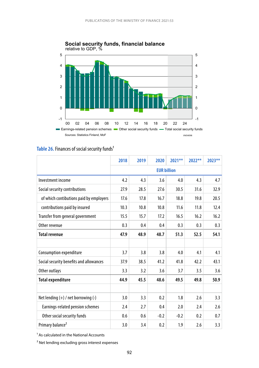

## **Social security funds, financial balance**

### Table 26. Finances of social security funds<sup>1</sup>

|                                         | 2018 | 2019 | 2020   | $2021**$           | 2022** | 2023** |
|-----------------------------------------|------|------|--------|--------------------|--------|--------|
|                                         |      |      |        | <b>EUR billion</b> |        |        |
| Investment income                       | 4.2  | 4.3  | 3.6    | 4.0                | 4.3    | 4.7    |
| Social security contributions           | 27.9 | 28.5 | 27.6   | 30.5               | 31.6   | 32.9   |
| of which contibutions paid by employers | 17.6 | 17.8 | 16.7   | 18.8               | 19.8   | 20.5   |
| contributions paid by insured           | 10.3 | 10.8 | 10.8   | 11.6               | 11.8   | 12.4   |
| Transfer from general government        | 15.5 | 15.7 | 17.2   | 16.5               | 16.2   | 16.2   |
| Other revenue                           | 0.3  | 0.4  | 0.4    | 0.3                | 0.3    | 0.3    |
| <b>Total revenue</b>                    | 47.9 | 48.9 | 48.7   | 51.3               | 52.5   | 54.1   |
|                                         |      |      |        |                    |        |        |
| Consumption expenditure                 | 3.7  | 3.8  | 3.8    | 4.0                | 4.1    | 4.1    |
| Social security benefits and allowances | 37.9 | 38.5 | 41.2   | 41.8               | 42.2   | 43.1   |
| Other outlays                           | 3.3  | 3.2  | 3.6    | 3.7                | 3.5    | 3.6    |
| <b>Total expenditure</b>                | 44.9 | 45.5 | 48.6   | 49.5               | 49.8   | 50.9   |
|                                         |      |      |        |                    |        |        |
| Net lending $(+)$ / net borrowing $(-)$ | 3.0  | 3.3  | 0.2    | 1.8                | 2.6    | 3.3    |
| Earnings-related pension schemes        | 2.4  | 2.7  | 0.4    | 2.0                | 2.4    | 2.6    |
| Other social security funds             | 0.6  | 0.6  | $-0.2$ | $-0.2$             | 0.2    | 0.7    |
| Primary balance <sup>2</sup>            | 3.0  | 3.4  | 0.2    | 1.9                | 2.6    | 3.3    |

 $<sup>1</sup>$  As calculated in the National Accounts</sup>

² Net lending excluding gross interest expenses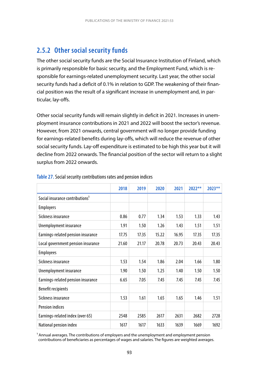## **2.5.2 Other social security funds**

The other social security funds are the Social Insurance Institution of Finland, which is primarily responsible for basic security, and the Employment Fund, which is responsible for earnings-related unemployment security. Last year, the other social security funds had a deficit of 0.1% in relation to GDP. The weakening of their financial position was the result of a significant increase in unemployment and, in particular, lay-offs.

Other social security funds will remain slightly in deficit in 2021. Increases in unemployment insurance contributions in 2021 and 2022 will boost the sector's revenue. However, from 2021 onwards, central government will no longer provide funding for earnings-related benefits during lay-offs, which will reduce the revenue of other social security funds. Lay-off expenditure is estimated to be high this year but it will decline from 2022 onwards. The financial position of the sector will return to a slight surplus from 2022 onwards.

|                                             | 2018  | 2019  | 2020  | 2021  | $2022**$ | $2023**$ |
|---------------------------------------------|-------|-------|-------|-------|----------|----------|
| Social insurance contributions <sup>1</sup> |       |       |       |       |          |          |
| <b>Employers</b>                            |       |       |       |       |          |          |
| Sickness insurance                          | 0.86  | 0.77  | 1.34  | 1.53  | 1.33     | 1.43     |
| Unemployment insurance                      | 1.91  | 1.50  | 1.26  | 1.43  | 1.51     | 1.51     |
| Earnings-related pension insurance          | 17.75 | 17.35 | 15.22 | 16.95 | 17.35    | 17.35    |
| Local government pension insurance          | 21.60 | 21.17 | 20.78 | 20.73 | 20.43    | 20.43    |
| <b>Employees</b>                            |       |       |       |       |          |          |
| Sickness insurance                          | 1.53  | 1.54  | 1.86  | 2.04  | 1.66     | 1.80     |
| Unemployment insurance                      | 1.90  | 1.50  | 1.25  | 1.40  | 1.50     | 1.50     |
| Earnings-related pension insurance          | 6.65  | 7.05  | 7.45  | 7.45  | 7.45     | 7.45     |
| <b>Benefit recipients</b>                   |       |       |       |       |          |          |
| Sickness insurance                          | 1.53  | 1.61  | 1.65  | 1.65  | 1.46     | 1.51     |
| <b>Pension indices</b>                      |       |       |       |       |          |          |
| Earnings-related index (over 65)            | 2548  | 2585  | 2617  | 2631  | 2682     | 2728     |
| National pension index                      | 1617  | 1617  | 1633  | 1639  | 1669     | 1692     |

#### **Table 27.** Social security contributions rates and pension indices

<sup>1</sup> Annual averages. The contributions of employers and the unemployment and employment pension contributions of beneficiaries as percentages of wages and salaries. The figures are weighted averages.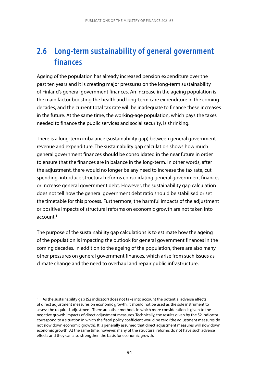## **2.6 Long-term sustainability of general government finances**

Ageing of the population has already increased pension expenditure over the past ten years and it is creating major pressures on the long-term sustainability of Finland's general government finances. An increase in the ageing population is the main factor boosting the health and long-term care expenditure in the coming decades, and the current total tax rate will be inadequate to finance these increases in the future. At the same time, the working-age population, which pays the taxes needed to finance the public services and social security, is shrinking.

There is a long-term imbalance (sustainability gap) between general government revenue and expenditure. The sustainability gap calculation shows how much general government finances should be consolidated in the near future in order to ensure that the finances are in balance in the long-term. In other words, after the adjustment, there would no longer be any need to increase the tax rate, cut spending, introduce structural reforms consolidating general government finances or increase general government debt. However, the sustainability gap calculation does not tell how the general government debt ratio should be stabilised or set the timetable for this process. Furthermore, the harmful impacts of the adjustment or positive impacts of structural reforms on economic growth are not taken into  $\arccos 1$ 

The purpose of the sustainability gap calculations is to estimate how the ageing of the population is impacting the outlook for general government finances in the coming decades. In addition to the ageing of the population, there are also many other pressures on general government finances, which arise from such issues as climate change and the need to overhaul and repair public infrastructure.

<sup>1</sup> As the sustainability gap (S2 indicator) does not take into account the potential adverse effects of direct adjustment measures on economic growth, it should not be used as the sole instrument to assess the required adjustment. There are other methods in which more consideration is given to the negative growth impacts of direct adjustment measures. Technically, the results given by the S2 indicator correspond to a situation in which the fiscal policy coefficient would be zero (the adjustment measures do not slow down economic growth). It is generally assumed that direct adjustment measures will slow down economic growth. At the same time, however, many of the structural reforms do not have such adverse effects and they can also strengthen the basis for economic growth.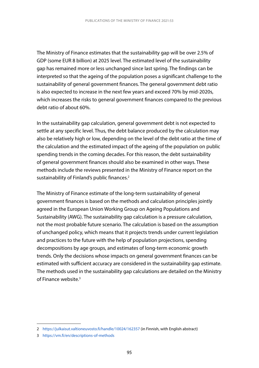The Ministry of Finance estimates that the sustainability gap will be over 2.5% of GDP (some EUR 8 billion) at 2025 level. The estimated level of the sustainability gap has remained more or less unchanged since last spring. The findings can be interpreted so that the ageing of the population poses a significant challenge to the sustainability of general government finances. The general government debt ratio is also expected to increase in the next few years and exceed 70% by mid-2020s, which increases the risks to general government finances compared to the previous debt ratio of about 60%.

In the sustainability gap calculation, general government debt is not expected to settle at any specific level. Thus, the debt balance produced by the calculation may also be relatively high or low, depending on the level of the debt ratio at the time of the calculation and the estimated impact of the ageing of the population on public spending trends in the coming decades. For this reason, the debt sustainability of general government finances should also be examined in other ways. These methods include the reviews presented in the Ministry of Finance report on the sustainability of Finland's public finances.<sup>2</sup>

The Ministry of Finance estimate of the long-term sustainability of general government finances is based on the methods and calculation principles jointly agreed in the European Union Working Group on Ageing Populations and Sustainability (AWG). The sustainability gap calculation is a pressure calculation, not the most probable future scenario. The calculation is based on the assumption of unchanged policy, which means that it projects trends under current legislation and practices to the future with the help of population projections, spending decompositions by age groups, and estimates of long-term economic growth trends. Only the decisions whose impacts on general government finances can be estimated with sufficient accuracy are considered in the sustainability gap estimate. The methods used in the sustainability gap calculations are detailed on the Ministry of Finance website.3

<sup>2</sup> <https://julkaisut.valtioneuvosto.fi/handle/10024/162357>(in Finnish, with English abstract)

<sup>3</sup> <https://vm.fi/en/descriptions-of-methods>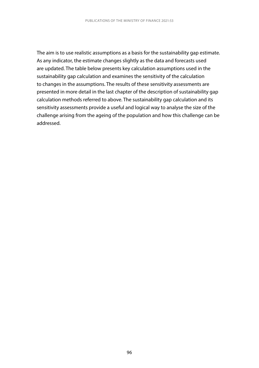The aim is to use realistic assumptions as a basis for the sustainability gap estimate. As any indicator, the estimate changes slightly as the data and forecasts used are updated. The table below presents key calculation assumptions used in the sustainability gap calculation and examines the sensitivity of the calculation to changes in the assumptions. The results of these sensitivity assessments are presented in more detail in the last chapter of the description of sustainability gap calculation methods referred to above. The sustainability gap calculation and its sensitivity assessments provide a useful and logical way to analyse the size of the challenge arising from the ageing of the population and how this challenge can be addressed.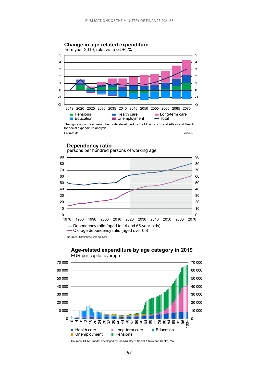

#### **Dependency ratio**



#### **Age-related expenditure by age category in 2019** EUR per capita, average



Sources: SOME model developed by the Ministry of Social Affairs and Health, MoF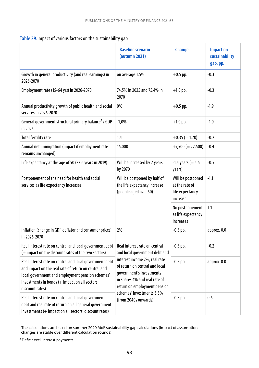|  | Table 29. Impact of various factors on the sustainability gap |
|--|---------------------------------------------------------------|
|--|---------------------------------------------------------------|

|                                                                                                                                                                                                                                          | <b>Baseline scenario</b><br>(autumn 2021)                                                                                                                                                 | <b>Change</b>                                                      | <b>Impact on</b><br>sustainability<br>gap, pp. <sup>1</sup> |
|------------------------------------------------------------------------------------------------------------------------------------------------------------------------------------------------------------------------------------------|-------------------------------------------------------------------------------------------------------------------------------------------------------------------------------------------|--------------------------------------------------------------------|-------------------------------------------------------------|
| Growth in general productivity (and real earnings) in<br>2026-2070                                                                                                                                                                       | on average 1.5%                                                                                                                                                                           | $+0.5$ pp.                                                         | $-0.3$                                                      |
| Employment rate (15-64 yrs) in 2026-2070                                                                                                                                                                                                 | 74.5% in 2025 and 75.4% in<br>2070                                                                                                                                                        | $+1.0$ pp.                                                         | $-0.3$                                                      |
| Annual productivity growth of public health and social<br>services in 2026-2070                                                                                                                                                          | 0%                                                                                                                                                                                        | $+0.5$ pp.                                                         | $-1.9$                                                      |
| General government structural primary balance <sup>2</sup> / GDP<br>in 2025                                                                                                                                                              | $-1,0%$                                                                                                                                                                                   | $+1.0$ pp.                                                         | $-1.0$                                                      |
| <b>Total fertility rate</b>                                                                                                                                                                                                              | 1.4                                                                                                                                                                                       | $+0.35 (= 1.70)$                                                   | $-0.2$                                                      |
| Annual net immigration (impact if employment rate<br>remains unchanged)                                                                                                                                                                  | 15,000                                                                                                                                                                                    | $+7,500 (= 22,500)$                                                | $-0.4$                                                      |
| Life expectancy at the age of 50 (33.6 years in 2019)                                                                                                                                                                                    | Will be increased by 7 years<br>by 2070                                                                                                                                                   | $-1.4$ years (= 5.6<br>years)                                      | $-0.5$                                                      |
| Postponement of the need for health and social<br>services as life expectancy increases                                                                                                                                                  | Will be postponed by half of<br>the life expectancy increase<br>(people aged over 50)                                                                                                     | Will be postponed<br>at the rate of<br>life expectancy<br>increase | $-1.1$                                                      |
|                                                                                                                                                                                                                                          |                                                                                                                                                                                           | No postponement<br>as life expectancy<br>increases                 | 1.1                                                         |
| Inflation (change in GDP deflator and consumer prices)<br>in 2026-2070                                                                                                                                                                   | 2%                                                                                                                                                                                        | $-0.5$ pp.                                                         | approx. 0.0                                                 |
| Real interest rate on central and local government debt<br>(+ impact on the discount rates of the two sectors)                                                                                                                           | Real interest rate on central<br>and local government debt and                                                                                                                            | $-0.5$ pp.                                                         | $-0.2$                                                      |
| Real interest rate on central and local government debt<br>and impact on the real rate of return on central and<br>local government and employment pension schemes'<br>investments in bonds (+ impact on all sectors'<br>discount rates) | interest income 2%, real rate<br>of return on central and local<br>government's investments<br>in shares 4% and real rate of<br>return on employment pension<br>schemes' investments 3.5% | $-0.5$ pp.                                                         | approx. 0.0                                                 |
| Real interest rate on central and local government<br>debt and real rate of return on all general government<br>investments (+ impact on all sectors' discount rates)                                                                    | (from 2040s onwards)                                                                                                                                                                      | $-0.5$ pp.                                                         | 0.6                                                         |

 $\rm ^1$ The calculations are based on summer 2020 MoF sustainability gap calculations (impact of assumption changes are stable over different calculation rounds)

² Deficit excl. interest payments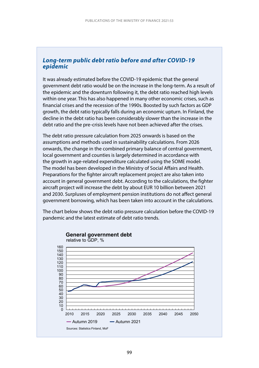### *Long-term public debt ratio before and after COVID-19 epidemic*

It was already estimated before the COVID-19 epidemic that the general government debt ratio would be on the increase in the long-term. As a result of the epidemic and the downturn following it, the debt ratio reached high levels within one year. This has also happened in many other economic crises, such as financial crises and the recession of the 1990s. Boosted by such factors as GDP growth, the debt ratio typically falls during an economic upturn. In Finland, the decline in the debt ratio has been considerably slower than the increase in the debt ratio and the pre-crisis levels have not been achieved after the crises.

The debt ratio pressure calculation from 2025 onwards is based on the assumptions and methods used in sustainability calculations. From 2026 onwards, the change in the combined primary balance of central government, local government and counties is largely determined in accordance with the growth in age-related expenditure calculated using the SOME model. The model has been developed in the Ministry of Social Affairs and Health. Preparations for the fighter aircraft replacement project are also taken into account in general government debt. According to the calculations, the fighter aircraft project will increase the debt by about EUR 10 billion between 2021 and 2030. Surpluses of employment pension institutions do not affect general government borrowing, which has been taken into account in the calculations.

The chart below shows the debt ratio pressure calculation before the COVID-19 pandemic and the latest estimate of debt ratio trends.

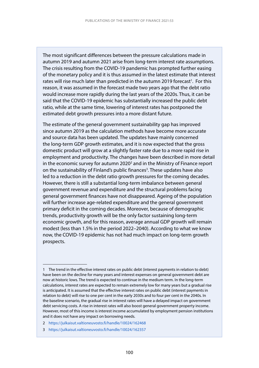The most significant differences between the pressure calculations made in autumn 2019 and autumn 2021 arise from long-term interest rate assumptions. The crisis resulting from the COVID-19 pandemic has prompted further easing of the monetary policy and it is thus assumed in the latest estimate that interest rates will rise much later than predicted in the autumn 2019 forecast<sup>1</sup>. For this reason, it was assumed in the forecast made two years ago that the debt ratio would increase more rapidly during the last years of the 2020s. Thus, it can be said that the COVID-19 epidemic has substantially increased the public debt ratio, while at the same time, lowering of interest rates has postponed the estimated debt growth pressures into a more distant future.

The estimate of the general government sustainability gap has improved since autumn 2019 as the calculation methods have become more accurate and source data has been updated. The updates have mainly concerned the long-term GDP growth estimates, and it is now expected that the gross domestic product will grow at a slightly faster rate due to a more rapid rise in employment and productivity. The changes have been described in more detail in the economic survey for autumn 2020<sup>2</sup> and in the Ministry of Finance report on the sustainability of Finland's public finances<sup>3</sup>. These updates have also led to a reduction in the debt ratio growth pressures for the coming decades. However, there is still a substantial long-term imbalance between general government revenue and expenditure and the structural problems facing general government finances have not disappeared. Ageing of the population will further increase age-related expenditure and the general government primary deficit in the coming decades. Moreover, because of demographic trends, productivity growth will be the only factor sustaining long-term economic growth, and for this reason, average annual GDP growth will remain modest (less than 1.5% in the period 2022–2040). According to what we know now, the COVID-19 epidemic has not had much impact on long-term growth prospects.

- 2 <https://julkaisut.valtioneuvosto.fi/handle/10024/162468>
- 3 <https://julkaisut.valtioneuvosto.fi/handle/10024/162357>

<sup>1</sup> The trend in the effective interest rates on public debt (interest payments in relation to debt) have been on the decline for many years and interest expenses on general government debt are now at historic lows. The trend is expected to continue in the medium term. In the long-term calculations, interest rates are expected to remain extremely low for many years but a gradual rise is anticipated. It is assumed that the effective interest rates on public debt (interest payments in relation to debt) will rise to one per cent in the early 2030s and to four per cent in the 2040s. In the baseline scenario, the gradual rise in interest rates will have a delayed impact on government debt servicing costs. A rise in interest rates will also boost general government property income. However, most of this income is interest income accumulated by employment pension institutions and it does not have any impact on borrowing needs.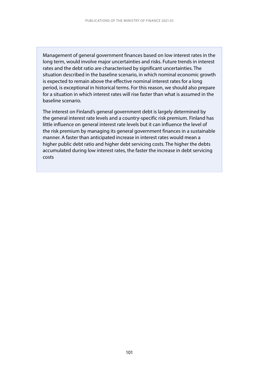Management of general government finances based on low interest rates in the long term, would involve major uncertainties and risks. Future trends in interest rates and the debt ratio are characterised by significant uncertainties. The situation described in the baseline scenario, in which nominal economic growth is expected to remain above the effective nominal interest rates for a long period, is exceptional in historical terms. For this reason, we should also prepare for a situation in which interest rates will rise faster than what is assumed in the baseline scenario.

The interest on Finland's general government debt is largely determined by the general interest rate levels and a country-specific risk premium. Finland has little influence on general interest rate levels but it can influence the level of the risk premium by managing its general government finances in a sustainable manner. A faster than anticipated increase in interest rates would mean a higher public debt ratio and higher debt servicing costs. The higher the debts accumulated during low interest rates, the faster the increase in debt servicing costs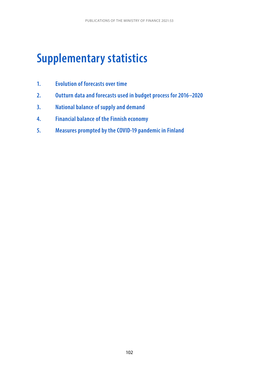# **Supplementary statistics**

- **1. Evolution of forecasts over time**
- **2. Outturn data and forecasts used in budget process for 2016–2020**
- **3. National balance of supply and demand**
- **4. Financial balance of the Finnish economy**
- **5. Measures prompted by the COVID-19 pandemic in Finland**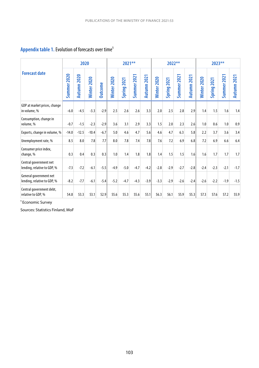## Appendix table 1. Evolution of forecasts over time<sup>1</sup>

|                                                       |             | 2020           |             |                |                 | $2021**$       |                       |                |             | 2022**         |                |                |             | 2023**          |                |                |
|-------------------------------------------------------|-------------|----------------|-------------|----------------|-----------------|----------------|-----------------------|----------------|-------------|----------------|----------------|----------------|-------------|-----------------|----------------|----------------|
| <b>Forecast date</b>                                  | Summer 2020 | 2020<br>Autumn | Winter 2020 | <b>Outcome</b> | 2020<br>Winter: | 2021<br>Spring | 2021<br><b>Summer</b> | 2021<br>Autumn | Winter 2020 | 2021<br>Spring | 2021<br>Summer | 2021<br>Autumn | Minter 2020 | 2021<br>Spring: | 2021<br>Summer | 2021<br>Autumn |
| GDP at market prices, change<br>in volume, %          | $-6.0$      | $-4.5$         | $-3.3$      | $-2.9$         | 2.5             | 2.6            | 2.6                   | 3.3            | 2.0         | 2.5            | 2.8            | 2.9            | 1.4         | 1.5             | 1.6            | 1.4            |
| Consumption, change in<br>volume, %                   | $-0.7$      | $-1.5$         | $-2.3$      | $-2.9$         | 3.6             | 3.1            | 2.9                   | 3.3            | 1.5         | 2.0            | 2.3            | 2.6            | 1.0         | 0.6             | 1.0            | 0.9            |
| Exports, change in volume, %                          | $-14.0$     | $-12.5$        | $-10.4$     | $-6.7$         | 5.0             | 4.6            | 4.7                   | 5.6            | 4.6         | 4.7            | 6.3            | 5.8            | 2.2         | 3.7             | 3.6            | 3.4            |
| Unemployment rate, %                                  | 8.5         | 8.0            | 7.8         | 7.7            | 8.0             | 7.8            | 7.4                   | 7.8            | 7.6         | 7.2            | 6.9            | 6.8            | 7.2         | 6.9             | 6.6            | 6.4            |
| Consumer price index,<br>change, %                    | 0.3         | 0.4            | 0.3         | 0.3            | 1.0             | 1.4            | 1.8                   | 1.8            | 1.4         | 1.5            | 1.5            | 1.6            | 1.6         | 1.7             | 1.7            | 1.7            |
| Central government net<br>lending, relative to GDP, % | $-7.3$      | $-7.2$         | $-6.1$      | $-5.5$         | $-4.9$          | $-5.0$         | $-4.7$                | $-4.2$         | $-2.8$      | $-2.9$         | $-2.7$         | $-2.8$         | $-2.4$      | $-2.3$          | $-2.1$         | $-1.7$         |
| General government net<br>lending, relative to GDP, % | $-8.2$      | $-7.7$         | $-6.1$      | $-5.4$         | $-5.2$          | $-4.7$         | $-4.3$                | $-3.9$         | $-3.3$      | $-2.9$         | $-2.6$         | $-2.4$         | $-2.6$      | $-2.2$          | $-1.9$         | $-1.5$         |
| Central government debt,<br>relative to GDP, %        | 54.8        | 53.3           | 53.1        | 52.9           | 55.6            | 55.3           | 55.6                  | 55.1           | 56.3        | 56.1           | 55.9           | 55.3           | 57.3        | 57.6            | 57.2           | 55.9           |

<sup>1</sup> Economic Survey

Sources: Statistics Finland, MoF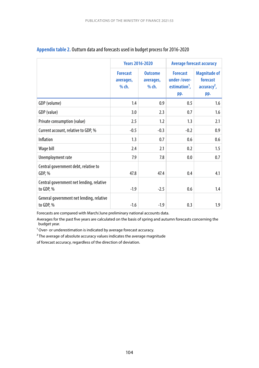|                                                       | <b>Years 2016-2020</b>                  |                                        | <b>Average forecast accuracy</b>                                    |                                                         |  |  |
|-------------------------------------------------------|-----------------------------------------|----------------------------------------|---------------------------------------------------------------------|---------------------------------------------------------|--|--|
|                                                       | <b>Forecast</b><br>averages,<br>$%$ ch. | <b>Outcome</b><br>averages,<br>$%$ ch. | <b>Forecast</b><br>under-/over-<br>estimation <sup>1</sup> ,<br>pp. | <b>Magnitude of</b><br>forecast<br>$accuracy2$ ,<br>pp. |  |  |
| GDP (volume)                                          | 1.4                                     | 0.9                                    | 0.5                                                                 | 1.6                                                     |  |  |
| GDP (value)                                           | 3.0                                     | 2.3                                    | 0.7                                                                 | 1.6                                                     |  |  |
| Private consumption (value)                           | 2.5                                     | 1.2                                    | 1.3                                                                 | 2.1                                                     |  |  |
| Current account, relative to GDP, %                   | $-0.5$                                  | $-0.3$                                 | $-0.2$                                                              | 0.9                                                     |  |  |
| Inflation                                             | 1.3                                     | 0.7                                    | 0.6                                                                 | 0.6                                                     |  |  |
| Wage bill                                             | 2.4                                     | 2.1                                    | 0.2                                                                 | 1.5                                                     |  |  |
| Unemployment rate                                     | 7.9                                     | 7.8                                    | 0.0                                                                 | 0.7                                                     |  |  |
| Central government debt, relative to<br>GDP, %        | 47.8                                    | 47.4                                   | 0.4                                                                 | 4.1                                                     |  |  |
| Central government net lending, relative<br>to GDP, % | $-1.9$                                  | $-2.5$                                 | 0.6                                                                 | 1.4                                                     |  |  |
| General government net lending, relative<br>to GDP, % | $-1.6$                                  | $-1.9$                                 | 0.3                                                                 | 1.9                                                     |  |  |

#### **Appendix table 2.** Outturn data and forecasts used in budget process for 2016-2020

Forecasts are compared with March/June preliminary national accounts data.

Averages for the past five years are calculated on the basis of spring and autumn forecasts concerning the budget year.

<sup>1</sup> Over- or underestimation is indicated by average forecast accuracy.

<sup>2</sup> The average of absolute accuracy values indicates the average magnitude

of forecast accuracy, regardless of the direction of deviation.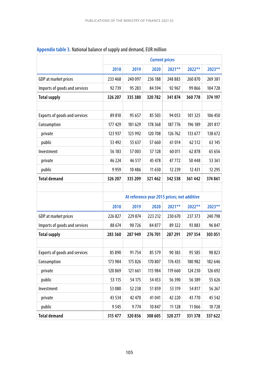|                                      |         |         | <b>Current prices</b>                       |          |         |          |
|--------------------------------------|---------|---------|---------------------------------------------|----------|---------|----------|
|                                      | 2018    | 2019    | 2020                                        | 2021**   | 2022**  | 2023**   |
| GDP at market prices                 | 233 468 | 240 097 | 236 188                                     | 248 883  | 260 870 | 269 381  |
| Imports of goods and services        | 92739   | 95 283  | 84 5 94                                     | 92 967   | 99866   | 104728   |
| <b>Total supply</b>                  | 326 207 | 335 380 | 320782                                      | 341874   | 360778  | 374 197  |
|                                      |         |         |                                             |          |         |          |
| Exports of goods and services        | 89810   | 95 657  | 85 503                                      | 94 0 53  | 101 325 | 106 450  |
| Consumption                          | 177 429 | 181 629 | 178 368                                     | 187 776  | 196 189 | 201817   |
| private                              | 123 937 | 125 992 | 120 708                                     | 126762   | 133 677 | 138 672  |
| public                               | 53 492  | 55 637  | 57 660                                      | 61014    | 62 512  | 63 145   |
| Investment                           | 56 183  | 57003   | 57 128                                      | 60011    | 62878   | 65 656   |
| private                              | 46 224  | 46 517  | 45 478                                      | 47772    | 50448   | 53 361   |
| public                               | 9959    | 10486   | 11 650                                      | 12 239   | 12431   | 12 2 9 5 |
| <b>Total demand</b>                  | 326 207 | 335 209 | 321462                                      | 342 538  | 361442  | 374 861  |
|                                      |         |         |                                             |          |         |          |
|                                      |         |         | At reference year 2015 prices; not additive |          |         |          |
|                                      | 2018    | 2019    | 2020                                        | 2021**   | 2022**  | 2023**   |
| GDP at market prices                 | 226 827 | 229 874 | 223 212                                     | 230 670  | 237 373 | 240 798  |
| Imports of goods and services        | 88 674  | 90726   | 84877                                       | 89 322   | 93 883  | 96 847   |
| <b>Total supply</b>                  | 283 360 | 287949  | 276701                                      | 287 291  | 297 354 | 303 051  |
|                                      |         |         |                                             |          |         |          |
| <b>Exports of goods and services</b> | 85 890  | 91754   | 85 579                                      | 90 383   | 95 5 85 | 98 823   |
| Consumption                          | 173 984 | 175 826 | 170 807                                     | 176 435  | 180 982 | 182 646  |
| private                              | 120 869 | 121 661 | 115 984                                     | 119 660  | 124 230 | 126 692  |
| public                               | 53 115  | 54 175  | 54 453                                      | 56 390   | 56 389  | 55 626   |
| Investment                           | 53 080  | 52 238  | 51859                                       | 53 319   | 54 817  | 56 267   |
| private                              | 43 534  | 42 470  | 41 041                                      | 42 2 2 0 | 43770   | 45 542   |
| public                               | 9545    | 9774    | 10847                                       | 11 128   | 11066   | 10728    |
| <b>Total demand</b>                  | 315 477 | 320856  | 308 605                                     | 320 277  | 331 378 | 337 622  |

## **Appendix table 3.** National balance of supply and demand, EUR million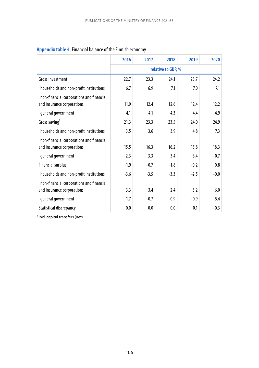|                                                                        | 2016   | 2017               | 2018   | 2019         | 2020   |  |  |  |  |  |
|------------------------------------------------------------------------|--------|--------------------|--------|--------------|--------|--|--|--|--|--|
|                                                                        |        | relative to GDP, % |        |              |        |  |  |  |  |  |
| Gross investment                                                       | 22.7   | 23.3               | 24.1   | 23.7<br>24.2 |        |  |  |  |  |  |
| households and non-profit institutions                                 | 6.7    | 6.9                | 7.1    | 7.0          | 7.1    |  |  |  |  |  |
| non-financial corporations and financial<br>and insurance corporations | 11.9   | 12.4               | 12.6   | 12.4         | 12.2   |  |  |  |  |  |
| general government                                                     | 4.1    | 4.1                | 4.3    | 4.4          | 4.9    |  |  |  |  |  |
| Gross saving <sup>1</sup>                                              | 21.3   | 23.3               | 23.5   | 24.0         | 24.9   |  |  |  |  |  |
| households and non-profit institutions                                 | 3.5    | 3.6                | 3.9    | 4.8          | 7.3    |  |  |  |  |  |
| non-financial corporations and financial<br>and insurance corporations | 15.5   | 16.3               | 16.2   | 15.8         | 18.3   |  |  |  |  |  |
| general government                                                     | 2.3    | 3.3                | 3.4    | 3.4          | $-0.7$ |  |  |  |  |  |
| <b>Financial surplus</b>                                               | $-1.9$ | $-0.7$             | $-1.8$ | $-0.2$       | 0.8    |  |  |  |  |  |
| households and non-profit institutions                                 | $-3.6$ | $-3.5$             | $-3.3$ | $-2.5$       | $-0.0$ |  |  |  |  |  |
| non-financial corporations and financial<br>and insurance corporations | 3.3    | 3.4                | 2.4    | 3.2          | 6.0    |  |  |  |  |  |
| general government                                                     | $-1.7$ | $-0.7$             | $-0.9$ | $-0.9$       | $-5.4$ |  |  |  |  |  |
| Statistical discrepancy                                                | 0.0    | 0.0                | 0.0    | 0.1          | $-0.3$ |  |  |  |  |  |

## **Appendix table 4.** Financial balance of the Finnish economy

<sup>1</sup> Incl. capital transfers (net)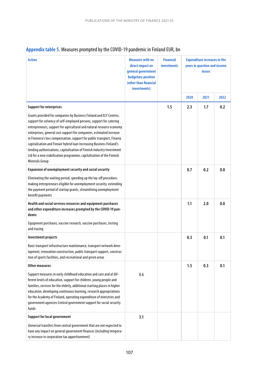|  | Appendix table 5. Measures prompted by the COVID-19 pandemic in Finland EUR, bn |  |  |  |
|--|---------------------------------------------------------------------------------|--|--|--|
|--|---------------------------------------------------------------------------------|--|--|--|

| <b>Action</b>                                                                                                                                                                                                                                                                                                                                                                                                                                                                                                                                                                                                                                   | <b>Measures with no</b><br>direct impact on<br>general government<br>budgetary position<br>(other than financial<br>investments) | <b>Financial</b><br>investments | <b>Expenditure increases in the</b><br>years in question and income<br>losses |      |      |
|-------------------------------------------------------------------------------------------------------------------------------------------------------------------------------------------------------------------------------------------------------------------------------------------------------------------------------------------------------------------------------------------------------------------------------------------------------------------------------------------------------------------------------------------------------------------------------------------------------------------------------------------------|----------------------------------------------------------------------------------------------------------------------------------|---------------------------------|-------------------------------------------------------------------------------|------|------|
|                                                                                                                                                                                                                                                                                                                                                                                                                                                                                                                                                                                                                                                 |                                                                                                                                  |                                 | 2020                                                                          | 2021 | 2022 |
| <b>Support for enterprises</b><br>Grants provided for companies by Business Finland and ELY Centres,<br>support for solvency of self-employed persons, support for catering<br>entrepreneurs, support for agricultural and natural resource economy<br>enterprises, general cost support for companies, estimated increase<br>in Finnvera's loss compensation, support for public transport, Finavia<br>capitalisation and Finnair hybrid loan Increasing Business Finland's<br>lending authorisations, capitalisation of Finnish Industry Investment<br>Ltd for a new stabilisation programme, capitalisation of the Finnish<br>Minerals Group |                                                                                                                                  | 1.5                             | 2.3                                                                           | 1.7  | 0.2  |
| Expansion of unemployment security and social security<br>Eliminating the waiting period, speeding up the lay-off procedure,<br>making entrepreneurs eligible for unemployment security, extending<br>the payment period of startup grants, streamlining unemployment<br>benefit payments                                                                                                                                                                                                                                                                                                                                                       |                                                                                                                                  |                                 | 0.7                                                                           | 0.2  | 0.0  |
| Health and social services resources and equipment purchases<br>and other expenditure increases prompted by the COVID-19 pan-<br>demic<br>Equipment purchases, vaccine research, vaccine purchases, testing<br>and tracing                                                                                                                                                                                                                                                                                                                                                                                                                      |                                                                                                                                  |                                 | 1.1                                                                           | 2.0  | 0.0  |
| Investment projects<br>Basic transport infrastructure maintenance, transport network deve-<br>lopment, renovation construction, public transport support, construc-<br>tion of sports facilities, and recreational and green areas                                                                                                                                                                                                                                                                                                                                                                                                              |                                                                                                                                  |                                 | 0.3                                                                           | 0.1  | 0.1  |
| Other measures<br>Support measures in early childhood education and care and at dif-<br>ferent levels of education, support for children, young people and<br>families, services for the elderly, additional starting places in higher<br>education, developing continuous learning, research appropriations<br>for the Academy of Finland, operating expenditure of ministries and<br>government agencies Central government support for social security<br>funds                                                                                                                                                                              | 0.6                                                                                                                              |                                 | 1.5                                                                           | 0.3  | 0.1  |
| Support for local government<br>Universal transfers from central government that are not expected to<br>have any impact on general government finances (including tempora-<br>ry increase in corporation tax apportionment)                                                                                                                                                                                                                                                                                                                                                                                                                     | 3.1                                                                                                                              |                                 |                                                                               |      |      |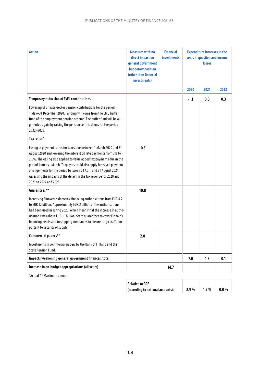| <b>Action</b>                                                                                                                                                                                                                                                                                                                                                                                                                                             | <b>Measures with no</b><br>direct impact on<br>general government<br><b>budgetary position</b><br>(other than financial<br>investments) | <b>Financial</b><br><b>investments</b> | <b>Expenditure increases in the</b><br>years in question and income<br>losses |      |      |
|-----------------------------------------------------------------------------------------------------------------------------------------------------------------------------------------------------------------------------------------------------------------------------------------------------------------------------------------------------------------------------------------------------------------------------------------------------------|-----------------------------------------------------------------------------------------------------------------------------------------|----------------------------------------|-------------------------------------------------------------------------------|------|------|
|                                                                                                                                                                                                                                                                                                                                                                                                                                                           |                                                                                                                                         |                                        | 2020                                                                          | 2021 | 2022 |
| <b>Temporary reduction of TyEL contributions</b>                                                                                                                                                                                                                                                                                                                                                                                                          |                                                                                                                                         |                                        | $-1.1$                                                                        | 0.0  | 0.3  |
| Lowering of private-sector pension contributions for the period<br>1 May-31 December 2020. Funding will come from the EMU buffer<br>fund of the employment pension scheme. The buffer fund will be au-<br>gmented again by raising the pension contributions for the period<br>2022-2025.                                                                                                                                                                 |                                                                                                                                         |                                        |                                                                               |      |      |
| Tax relief*                                                                                                                                                                                                                                                                                                                                                                                                                                               |                                                                                                                                         |                                        |                                                                               |      |      |
| Easing of payment terms for taxes due between 1 March 2020 and 31<br>August 2020 and lowering the interest on late payments from 7% to<br>2.5%. The easing also applied to value added tax payments due in the<br>period January-March. Taxpayers could also apply for eased payment<br>arrangements for the period between 21 April and 31 August 2021.<br>Assessing the impacts of the delays in the tax revenue for 2020 and<br>2021 to 2022 and 2023. | $-0.5$                                                                                                                                  |                                        |                                                                               |      |      |
| Guarantees**                                                                                                                                                                                                                                                                                                                                                                                                                                              | 10.8                                                                                                                                    |                                        |                                                                               |      |      |
| Increasing Finnvera's domestic financing authorisations from EUR 4.2<br>to EUR 12 billion. Approximately EUR 2 billion of the authorisations<br>had been used in spring 2020, which means that the increase in autho-<br>risations was about EUR 10 billion. State quarantees to cover Finnair's<br>financing needs and to shipping companies to ensure cargo traffic im-<br>portant to security of supply                                                |                                                                                                                                         |                                        |                                                                               |      |      |
| Commercial papers**                                                                                                                                                                                                                                                                                                                                                                                                                                       | 2.0                                                                                                                                     |                                        |                                                                               |      |      |
| Investments in commercial papers by the Bank of Finland and the<br><b>State Pension Fund.</b>                                                                                                                                                                                                                                                                                                                                                             |                                                                                                                                         |                                        |                                                                               |      |      |
| Impacts weakening general government finances, total                                                                                                                                                                                                                                                                                                                                                                                                      |                                                                                                                                         |                                        | 7.0                                                                           | 4.3  | 0.1  |
| Increase in on-budget appropriations (all years)                                                                                                                                                                                                                                                                                                                                                                                                          |                                                                                                                                         | 14.7                                   |                                                                               |      |      |

\*Actual \*\* Maximum amount

| <b>Relative to GDP</b>            |      |         |         |  |
|-----------------------------------|------|---------|---------|--|
| (according to national accounts): | 2.9% | $1.7\%$ | $0.0\%$ |  |